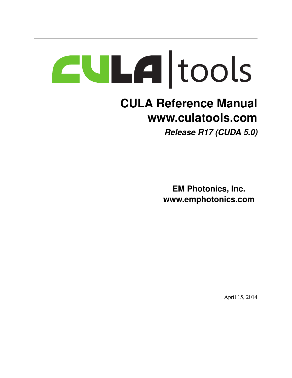# |tools

## **CULA Reference Manual www.culatools.com** *Release R17 (CUDA 5.0)*

**EM Photonics, Inc. www.emphotonics.com**

April 15, 2014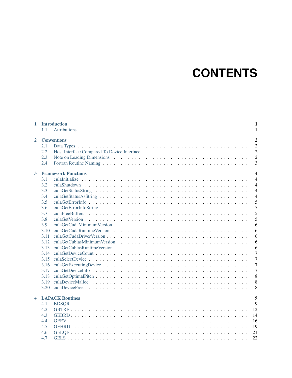# **CONTENTS**

| <b>Conventions</b><br>$\overline{2}$<br>2.1<br>2.2<br>2.3<br>2.4<br><b>Framework Functions</b><br>3<br>3.1<br>3.2<br>3.3<br>3.4<br>3.5<br>3.6<br>3.7<br>culaFreeBuffers<br>3.8<br>3.9<br>3.10<br>3.11<br>3.12<br>3.13<br>3.14<br>3.15<br>3.16<br>3.17<br>3.18<br>3.19<br>3.20<br><b>LAPACK Routines</b><br>$\blacktriangleleft$<br>4.1<br>4.2<br>4.3<br>4.4<br>19<br>4.5<br>21<br>4.6 | $\mathbf{1}$ | 1.1 | <b>Introduction</b> | 1<br>1                                                                                                                                                       |
|---------------------------------------------------------------------------------------------------------------------------------------------------------------------------------------------------------------------------------------------------------------------------------------------------------------------------------------------------------------------------------------|--------------|-----|---------------------|--------------------------------------------------------------------------------------------------------------------------------------------------------------|
|                                                                                                                                                                                                                                                                                                                                                                                       |              |     |                     | $\overline{2}$<br>$\overline{2}$<br>$\overline{2}$                                                                                                           |
|                                                                                                                                                                                                                                                                                                                                                                                       |              |     |                     | $\overline{2}$<br>3                                                                                                                                          |
|                                                                                                                                                                                                                                                                                                                                                                                       |              |     |                     | $\overline{\mathbf{4}}$                                                                                                                                      |
|                                                                                                                                                                                                                                                                                                                                                                                       |              |     |                     | $\overline{4}$<br>$\overline{4}$<br>$\overline{4}$<br>4<br>5<br>5<br>5<br>5<br>6<br>6<br>6<br>6<br>6<br>$\overline{7}$<br>$\overline{7}$<br>7<br>7<br>8<br>8 |
|                                                                                                                                                                                                                                                                                                                                                                                       |              |     |                     | 8                                                                                                                                                            |
|                                                                                                                                                                                                                                                                                                                                                                                       |              |     |                     | $\boldsymbol{9}$<br>9                                                                                                                                        |
|                                                                                                                                                                                                                                                                                                                                                                                       |              |     |                     | 12                                                                                                                                                           |
|                                                                                                                                                                                                                                                                                                                                                                                       |              |     |                     | 14                                                                                                                                                           |
|                                                                                                                                                                                                                                                                                                                                                                                       |              |     |                     | 16                                                                                                                                                           |
|                                                                                                                                                                                                                                                                                                                                                                                       |              |     |                     |                                                                                                                                                              |
|                                                                                                                                                                                                                                                                                                                                                                                       |              | 4.7 |                     | 22                                                                                                                                                           |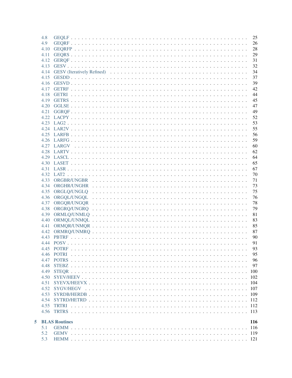| 4.8  |                        | 25         |
|------|------------------------|------------|
| 4.9  |                        | 26         |
| 4.10 |                        | 28         |
| 4.11 |                        | 29         |
|      |                        | 31         |
| 4.13 |                        | 32         |
| 4.14 |                        | 34         |
| 4.15 |                        | 37         |
|      |                        | 39         |
|      |                        | 42         |
|      |                        | 44         |
|      |                        | 45         |
|      |                        | 47         |
|      |                        |            |
|      |                        | 49         |
|      |                        | 52         |
|      |                        | 53         |
|      |                        | 55         |
|      |                        | 56         |
|      |                        | 59         |
|      |                        | 60         |
|      |                        | 62         |
|      |                        | 64         |
|      |                        | 65         |
|      |                        | 67         |
|      |                        | 70         |
| 4.33 |                        | 71         |
| 4.34 |                        | 73         |
|      |                        | 75         |
|      |                        | 76         |
| 4.37 |                        | 78         |
| 4.38 |                        | 79         |
| 4.39 |                        | 81         |
| 4.40 |                        | 83         |
| 4.41 |                        | 85         |
|      |                        | 87         |
| 4.43 |                        | 90         |
|      |                        | 91         |
|      | 445 POTRE              | 93         |
|      |                        | 95         |
| 4.47 |                        | 96         |
| 4.48 |                        | 97         |
| 4.49 |                        | 100        |
| 4.50 |                        | 102        |
| 4.51 |                        | 104        |
|      |                        | 107        |
| 4.53 |                        | 109        |
|      |                        |            |
|      |                        |            |
|      |                        |            |
|      |                        |            |
|      | <b>5</b> BLAS Routines | <b>116</b> |
| 5.1  |                        |            |
| 5.2  |                        |            |
| 5.3  |                        |            |
|      |                        |            |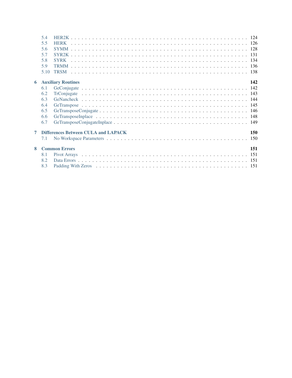| 5.5<br>5.6<br>5.7<br>5.8<br><b>SYRK</b><br>5.9<br>5.10<br><b>Auxiliary Routines</b><br>6<br>6.1<br>6.2<br>6.3<br>6.4<br>6.5<br>6.6 | 142 |
|------------------------------------------------------------------------------------------------------------------------------------|-----|
|                                                                                                                                    |     |
|                                                                                                                                    |     |
|                                                                                                                                    |     |
|                                                                                                                                    |     |
|                                                                                                                                    |     |
|                                                                                                                                    |     |
|                                                                                                                                    |     |
|                                                                                                                                    |     |
|                                                                                                                                    |     |
|                                                                                                                                    |     |
|                                                                                                                                    |     |
|                                                                                                                                    |     |
|                                                                                                                                    |     |
| 6.7                                                                                                                                |     |
| <b>Differences Between CULA and LAPACK</b><br>7                                                                                    | 150 |
| 7.1                                                                                                                                |     |
| <b>Common Errors</b><br>8                                                                                                          | 151 |
| 8.1                                                                                                                                |     |
| 8.2                                                                                                                                |     |
| 8.3                                                                                                                                |     |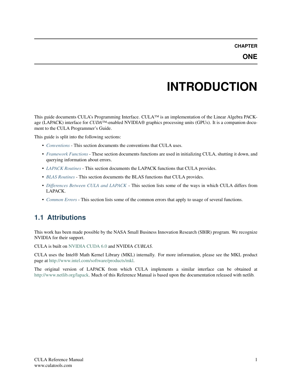# **INTRODUCTION**

<span id="page-5-0"></span>This guide documents CULA's Programming Interface. CULA™ is an implementation of the Linear Algebra PACKage (LAPACK) interface for *CUDA*™-enabled NVIDIA® graphics processing units (GPUs). It is a companion document to the CULA Programmer's Guide.

This guide is split into the following sections:

- *[Conventions](#page-6-0)* This section documents the conventions that CULA uses.
- *[Framework Functions](#page-8-0)* These section documents functions are used in initializing CULA, shutting it down, and querying information about errors.
- *[LAPACK Routines](#page-13-0)* This section documents the LAPACK functions that CULA provides.
- *[BLAS Routines](#page-120-0)* This section documents the BLAS functions that CULA provides.
- *[Differences Between CULA and LAPACK](#page-154-0)* This section lists some of the ways in which CULA differs from LAPACK.
- *[Common Errors](#page-155-0)* This section lists some of the common errors that apply to usage of several functions.

## <span id="page-5-1"></span>**1.1 Attributions**

This work has been made possible by the NASA Small Business Innovation Research (SBIR) program. We recognize NVIDIA for their support.

CULA is built on [NVIDIA CUDA 6.0](http://www.nvidia.com/object/cuda_home.html) and NVIDIA *CUBLAS*.

CULA uses the Intel® Math Kernel Library (MKL) internally. For more information, please see the MKL product page at [http://www.intel.com/software/products/mkl.](http://www.intel.com/software/products/mkl)

The original version of LAPACK from which CULA implements a similar interface can be obtained at [http://www.netlib.org/lapack.](http://www.netlib.org/lapack) Much of this Reference Manual is based upon the documentation released with netlib.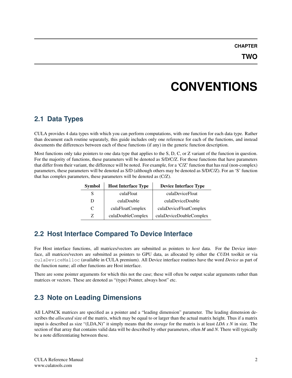# **CONVENTIONS**

## <span id="page-6-1"></span><span id="page-6-0"></span>**2.1 Data Types**

CULA provides 4 data types with which you can perform computations, with one function for each data type. Rather than document each routine separately, this guide includes only one reference for each of the functions, and instead documents the differences between each of these functions (if any) in the generic function description.

Most functions only take pointers to one data type that applies to the S, D, C, or Z variant of the function in question. For the majority of functions, these parameters will be denoted as S/D/C/Z. For those functions that have parameters that differ from their variant, the difference will be noted. For example, for a 'C/Z' function that has real (non-complex) parameters, these parameters will be denoted as S/D (although others may be denoted as S/D/C/Z). For an 'S' function that has complex parameters, these parameters will be denoted as (C/Z).

| <b>Symbol</b> | <b>Host Interface Type</b> | <b>Device Interface Type</b> |
|---------------|----------------------------|------------------------------|
| S             | culaFloat                  | culaDeviceFloat              |
| D             | culaDouble                 | culaDeviceDouble             |
| C             | culaFloatComplex           | culaDeviceFloatComplex       |
| 7.            | culaDoubleComplex          | culaDeviceDoubleComplex      |

## <span id="page-6-2"></span>**2.2 Host Interface Compared To Device Interface**

For Host interface functions, all matrices/vectors are submitted as pointers to *host* data. For the Device interface, all matrices/vectors are submitted as pointers to GPU data, as allocated by either the *CUDA* toolkit or via culaDeviceMalloc (available in CULA premium). All Device interface routines have the word *Device* as part of the function name; all other functions are Host interface.

There are some pointer arguments for which this not the case; these will often be output scalar arguments rather than matrices or vectors. These are denoted as "(type) Pointer, always host" etc.

## <span id="page-6-3"></span>**2.3 Note on Leading Dimensions**

All LAPACK matrices are specified as a pointer and a "leading dimension" parameter. The leading dimension describes the *allocated* size of the matrix, which may be equal to or larger than the actual matrix height. Thus if a matrix input is described as size "(LDA,N)" it simply means that the *storage* for the matrix is at least *LDA x N* in size. The section of that array that contains valid data will be described by other parameters, often *M* and *N*. There will typically be a note differentiating between these.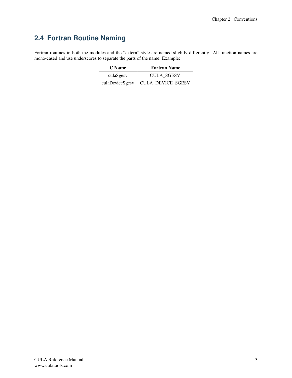## <span id="page-7-0"></span>**2.4 Fortran Routine Naming**

Fortran routines in both the modules and the "extern" style are named slightly differently. All function names are mono-cased and use underscores to separate the parts of the name. Example:

| C Name          | <b>Fortran Name</b> |
|-----------------|---------------------|
| culaSgesy       | <b>CULA SGESV</b>   |
| culaDeviceSgesv | CULA_DEVICE_SGESV   |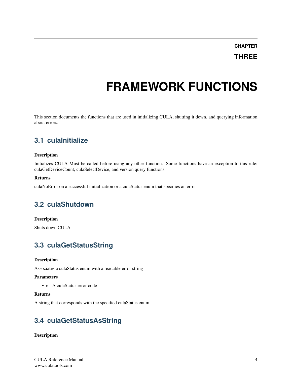**CHAPTER**

**THREE**

# **FRAMEWORK FUNCTIONS**

<span id="page-8-0"></span>This section documents the functions that are used in initializing CULA, shutting it down, and querying information about errors.

## <span id="page-8-1"></span>**3.1 culaInitialize**

#### Description

Initializes CULA Must be called before using any other function. Some functions have an exception to this rule: culaGetDeviceCount, culaSelectDevice, and version query functions

#### Returns

culaNoError on a successful initialization or a culaStatus enum that specifies an error

## <span id="page-8-2"></span>**3.2 culaShutdown**

#### **Description**

Shuts down CULA

## <span id="page-8-3"></span>**3.3 culaGetStatusString**

#### Description

Associates a culaStatus enum with a readable error string

#### **Parameters**

• e - A culaStatus error code

#### Returns

A string that corresponds with the specified culaStatus enum

## <span id="page-8-4"></span>**3.4 culaGetStatusAsString**

#### Description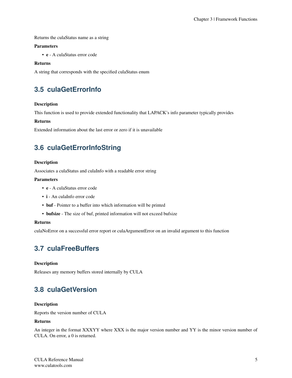Returns the culaStatus name as a string

#### Parameters

• e - A culaStatus error code

#### Returns

A string that corresponds with the specified culaStatus enum

## <span id="page-9-0"></span>**3.5 culaGetErrorInfo**

#### Description

This function is used to provide extended functionality that LAPACK's info parameter typically provides

#### Returns

Extended information about the last error or zero if it is unavailable

## <span id="page-9-1"></span>**3.6 culaGetErrorInfoString**

#### Description

Associates a culaStatus and culaInfo with a readable error string

#### **Parameters**

- e A culaStatus error code
- i An culaInfo error code
- buf Pointer to a buffer into which information will be printed
- bufsize The size of buf, printed information will not exceed bufsize

#### Returns

culaNoError on a successful error report or culaArgumentError on an invalid argument to this function

## <span id="page-9-2"></span>**3.7 culaFreeBuffers**

#### **Description**

Releases any memory buffers stored internally by CULA

## <span id="page-9-3"></span>**3.8 culaGetVersion**

#### Description

Reports the version number of CULA

#### Returns

An integer in the format XXXYY where XXX is the major version number and YY is the minor version number of CULA. On error, a 0 is returned.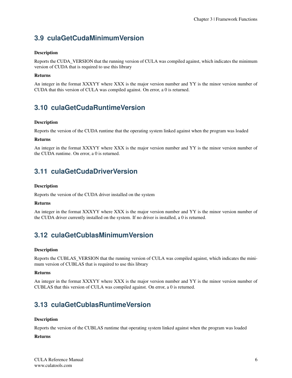## <span id="page-10-0"></span>**3.9 culaGetCudaMinimumVersion**

#### Description

Reports the CUDA\_VERSION that the running version of CULA was compiled against, which indicates the minimum version of CUDA that is required to use this library

#### Returns

An integer in the format XXXYY where XXX is the major version number and YY is the minor version number of CUDA that this version of CULA was compiled against. On error, a 0 is returned.

## <span id="page-10-1"></span>**3.10 culaGetCudaRuntimeVersion**

#### **Description**

Reports the version of the CUDA runtime that the operating system linked against when the program was loaded

#### Returns

An integer in the format XXXYY where XXX is the major version number and YY is the minor version number of the CUDA runtime. On error, a 0 is returned.

## <span id="page-10-2"></span>**3.11 culaGetCudaDriverVersion**

#### Description

Reports the version of the CUDA driver installed on the system

#### Returns

An integer in the format XXXYY where XXX is the major version number and YY is the minor version number of the CUDA driver currently installed on the system. If no driver is installed, a 0 is returned.

## <span id="page-10-3"></span>**3.12 culaGetCublasMinimumVersion**

#### Description

Reports the CUBLAS\_VERSION that the running version of CULA was compiled against, which indicates the minimum version of CUBLAS that is required to use this library

#### Returns

An integer in the format XXXYY where XXX is the major version number and YY is the minor version number of CUBLAS that this version of CULA was compiled against. On error, a 0 is returned.

## <span id="page-10-4"></span>**3.13 culaGetCublasRuntimeVersion**

#### **Description**

Reports the version of the CUBLAS runtime that operating system linked against when the program was loaded

#### Returns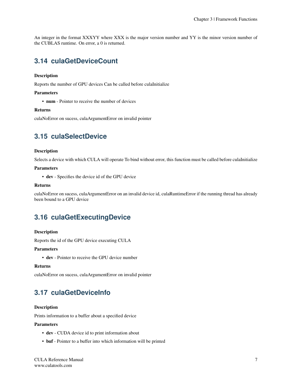An integer in the format XXXYY where XXX is the major version number and YY is the minor version number of the CUBLAS runtime. On error, a 0 is returned.

## <span id="page-11-0"></span>**3.14 culaGetDeviceCount**

#### Description

Reports the number of GPU devices Can be called before culaInitialize

#### Parameters

• num - Pointer to receive the number of devices

#### Returns

culaNoError on sucess, culaArgumentError on invalid pointer

## <span id="page-11-1"></span>**3.15 culaSelectDevice**

#### **Description**

Selects a device with which CULA will operate To bind without error, this function must be called before culaInitialize

#### Parameters

• dev - Specifies the device id of the GPU device

#### Returns

culaNoError on sucess, culaArgumentError on an invalid device id, culaRuntimeError if the running thread has already been bound to a GPU device

## <span id="page-11-2"></span>**3.16 culaGetExecutingDevice**

#### Description

Reports the id of the GPU device executing CULA

#### Parameters

• dev - Pointer to receive the GPU device number

#### Returns

culaNoError on sucess, culaArgumentError on invalid pointer

## <span id="page-11-3"></span>**3.17 culaGetDeviceInfo**

#### Description

Prints information to a buffer about a specified device

#### **Parameters**

- dev CUDA device id to print information about
- buf Pointer to a buffer into which information will be printed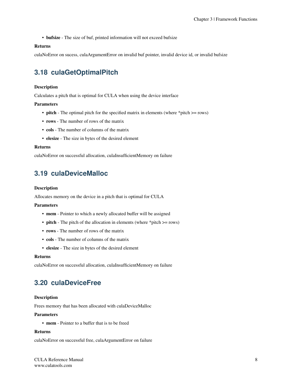• **bufsize** - The size of buf, printed information will not exceed bufsize

#### Returns

culaNoError on sucess, culaArgumentError on invalid buf pointer, invalid device id, or invalid bufsize

## <span id="page-12-0"></span>**3.18 culaGetOptimalPitch**

#### **Description**

Calculates a pitch that is optimal for CULA when using the device interface

#### Parameters

- pitch The optimal pitch for the specified matrix in elements (where \*pitch  $>=$  rows)
- rows The number of rows of the matrix
- cols The number of columns of the matrix
- elesize The size in bytes of the desired element

#### Returns

culaNoError on successful allocation, culaInsufficientMemory on failure

## <span id="page-12-1"></span>**3.19 culaDeviceMalloc**

#### Description

Allocates memory on the device in a pitch that is optimal for CULA

#### Parameters

- mem Pointer to which a newly allocated buffer will be assigned
- **pitch** The pitch of the allocation in elements (where \*pitch  $>=$  rows)
- rows The number of rows of the matrix
- cols The number of columns of the matrix
- elesize The size in bytes of the desired element

#### Returns

culaNoError on successful allocation, culaInsufficientMemory on failure

## <span id="page-12-2"></span>**3.20 culaDeviceFree**

#### Description

Frees memory that has been allocated with culaDeviceMalloc

#### **Parameters**

• mem - Pointer to a buffer that is to be freed

#### Returns

culaNoError on successful free, culaArgumentError on failure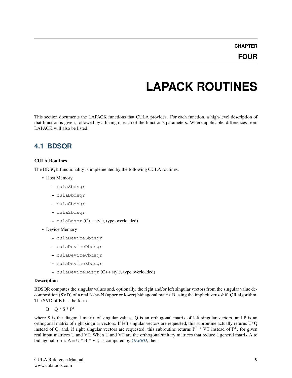# **LAPACK ROUTINES**

<span id="page-13-0"></span>This section documents the LAPACK functions that CULA provides. For each function, a high-level description of that function is given, followed by a listing of each of the function's parameters. Where applicable, differences from LAPACK will also be listed.

## <span id="page-13-1"></span>**4.1 BDSQR**

#### CULA Routines

The BDSQR functionality is implemented by the following CULA routines:

- Host Memory
	- culaSbdsqr
	- culaDbdsqr
	- culaCbdsqr
	- culaZbdsqr
	- culaBdsqr (C++ style, type overloaded)
- Device Memory
	- culaDeviceSbdsqr
	- culaDeviceDbdsqr
	- culaDeviceCbdsqr
	- culaDeviceZbdsqr
	- culaDeviceBdsqr (C++ style, type overloaded)

#### Description

BDSQR computes the singular values and, optionally, the right and/or left singular vectors from the singular value decomposition (SVD) of a real N-by-N (upper or lower) bidiagonal matrix B using the implicit zero-shift QR algorithm. The SVD of B has the form

 $B = O * S * P^{T}$ 

where S is the diagonal matrix of singular values, Q is an orthogonal matrix of left singular vectors, and P is an orthogonal matrix of right singular vectors. If left singular vectors are requested, this subroutine actually returns U\*Q instead of Q, and, if right singular vectors are requested, this subroutine returns  $P^T * VT$  instead of  $P^T$ , for given real input matrices U and VT. When U and VT are the orthogonal/unitary matrices that reduce a general matrix A to bidiagonal form:  $A = U * B * VT$ , as computed by *[GEBRD](#page-18-0)*, then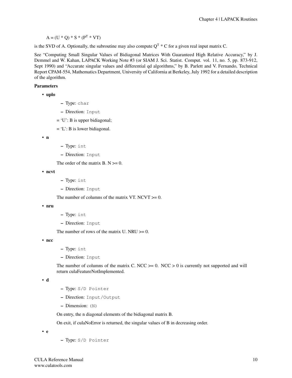$A = (U * Q) * S * (P<sup>T</sup> * VT)$ 

is the SVD of A. Optionally, the subroutine may also compute  $Q^T * C$  for a given real input matrix C.

See "Computing Small Singular Values of Bidiagonal Matrices With Guaranteed High Relative Accuracy," by J. Demmel and W. Kahan, LAPACK Working Note #3 (or SIAM J. Sci. Statist. Comput. vol. 11, no. 5, pp. 873-912, Sept 1990) and "Accurate singular values and differential qd algorithms," by B. Parlett and V. Fernando, Technical Report CPAM-554, Mathematics Department, University of California at Berkeley, July 1992 for a detailed description of the algorithm.

#### **Parameters**

```
• uplo
```
- Type: char
- Direction: Input
- $= 'U'$ : B is upper bidiagonal;
- $= 'L'$ : B is lower bidiagonal.

```
• n
```
- Type: int
- Direction: Input

The order of the matrix  $B. N \ge 0$ .

```
• ncvt
```
- Type: int
- Direction: Input

The number of columns of the matrix VT. NCVT  $>= 0$ .

```
• nru
```
- Type: int
- Direction: Input

The number of rows of the matrix U. NRU  $>= 0$ .

• ncc

- Type: int
- Direction: Input

The number of columns of the matrix C. NCC  $>0$ . NCC  $>0$  is currently not supported and will return culaFeatureNotImplemented.

• d

- Type: S/D Pointer
- Direction: Input/Output
- Dimension: (N)

On entry, the n diagonal elements of the bidiagonal matrix B.

On exit, if culaNoError is returned, the singular values of B in decreasing order.

• e

– Type: S/D Pointer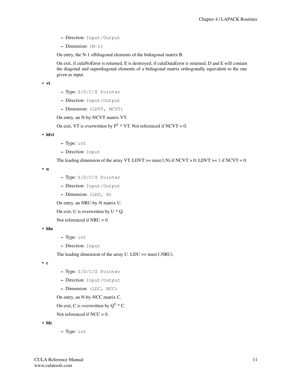- Direction: Input/Output
- $-$  Dimension:  $(N-1)$

On entry, the N-1 offdiagonal elements of the bidiagonal matrix B.

On exit, if culaNoError is returned, E is destroyed; if culaDataError is returned, D and E will contain the diagonal and superdiagonal elements of a bidiagonal matrix orthogonally equivalent to the one given as input.

• vt

- Type: S/D/C/Z Pointer
- Direction: Input/Output
- Dimension: (LDVT, NCVT)

On entry, an N-by-NCVT matrix VT.

On exit, VT is overwritten by  $P^{T} * V T$ . Not referenced if NCVT = 0.

• ldvt

- Type: int
- Direction: Input

The leading dimension of the array VT. LDVT  $>=$  max(1,N) if NCVT  $>$  0; LDVT  $>=$  1 if NCVT = 0.

• u

- Type: S/D/C/Z Pointer
- Direction: Input/Output
- Dimension: (LDU, N)

On entry, an NRU-by-N matrix U.

On exit, U is overwritten by  $U * Q$ .

Not referenced if  $NRU = 0$ .

#### • ldu

- Type: int
- Direction: Input

The leading dimension of the array U. LDU  $\geq$  max(1,NRU).

• c

- Type: S/D/C/Z Pointer
- Direction: Input/Output
- Dimension: (LDC, NCC)

On entry, an N-by-NCC matrix C.

On exit, C is overwritten by  $Q^T * C$ .

Not referenced if  $NCC = 0$ .

• ldc

– Type: int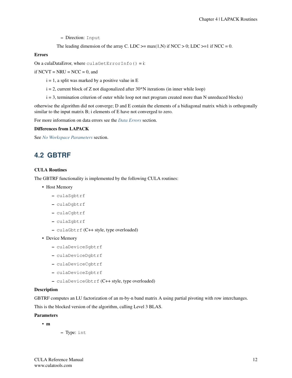– Direction: Input

```
The leading dimension of the array C. LDC >= max(1,N) if NCC > 0; LDC >=1 if NCC = 0.
```
#### Errors

On a culaDataError, where  $\text{culagletErrorInfo}() = i$ :

if  $NCVT = NRU = NCC = 0$ , and

- $i = 1$ , a split was marked by a positive value in E
- $i = 2$ , current block of Z not diagonalized after 30\*N iterations (in inner while loop)
- i = 3, termination criterion of outer while loop not met program created more than N unreduced blocks)

otherwise the algorithm did not converge; D and E contain the elements of a bidiagonal matrix which is orthogonally similar to the input matrix B; i elements of E have not converged to zero.

For more information on data errors see the *[Data Errors](#page-155-2)* section.

#### Differences from LAPACK

See *[No Workspace Parameters](#page-154-1)* section.

## <span id="page-16-0"></span>**4.2 GBTRF**

#### CULA Routines

The GBTRF functionality is implemented by the following CULA routines:

- Host Memory
	- culaSgbtrf
	- culaDgbtrf
	- culaCgbtrf
	- culaZgbtrf
	- culaGbtrf (C++ style, type overloaded)
- Device Memory
	- culaDeviceSgbtrf
	- culaDeviceDgbtrf
	- culaDeviceCgbtrf
	- culaDeviceZgbtrf
	- culaDeviceGbtrf (C++ style, type overloaded)

#### Description

GBTRF computes an LU factorization of an m-by-n band matrix A using partial pivoting with row interchanges.

This is the blocked version of the algorithm, calling Level 3 BLAS.

#### **Parameters**

- m
- Type: int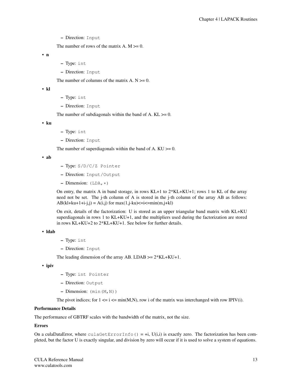– Direction: Input

The number of rows of the matrix  $A$ .  $M \ge 0$ .

• n

- Type: int
- Direction: Input

The number of columns of the matrix  $A. N \geq 0$ .

• kl

- Type: int
- Direction: Input

The number of subdiagonals within the band of A.  $KL \geq 0$ .

• ku

- Type: int
- Direction: Input

The number of superdiagonals within the band of A.  $KU \ge 0$ .

• ab

- Type: S/D/C/Z Pointer
- Direction: Input/Output
- Dimension:  $(LDA, \star)$

On entry, the matrix A in band storage, in rows KL+1 to 2\*KL+KU+1; rows 1 to KL of the array need not be set. The j-th column of A is stored in the j-th column of the array AB as follows:  $AB(kl+ku+1+i-j,j) = A(i,j)$  for  $max(1,j-ku) \leq i \leq min(m,j+kl)$ 

On exit, details of the factorization: U is stored as an upper triangular band matrix with KL+KU superdiagonals in rows 1 to KL+KU+1, and the multipliers used during the factorization are stored in rows KL+KU+2 to 2\*KL+KU+1. See below for further details.

```
• ldab
```
- Type: int
- Direction: Input

The leading dimension of the array AB. LDAB  $>= 2*KL+KU+1$ .

• ipiv

- Type: int Pointer
- Direction: Output
- Dimension: (min(M,N))

The pivot indices; for  $1 \le i \le \min(M, N)$ , row i of the matrix was interchanged with row IPIV(i).

#### Performance Details

The performance of GBTRF scales with the bandwidth of the matrix, not the size.

#### Errors

On a culaDataError, where culaGetErrorInfo() =  $+i$ , U(i,i) is exactly zero. The factorization has been completed, but the factor U is exactly singular, and division by zero will occur if it is used to solve a system of equations.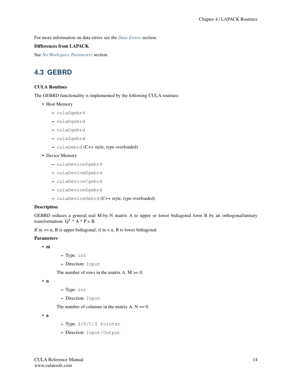For more information on data errors see the *[Data Errors](#page-155-2)* section.

#### Differences from LAPACK

See *[No Workspace Parameters](#page-154-1)* section.

## <span id="page-18-0"></span>**4.3 GEBRD**

#### CULA Routines

The GEBRD functionality is implemented by the following CULA routines:

- Host Memory
	- culaSgebrd
	- culaDgebrd
	- culaCgebrd
	- culaZgebrd
	- culaGebrd (C++ style, type overloaded)

#### • Device Memory

- culaDeviceSgebrd
- culaDeviceDgebrd
- culaDeviceCgebrd
- culaDeviceZgebrd
- culaDeviceGebrd (C++ style, type overloaded)

#### Description

GEBRD reduces a general real M-by-N matrix A to upper or lower bidiagonal form B by an orthogonal/unitary transformation:  $O^T * A * P = B$ .

If  $m \ge n$ , B is upper bidiagonal; if  $m < n$ , B is lower bidiagonal.

#### Parameters

#### • m

- Type: int
- Direction: Input

The number of rows in the matrix  $A$ .  $M \ge 0$ .

• n

- Type: int
- Direction: Input

The number of columns in the matrix  $A. N \ge 0$ .

• a

- Type: S/D/C/Z Pointer
- Direction: Input/Output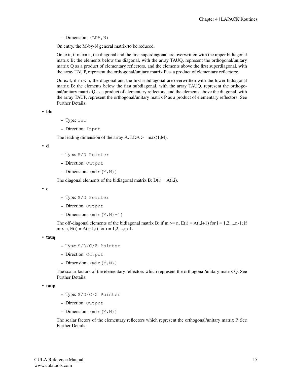– Dimension: (LDA,N)

On entry, the M-by-N general matrix to be reduced.

On exit, if  $m \geq n$ , the diagonal and the first superdiagonal are overwritten with the upper bidiagonal matrix B; the elements below the diagonal, with the array TAUQ, represent the orthogonal/unitary matrix Q as a product of elementary reflectors, and the elements above the first superdiagonal, with the array TAUP, represent the orthogonal/unitary matrix P as a product of elementary reflectors;

On exit, if  $m < n$ , the diagonal and the first subdiagonal are overwritten with the lower bidiagonal matrix B; the elements below the first subdiagonal, with the array TAUQ, represent the orthogonal/unitary matrix Q as a product of elementary reflectors, and the elements above the diagonal, with the array TAUP, represent the orthogonal/unitary matrix P as a product of elementary reflectors. See Further Details.

• lda

- Type: int
- Direction: Input

The leading dimension of the array A. LDA  $\geq$  max(1,M).

• d

- Type: S/D Pointer
- Direction: Output
- $-$  Dimension:  $(\min(M,N))$

The diagonal elements of the bidiagonal matrix B:  $D(i) = A(i,i)$ .

• e

- Type: S/D Pointer
- Direction: Output
- $-$  Dimension:  $(min(M,N)-1)$

The off-diagonal elements of the bidiagonal matrix B: if m  $>=$  n,  $E(i) = A(i,i+1)$  for  $i = 1,2,...,n-1$ ; if  $m < n$ ,  $E(i) = A(i+1,i)$  for  $i = 1,2,...,m-1$ .

```
• tauq
```
- Type: S/D/C/Z Pointer
- Direction: Output
- $-$  Dimension:  $(\min(M,N))$

The scalar factors of the elementary reflectors which represent the orthogonal/unitary matrix Q. See Further Details.

• taup

- Type: S/D/C/Z Pointer
- Direction: Output
- $-$  Dimension:  $(\min(M,N))$

The scalar factors of the elementary reflectors which represent the orthogonal/unitary matrix P. See Further Details.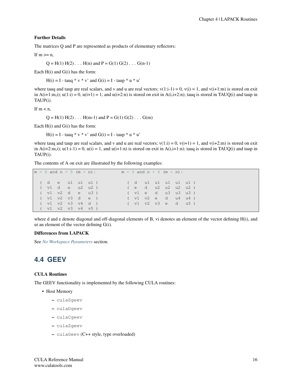#### Further Details

The matrices Q and P are represented as products of elementary reflectors:

If  $m \geq n$ ,

 $Q = H(1) H(2) ... H(n)$  and  $P = G(1) G(2) ... G(n-1)$ 

Each H(i) and G(i) has the form:

 $H(i) = I - ta uq * v * v'$  and  $G(i) = I - ta uq * u'$ 

where tauq and taup are real scalars, and v and u are real vectors;  $v(1:i-1) = 0$ ,  $v(i) = 1$ , and  $v(i+1:m)$  is stored on exit in  $A(i+1:m,i)$ ;  $u(1:i) = 0$ ,  $u(i+1) = 1$ , and  $u(i+2:n)$  is stored on exit in  $A(i,i+2:n)$ ; tauq is stored in TAUQ(i) and taup in TAUP(i).

If  $m < n$ ,

 $Q = H(1) H(2) \dots H(m-1)$  and  $P = G(1) G(2) \dots G(m)$ 

Each H(i) and G(i) has the form:

 $H(i) = I - taug * v * v'$  and  $G(i) = I - taup * u * u'$ 

where tauq and taup are real scalars, and v and u are real vectors;  $v(1:i) = 0$ ,  $v(i+1) = 1$ , and  $v(i+2:m)$  is stored on exit in  $A(i+2:m,i); u(1:i-1) = 0, u(i) = 1, and u(i+1:n)$  is stored on exit in  $A(i,i+1:n);$  tauq is stored in TAUQ(i) and taup in TAUP(i).

The contents of A on exit are illustrated by the following examples:

```
m = 6 and n = 5 (m > n): m = 5 and n = 6 (m < n):
( d e u1 u1 u1 ) ( d u1 u1 u1 u1 u1 )
( v1 d e u2 u2 ) ( e d u2 u2 u2 u2 )
( v1 v2 d e u3 ) ( v1 e d u3 u3 u3 )
( v1 v2 v3 d e ) ( v1 v2 e d u4 u4 )
( v1 v2 v3 v4 d ) ( v1 v2 v3 e d u5 )
( v1 v2 v3 v4 v5 )
```
where d and e denote diagonal and off-diagonal elements of B, vi denotes an element of the vector defining H(i), and ui an element of the vector defining G(i).

#### Differences from LAPACK

See *[No Workspace Parameters](#page-154-1)* section.

### <span id="page-20-0"></span>**4.4 GEEV**

#### CULA Routines

The GEEV functionality is implemented by the following CULA routines:

- Host Memory
	- culaSgeev
	- culaDgeev
	- culaCgeev
	- culaZgeev
	- culaGeev (C++ style, type overloaded)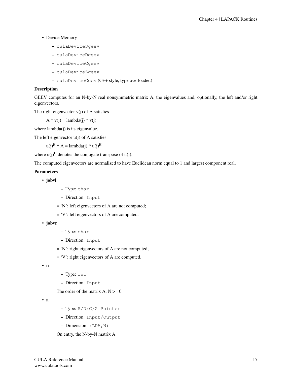- Device Memory
	- culaDeviceSgeev
	- culaDeviceDgeev
	- culaDeviceCgeev
	- culaDeviceZgeev
	- culaDeviceGeev (C++ style, type overloaded)

#### Description

GEEV computes for an N-by-N real nonsymmetric matrix A, the eigenvalues and, optionally, the left and/or right eigenvectors.

The right eigenvector  $v(j)$  of A satisfies

 $A * v(j) =$ lambda(j) \* v(j)

where lambda(j) is its eigenvalue.

The left eigenvector  $u(i)$  of A satisfies

 $u(i)^{H}$  \* A = lambda(j) \*  $u(i)^{H}$ 

where  $u(j)^H$  denotes the conjugate transpose of  $u(j)$ .

The computed eigenvectors are normalized to have Euclidean norm equal to 1 and largest component real.

#### Parameters

```
• jobvl
```
- Type: char
- Direction: Input
- = 'N': left eigenvectors of A are not computed;
- = 'V': left eigenvectors of A are computed.
- jobvr
- Type: char
- Direction: Input
- = 'N': right eigenvectors of A are not computed;
- = 'V': right eigenvectors of A are computed.

• n

- Type: int
- Direction: Input

The order of the matrix  $A. N \geq 0$ .

• a

- Type: S/D/C/Z Pointer
- Direction: Input/Output
- $-$  Dimension: (LDA, N)

On entry, the N-by-N matrix A.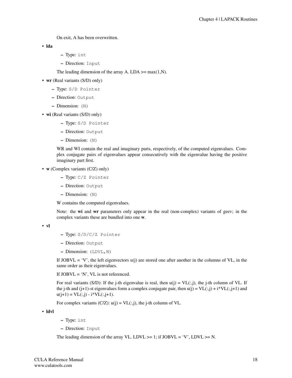On exit, A has been overwritten.

• lda

- Type: int
- Direction: Input

The leading dimension of the array A. LDA  $>=$  max(1,N).

- wr (Real variants (S/D) only)
	- Type: S/D Pointer
	- Direction: Output
	- Dimension: (N)
- **wi** (Real variants (S/D) only)
	- Type: S/D Pointer
	- Direction: Output
	- Dimension: (N)

WR and WI contain the real and imaginary parts, respectively, of the computed eigenvalues. Complex conjugate pairs of eigenvalues appear consecutively with the eigenvalue having the positive imaginary part first.

- **w** (Complex variants (C/Z) only)
	- Type: C/Z Pointer
	- Direction: Output
	- Dimension: (N)

W contains the computed eigenvalues.

Note: the wi and wr parameters only appear in the real (non-complex) variants of geev; in the complex variants these are bundled into one w.

```
• vl
```
- Type: S/D/C/Z Pointer
- Direction: Output
- Dimension: (LDVL,N)

If JOBVL = 'V', the left eigenvectors  $u(j)$  are stored one after another in the columns of VL, in the same order as their eigenvalues.

If  $JOBVL = 'N'$ ,  $VL$  is not referenced.

For real variants (S/D): If the j-th eigenvalue is real, then  $u(j) = VL(:,j)$ , the j-th column of VL. If the j-th and (j+1)-st eigenvalues form a complex conjugate pair, then  $u(j) = VL(:,j) + i*VL(:,j+1)$  and  $u(j+1) = VL(:,j) - i*VL(:,j+1).$ 

For complex variants  $(C/Z)$ :  $u(j) = VL(:,j)$ , the j-th column of VL.

• ldvl

- Type: int
- Direction: Input

The leading dimension of the array VL. LDVL  $>= 1$ ; if JOBVL = 'V', LDVL  $>= N$ .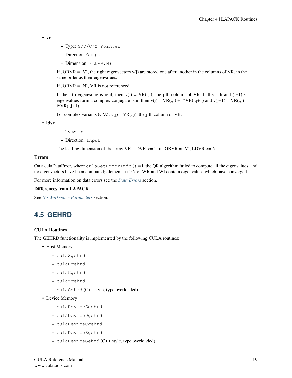```
• vr
```
- Type: S/D/C/Z Pointer
- Direction: Output
- Dimension: (LDVR, N)

If JOBVR = 'V', the right eigenvectors  $v(j)$  are stored one after another in the columns of VR, in the same order as their eigenvalues.

If  $JOBVR = 'N'$ ,  $VR$  is not referenced.

If the j-th eigenvalue is real, then  $v(j) = VR(:,j)$ , the j-th column of VR. If the j-th and  $(j+1)$ -st eigenvalues form a complex conjugate pair, then  $v(j) = VR(:,j) + i*VR(:,j+1)$  and  $v(j+1) = VR(:,j)$ .  $i*VR(:,j+1).$ 

For complex variants  $(C/Z)$ :  $v(j) = VR(:,j)$ , the j-th column of VR.

• ldvr

- Type: int
- Direction: Input

The leading dimension of the array VR. LDVR  $> = 1$ ; if JOBVR = 'V', LDVR  $> = N$ .

#### Errors

On a culaDataError, where  $\text{culaGetErrorInfo}() = i$ , the QR algorithm failed to compute all the eigenvalues, and no eigenvectors have been computed; elements i+1:N of WR and WI contain eigenvalues which have converged.

For more information on data errors see the *[Data Errors](#page-155-2)* section.

#### Differences from LAPACK

See *[No Workspace Parameters](#page-154-1)* section.

## <span id="page-23-0"></span>**4.5 GEHRD**

#### CULA Routines

The GEHRD functionality is implemented by the following CULA routines:

- Host Memory
	- culaSgehrd
	- culaDgehrd
	- culaCgehrd
	- culaZgehrd
	- culaGehrd (C++ style, type overloaded)

• Device Memory

- culaDeviceSgehrd
- culaDeviceDgehrd
- culaDeviceCgehrd
- culaDeviceZgehrd
- culaDeviceGehrd (C++ style, type overloaded)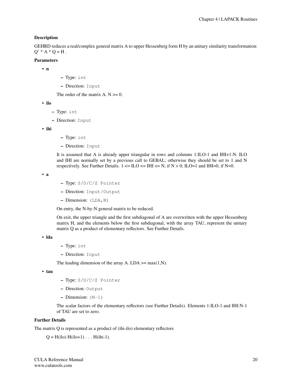#### Description

GEHRD reduces a real/complex general matrix A to upper Hessenberg form H by an unitary similarity transformation:  $Q' * A * Q = H$ .

#### Parameters

• n

- Type: int
- Direction: Input

The order of the matrix  $A. N \geq 0$ .

• ilo

- Type: int
- Direction: Input

• ihi

- Type: int
- Direction: Input

It is assumed that A is already upper triangular in rows and columns 1:ILO-1 and IHI+1:N. ILO and IHI are normally set by a previous call to GEBAL; otherwise they should be set to 1 and N respectively. See Further Details.  $1 \leq L$  ILO  $\leq L$  IHI  $\leq N$ , if  $N > 0$ ; ILO=1 and IHI=0, if N=0.

• a

- Type: S/D/C/Z Pointer
- Direction: Input/Output
- $-$  Dimension: (LDA, N)

On entry, the N-by-N general matrix to be reduced.

On exit, the upper triangle and the first subdiagonal of A are overwritten with the upper Hessenberg matrix H, and the elements below the first subdiagonal, with the array TAU, represent the unitary matrix Q as a product of elementary reflectors. See Further Details.

• lda

- Type: int
- Direction: Input

The leading dimension of the array A. LDA  $\geq$  max(1,N).

• tau

- Type: S/D/C/Z Pointer
- Direction: Output
- $-$  Dimension:  $(N-1)$

The scalar factors of the elementary reflectors (see Further Details). Elements 1:ILO-1 and IHI:N-1 of TAU are set to zero.

#### Further Details

The matrix Q is represented as a product of (ihi-ilo) elementary reflectors

 $Q = H(ilo) H(ilo+1) \ldots H(ihi-1).$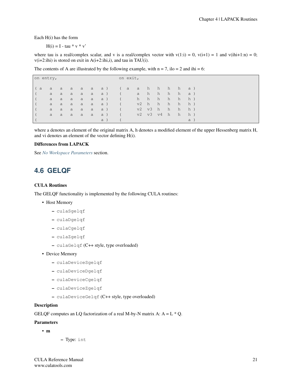Each H(i) has the form

 $H(i) = I - \tan * v * v'$ 

where tau is a real/complex scalar, and v is a real/complex vector with  $v(1:i) = 0$ ,  $v(i+1) = 1$  and  $v(ihi+1:n) = 0$ ;  $v(i+2:ihi)$  is stored on exit in  $A(i+2:ihi,i)$ , and tau in TAU(i).

The contents of A are illustrated by the following example, with  $n = 7$ , ilo = 2 and ihi = 6:

| on entry, |        |              |           |   |     |             | on exit,   |             |            |        |            |        |            |  |
|-----------|--------|--------------|-----------|---|-----|-------------|------------|-------------|------------|--------|------------|--------|------------|--|
|           |        |              |           |   |     |             |            |             |            |        |            |        |            |  |
| ( a       | a      | a            | a a       |   |     | a a)        | (a a h     | a h         |            | h h h  |            |        | $\alpha$ ) |  |
|           | a      | $\mathsf{a}$ | $\alpha$  | a | a   | a )         |            |             |            | h      | h          | h      | a )        |  |
|           | a<br>a | a<br>a       | a         | a | a a | a)          |            | h h<br>v2 h |            | h<br>h | h<br>h     | h<br>h | h)<br>h)   |  |
|           |        |              | a         | a | a   | a)          |            |             | v2 v3 h    |        | $\angle$ h | h      | h)         |  |
|           | a      | a            | $-$ a $-$ | a | a   | a )         | $\sqrt{2}$ |             | v2 v3 v4 h |        |            |        |            |  |
|           | a      | a            | a         | a | a   | $-$ a)<br>a |            |             |            |        |            | h      | h)         |  |

where a denotes an element of the original matrix A, h denotes a modified element of the upper Hessenberg matrix H, and vi denotes an element of the vector defining H(i).

#### Differences from LAPACK

See *[No Workspace Parameters](#page-154-1)* section.

## <span id="page-25-0"></span>**4.6 GELQF**

#### CULA Routines

The GELQF functionality is implemented by the following CULA routines:

- Host Memory
	- culaSgelqf
	- culaDgelqf
	- culaCgelqf
	- culaZgelqf
	- culaGelqf (C++ style, type overloaded)
- Device Memory
	- culaDeviceSgelqf
	- culaDeviceDgelqf
	- culaDeviceCgelqf
	- culaDeviceZgelqf
	- culaDeviceGelqf (C++ style, type overloaded)

#### **Description**

GELQF computes an LQ factorization of a real M-by-N matrix A:  $A = L * Q$ .

#### Parameters

- m
- Type: int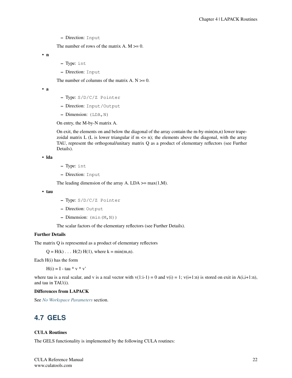– Direction: Input

The number of rows of the matrix  $A$ .  $M \ge 0$ .

• n

- Type: int
- Direction: Input

The number of columns of the matrix  $A. N \geq 0$ .

- a
- Type: S/D/C/Z Pointer
- Direction: Input/Output
- Dimension: (LDA,N)

On entry, the M-by-N matrix A.

On exit, the elements on and below the diagonal of the array contain the m-by-min $(m,n)$  lower trapezoidal matrix L (L is lower triangular if  $m \le n$ ); the elements above the diagonal, with the array TAU, represent the orthogonal/unitary matrix Q as a product of elementary reflectors (see Further Details).

```
• lda
```

```
– Type: int
```
– Direction: Input

The leading dimension of the array A. LDA  $\geq$  max(1,M).

• tau

- Type: S/D/C/Z Pointer
- Direction: Output
- $-$  Dimension:  $(\min(M,N))$

The scalar factors of the elementary reflectors (see Further Details).

#### Further Details

The matrix Q is represented as a product of elementary reflectors

 $Q = H(k) \dots H(2) H(1)$ , where  $k = min(m, n)$ .

Each H(i) has the form

 $H(i) = I - \tan * v * v'$ 

where tau is a real scalar, and v is a real vector with  $v(1:i-1) = 0$  and  $v(i) = 1$ ;  $v(i+1:n)$  is stored on exit in A(i,i+1:n), and tau in TAU(i).

#### Differences from LAPACK

See *[No Workspace Parameters](#page-154-1)* section.

## <span id="page-26-0"></span>**4.7 GELS**

#### CULA Routines

The GELS functionality is implemented by the following CULA routines: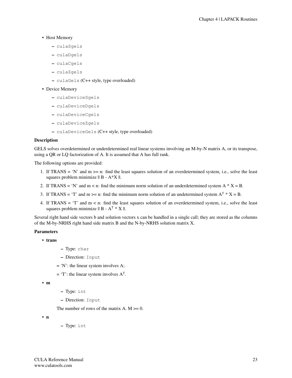#### • Host Memory

- culaSgels
- culaDgels
- culaCgels
- culaZgels
- culaGels (C++ style, type overloaded)

#### • Device Memory

- culaDeviceSgels
- culaDeviceDgels
- culaDeviceCgels
- culaDeviceZgels
- culaDeviceGels (C++ style, type overloaded)

#### **Description**

GELS solves overdetermined or underdetermined real linear systems involving an M-by-N matrix A, or its transpose, using a QR or LQ factorization of A. It is assumed that A has full rank.

The following options are provided:

- 1. If TRANS = 'N' and m >= n: find the least squares solution of an overdetermined system, i.e., solve the least squares problem minimize  $|| B - A^*X ||$ .
- 2. If TRANS = 'N' and m < n: find the minimum norm solution of an underdetermined system  $A * X = B$ .
- 3. If TRANS = 'T' and m >= n: find the minimum norm solution of an undetermined system  $A^T * X = B$ .
- 4. If TRANS = 'T' and m < n: find the least squares solution of an overdetermined system, i.e., solve the least squares problem minimize  $|| B - A^T * X ||$ .

Several right hand side vectors b and solution vectors x can be handled in a single call; they are stored as the columns of the M-by-NRHS right hand side matrix B and the N-by-NRHS solution matrix X.

#### Parameters

- trans
- Type: char
- Direction: Input
- $= 'N'$ : the linear system involves A;
- $=$  'T': the linear system involves  $A<sup>T</sup>$ .

• m

- Type: int
- Direction: Input

The number of rows of the matrix A.  $M \ge 0$ .

• n

– Type: int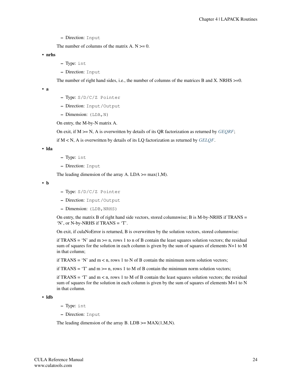– Direction: Input

The number of columns of the matrix  $A. N \ge 0$ .

• nrhs

- Type: int
- Direction: Input

The number of right hand sides, i.e., the number of columns of the matrices B and X. NRHS  $>=0$ .

• a

- Type: S/D/C/Z Pointer
- Direction: Input/Output
- Dimension: (LDA,N)

On entry, the M-by-N matrix A.

On exit, if M >= N, A is overwritten by details of its QR factorization as returned by *[GEQRF](#page-30-0)*;

if M < N, A is overwritten by details of its LQ factorization as returned by *[GELQF](#page-25-0)*.

• lda

- Type: int
- Direction: Input

The leading dimension of the array A. LDA  $\geq$  max(1,M).

• b

- Type: S/D/C/Z Pointer
- Direction: Input/Output
- Dimension: (LDB,NRHS)

On entry, the matrix B of right hand side vectors, stored columnwise; B is M-by-NRHS if TRANS  $=$ 'N', or N-by-NRHS if TRANS = 'T'.

On exit, if culaNoError is returned, B is overwritten by the solution vectors, stored columnwise:

if TRANS = 'N' and  $m \ge n$ , rows 1 to n of B contain the least squares solution vectors; the residual sum of squares for the solution in each column is given by the sum of squares of elements N+1 to M in that column;

if TRANS = 'N' and  $m < n$ , rows 1 to N of B contain the minimum norm solution vectors;

if TRANS =  $T$  and m >= n, rows 1 to M of B contain the minimum norm solution vectors;

if TRANS =  $T$  and  $m < n$ , rows 1 to M of B contain the least squares solution vectors; the residual sum of squares for the solution in each column is given by the sum of squares of elements M+1 to N in that column.

• ldb

- Type: int
- Direction: Input

The leading dimension of the array B. LDB  $\geq$ = MAX(1,M,N).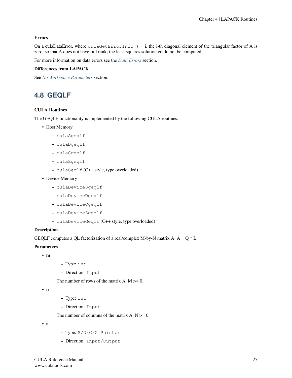#### Errors

On a culaDataError, where  $\text{culaGetErrorInfo}() = i$ , the i-th diagonal element of the triangular factor of A is zero, so that A does not have full rank; the least squares solution could not be computed.

For more information on data errors see the *[Data Errors](#page-155-2)* section.

#### Differences from LAPACK

See *[No Workspace Parameters](#page-154-1)* section.

## <span id="page-29-0"></span>**4.8 GEQLF**

#### CULA Routines

The GEQLF functionality is implemented by the following CULA routines:

- Host Memory
	- culaSgeqlf
	- culaDgeqlf
	- culaCgeqlf
	- culaZgeqlf
	- culaGeqlf (C++ style, type overloaded)
- Device Memory
	- culaDeviceSgeqlf
	- culaDeviceDgeqlf
	- culaDeviceCgeqlf
	- culaDeviceZgeqlf
	- culaDeviceGeqlf (C++ style, type overloaded)

#### Description

GEQLF computes a QL factorization of a real/complex M-by-N matrix A:  $A = Q * L$ .

#### Parameters

- m
- Type: int
- Direction: Input

The number of rows of the matrix A.  $M \ge 0$ .

• n

- Type: int
- Direction: Input

The number of columns of the matrix  $A. N \ge 0$ .

• a

- Type: S/D/C/Z Pointer,
- Direction: Input/Output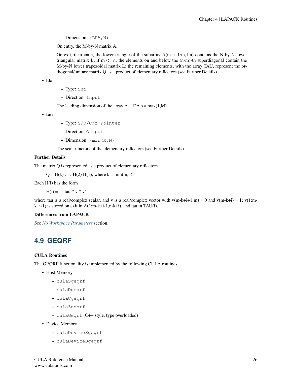– Dimension: (LDA,N)

On entry, the M-by-N matrix A.

On exit, if  $m \ge n$ , the lower triangle of the subarray  $A(m-n+1:m,1:n)$  contains the N-by-N lower triangular matrix L; if  $m \le n$ , the elements on and below the  $(n-m)$ -th superdiagonal contain the M-by-N lower trapezoidal matrix L; the remaining elements, with the array TAU, represent the orthogonal/unitary matrix Q as a product of elementary reflectors (see Further Details).

• lda

- Type: int
- Direction: Input

The leading dimension of the array A. LDA  $\geq$  max(1,M).

• tau

- Type: S/D/C/Z Pointer,
- Direction: Output
- $-$  Dimension:  $(\min(M,N))$

The scalar factors of the elementary reflectors (see Further Details).

#### Further Details

The matrix Q is represented as a product of elementary reflectors

 $Q = H(k) \dots H(2) H(1)$ , where  $k = min(m, n)$ .

Each H(i) has the form

 $H(i) = I - \tan * v * v'$ 

where tau is a real/complex scalar, and v is a real/complex vector with  $v(m-k+i+1:m) = 0$  and  $v(m-k+i) = 1$ ;  $v(1:m-k+i+1:m)$ k+i-1) is stored on exit in A(1:m-k+i-1,n-k+i), and tau in TAU(i).

#### Differences from LAPACK

See *[No Workspace Parameters](#page-154-1)* section.

## <span id="page-30-0"></span>**4.9 GEQRF**

#### CULA Routines

The GEQRF functionality is implemented by the following CULA routines:

- Host Memory
	- culaSgeqrf
	- culaDgeqrf
	- culaCgeqrf
	- culaZgeqrf
	- culaGeqrf (C++ style, type overloaded)
- Device Memory
	- culaDeviceSgeqrf
	- culaDeviceDgeqrf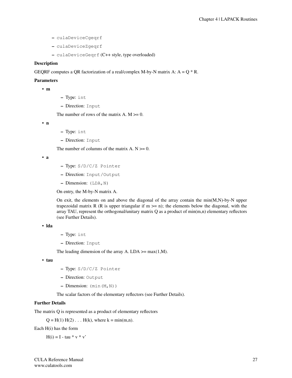- culaDeviceCgeqrf
- culaDeviceZgeqrf
- culaDeviceGeqrf (C++ style, type overloaded)

#### Description

GEQRF computes a QR factorization of a real/complex M-by-N matrix A:  $A = Q * R$ .

#### Parameters

• m

- Type: int
- Direction: Input

The number of rows of the matrix A.  $M \ge 0$ .

• n

- Type: int
- Direction: Input

The number of columns of the matrix  $A. N \geq 0$ .

• a

- Type: S/D/C/Z Pointer
- Direction: Input/Output
- Dimension: (LDA,N)

On entry, the M-by-N matrix A.

On exit, the elements on and above the diagonal of the array contain the  $min(M,N)$ -by-N upper trapezoidal matrix R (R is upper triangular if  $m \ge n$ ); the elements below the diagonal, with the array TAU, represent the orthogonal/unitary matrix  $Q$  as a product of min $(m,n)$  elementary reflectors (see Further Details).

#### • lda

- Type: int
- Direction: Input

The leading dimension of the array A. LDA  $\geq$  max(1,M).

• tau

- Type: S/D/C/Z Pointer
- Direction: Output
- Dimension: (min(M,N))

The scalar factors of the elementary reflectors (see Further Details).

#### Further Details

The matrix Q is represented as a product of elementary reflectors

 $Q = H(1) H(2) ... H(k)$ , where  $k = min(m,n)$ .

Each H(i) has the form

 $H(i) = I - \tan * v * v'$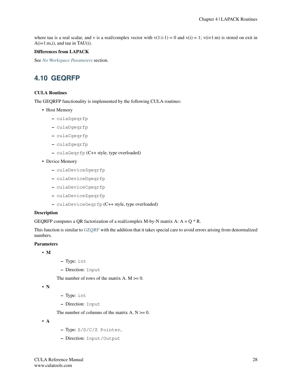where tau is a real scalar, and v is a real/complex vector with  $v(1:i-1) = 0$  and  $v(i) = 1$ ;  $v(i+1:m)$  is stored on exit in A(i+1:m,i), and tau in TAU(i).

#### Differences from LAPACK

See *[No Workspace Parameters](#page-154-1)* section.

## <span id="page-32-0"></span>**4.10 GEQRFP**

#### CULA Routines

The GEQRFP functionality is implemented by the following CULA routines:

- Host Memory
	- culaSgeqrfp
	- culaDgeqrfp
	- culaCgeqrfp
	- culaZgeqrfp
	- culaGeqrfp (C++ style, type overloaded)
- Device Memory
	- culaDeviceSgeqrfp
	- culaDeviceDgeqrfp
	- culaDeviceCgeqrfp
	- culaDeviceZgeqrfp
	- culaDeviceGeqrfp (C++ style, type overloaded)

#### Description

GEQRFP computes a QR factorization of a real/complex M-by-N matrix A:  $A = Q * R$ .

This function is similar to *[GEQRF](#page-30-0)* with the addition that it takes special care to avoid errors arising from denormalized numbers.

#### Parameters

- M
- Type: int
- Direction: Input

The number of rows of the matrix A.  $M \ge 0$ .

```
• N
```
- Type: int
- Direction: Input

The number of columns of the matrix  $A \cdot N \geq 0$ .

• A

- Type: S/D/C/Z Pointer,
- Direction: Input/Output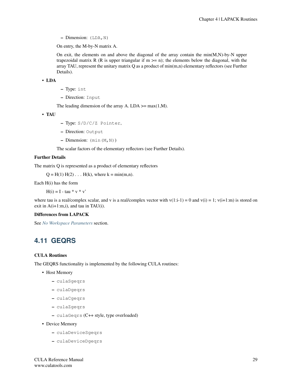– Dimension: (LDA,N)

On entry, the M-by-N matrix A.

On exit, the elements on and above the diagonal of the array contain the min(M,N)-by-N upper trapezoidal matrix R (R is upper triangular if  $m \ge n$ ); the elements below the diagonal, with the array TAU, represent the unitary matrix Q as a product of min(m,n) elementary reflectors (see Further Details).

• LDA

- Type: int
- Direction: Input

The leading dimension of the array A. LDA  $\geq$  max(1,M).

• TAU

- Type: S/D/C/Z Pointer,
- Direction: Output
- $-$  Dimension:  $(\min(M,N))$

The scalar factors of the elementary reflectors (see Further Details).

#### Further Details

The matrix Q is represented as a product of elementary reflectors

 $Q = H(1) H(2) ... H(k)$ , where  $k = min(m,n)$ .

Each H(i) has the form

 $H(i) = I - \tan * v * v'$ 

where tau is a real/complex scalar, and v is a real/complex vector with  $v(1:i-1) = 0$  and  $v(i) = 1$ ;  $v(i+1:m)$  is stored on exit in A(i+1:m,i), and tau in TAU(i).

#### Differences from LAPACK

See *[No Workspace Parameters](#page-154-1)* section.

## <span id="page-33-0"></span>**4.11 GEQRS**

#### CULA Routines

The GEQRS functionality is implemented by the following CULA routines:

- Host Memory
	- culaSgeqrs
	- culaDgeqrs
	- culaCgeqrs
	- culaZgeqrs
	- culaGeqrs (C++ style, type overloaded)
- Device Memory
	- culaDeviceSgeqrs
	- culaDeviceDgeqrs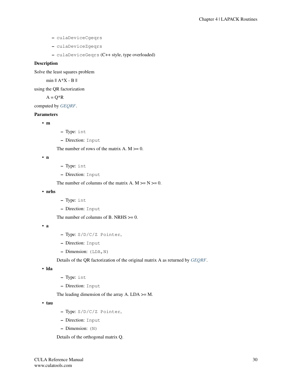- culaDeviceCgeqrs
- culaDeviceZgeqrs
- culaDeviceGeqrs (C++ style, type overloaded)

#### Description

Solve the least squares problem

min || A\*X - B ||

using the QR factorization

 $A = Q^*R$ 

computed by *[GEQRF](#page-30-0)*.

#### Parameters

• m

- Type: int
- Direction: Input

The number of rows of the matrix  $A$ .  $M \ge 0$ .

• n

- Type: int
- Direction: Input

The number of columns of the matrix A.  $M \ge N \ge 0$ .

• nrhs

- Type: int
- Direction: Input

The number of columns of B. NRHS  $\geq 0$ .

• a

- Type: S/D/C/Z Pointer,
- Direction: Input
- Dimension: (LDA,N)

Details of the QR factorization of the original matrix A as returned by *[GEQRF](#page-30-0)*.

• lda

- Type: int
- Direction: Input

The leading dimension of the array A.  $LDA \geq M$ .

• tau

- Type: S/D/C/Z Pointer,
- Direction: Input
- Dimension: (N)

Details of the orthogonal matrix Q.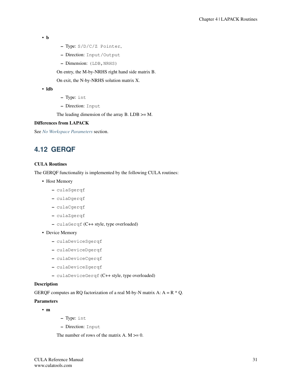```
• b
```
- Type: S/D/C/Z Pointer,
- Direction: Input/Output
- Dimension: (LDB, NRHS)

On entry, the M-by-NRHS right hand side matrix B.

On exit, the N-by-NRHS solution matrix X.

• ldb

- Type: int
- Direction: Input

The leading dimension of the array B.  $LDB \geq M$ .

#### Differences from LAPACK

See *[No Workspace Parameters](#page-154-1)* section.

## <span id="page-35-0"></span>**4.12 GERQF**

#### CULA Routines

The GERQF functionality is implemented by the following CULA routines:

- Host Memory
	- culaSgerqf
	- culaDgerqf
	- culaCgerqf
	- culaZgerqf
	- culaGerqf (C++ style, type overloaded)
- Device Memory
	- culaDeviceSgerqf
	- culaDeviceDgerqf
	- culaDeviceCgerqf
	- culaDeviceZgerqf
	- culaDeviceGerqf (C++ style, type overloaded)

#### Description

GERQF computes an RQ factorization of a real M-by-N matrix A:  $A = R * Q$ .

#### Parameters

- m
- Type: int
- Direction: Input

The number of rows of the matrix  $A$ .  $M \ge 0$ .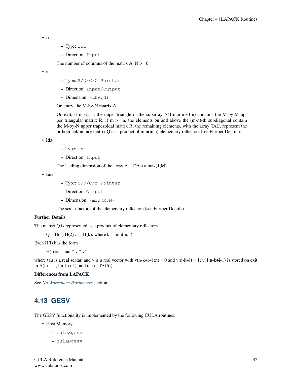• n

- Type: int
- Direction: Input

The number of columns of the matrix  $A. N \ge 0$ .

• a

- Type: S/D/C/Z Pointer
- Direction: Input/Output
- $-$  Dimension: (LDA, N)

On entry, the M-by-N matrix A.

On exit, if m  $\leq$  n, the upper triangle of the subarray A(1:m,n-m+1:n) contains the M-by-M upper triangular matrix R; if  $m \ge n$ , the elements on and above the  $(m-n)$ -th subdiagonal contain the M-by-N upper trapezoidal matrix R; the remaining elements, with the array TAU, represent the orthogonal/unitary matrix Q as a product of min(m,n) elementary reflectors (see Further Details).

• lda

- Type: int
- Direction: Input

The leading dimension of the array A. LDA  $\geq$  max(1,M).

```
• tau
```
- Type: S/D/C/Z Pointer
- Direction: Output
- $-$  Dimension:  $(\min(M,N))$

The scalar factors of the elementary reflectors (see Further Details).

## Further Details

The matrix Q is represented as a product of elementary reflectors

 $Q = H(1) H(2) ... H(k)$ , where  $k = min(m,n)$ .

Each H(i) has the form

 $H(i) = I - \tan * v * v'$ 

where tau is a real scalar, and v is a real vector with  $v(n-k+i+1:n) = 0$  and  $v(n-k+i) = 1$ ;  $v(1:n-k+i-1)$  is stored on exit in  $A(m-k+i,1:n-k+i-1)$ , and tau in TAU(i).

#### Differences from LAPACK

See *[No Workspace Parameters](#page-154-0)* section.

# **4.13 GESV**

The GESV functionality is implemented by the following CULA routines:

- Host Memory
	- culaSgesv
	- culaDgesv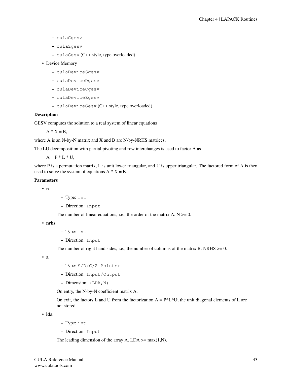- culaCgesv
- culaZgesv
- culaGesv (C++ style, type overloaded)

## • Device Memory

- culaDeviceSgesv
- culaDeviceDgesv
- culaDeviceCgesv
- culaDeviceZgesv
- culaDeviceGesv (C++ style, type overloaded)

## Description

GESV computes the solution to a real system of linear equations

 $A * X = B$ ,

where A is an N-by-N matrix and X and B are N-by-NRHS matrices.

The LU decomposition with partial pivoting and row interchanges is used to factor A as

 $A = P * L * U$ ,

where P is a permutation matrix, L is unit lower triangular, and U is upper triangular. The factored form of A is then used to solve the system of equations  $A * X = B$ .

#### Parameters

• n

– Type: int

– Direction: Input

The number of linear equations, i.e., the order of the matrix  $A. N \ge 0$ .

• nrhs

- Type: int
- Direction: Input

The number of right hand sides, i.e., the number of columns of the matrix B. NRHS  $>= 0$ .

• a

- Type: S/D/C/Z Pointer
- Direction: Input/Output
- Dimension: (LDA,N)

On entry, the N-by-N coefficient matrix A.

On exit, the factors L and U from the factorization  $A = P^*L^*U$ ; the unit diagonal elements of L are not stored.

• lda

- Type: int
- Direction: Input

The leading dimension of the array A. LDA  $\geq$  max(1,N).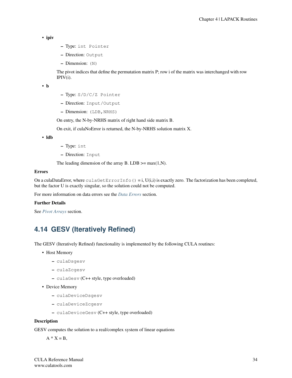```
• ipiv
```
- Type: int Pointer
- Direction: Output
- Dimension: (N)

The pivot indices that define the permutation matrix P; row i of the matrix was interchanged with row  $IPIV(i)$ .

• b

- Type: S/D/C/Z Pointer
- Direction: Input/Output
- Dimension: (LDB, NRHS)

On entry, the N-by-NRHS matrix of right hand side matrix B.

On exit, if culaNoError is returned, the N-by-NRHS solution matrix X.

• ldb

- Type: int
- Direction: Input

The leading dimension of the array B. LDB  $\geq$  max(1,N).

## Errors

On a culaDataError, where  $\text{culaGetErrorInfo}() = i, U(i,i)$  is exactly zero. The factorization has been completed, but the factor U is exactly singular, so the solution could not be computed.

For more information on data errors see the *[Data Errors](#page-155-0)* section.

## Further Details

See *[Pivot Arrays](#page-155-1)* section.

# **4.14 GESV (Iteratively Refined)**

The GESV (Iteratively Refined) functionality is implemented by the following CULA routines:

- Host Memory
	- culaDsgesv
	- culaZcgesv
	- culaGesv (C++ style, type overloaded)
- Device Memory
	- culaDeviceDsgesv
	- culaDeviceZcgesv
	- culaDeviceGesv (C++ style, type overloaded)

## **Description**

GESV computes the solution to a real/complex system of linear equations

 $A * X = B$ ,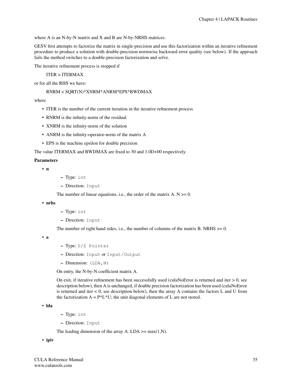where A is an N-by-N matrix and X and B are N-by-NRHS matrices.

GESV first attempts to factorize the matrix in single-precision and use this factorization within an iterative refinement procedure to produce a solution with double-precision normwise backward error quality (see below). If the approach fails the method switches to a double-precision factorization and solve.

The iterative refinement process is stopped if

# ITER > ITERMAX

or for all the RHS we have:

# RNRM < SQRT(N)\*XNRM\*ANRM\*EPS\*BWDMAX

## where

- ITER is the number of the current iteration in the iterative refinement process
- RNRM is the infinity-norm of the residual
- XNRM is the infinity-norm of the solution
- ANRM is the infinity-operator-norm of the matrix A
- EPS is the machine epsilon for double precision

The value ITERMAX and BWDMAX are fixed to 30 and 1.0D+00 respectively.

## Parameters

• n

- Type: int
- Direction: Input

The number of linear equations, i.e., the order of the matrix  $A \cdot N \geq 0$ .

• nrhs

- Type: int
- Direction: Input

The number of right hand sides, i.e., the number of columns of the matrix B. NRHS  $\geq$  = 0.

• a

- Type: D/Z Pointer
- Direction: Input or Input/Output
- $-$  Dimension: (LDA, N)

On entry, the N-by-N coefficient matrix A.

On exit, if iterative refinement has been successfully used (culaNoError is returned and iter  $> 0$ , see description below), then A is unchanged, if double precision factorization has been used (culaNoError is returned and iter  $< 0$ , see description below), then the array A contains the factors L and U from the factorization  $A = P^*L^*U$ ; the unit diagonal elements of L are not stored.

• lda

- Type: int
- Direction: Input

The leading dimension of the array A. LDA  $\geq$  max(1,N).

• ipiv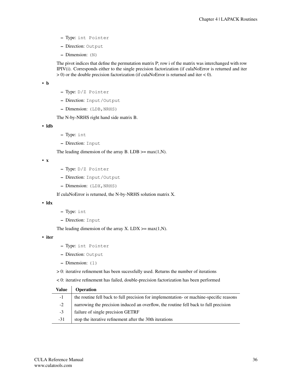- Type: int Pointer
- Direction: Output
- Dimension: (N)

The pivot indices that define the permutation matrix P; row i of the matrix was interchanged with row IPIV(i). Corresponds either to the single precision factorization (if culaNoError is returned and iter  $> 0$ ) or the double precision factorization (if culaNoError is returned and iter  $< 0$ ).

• b

- Type: D/Z Pointer
- Direction: Input/Output
- Dimension: (LDB, NRHS)

The N-by-NRHS right hand side matrix B.

• ldb

- Type: int
- Direction: Input

The leading dimension of the array B. LDB  $\geq$  max(1,N).

• x

- Type: D/Z Pointer
- Direction: Input/Output
- Dimension: (LDX, NRHS)

If culaNoError is returned, the N-by-NRHS solution matrix X.

• ldx

- Type: int
- Direction: Input

The leading dimension of the array X. LDX  $>=$  max(1,N).

• iter

- Type: int Pointer
- Direction: Output
- Dimension: (1)
- > 0: iterative refinement has been sucessfully used. Returns the number of iterations
- < 0: iterative refinement has failed, double-precision factorization has been performed

| <b>Value</b> | <b>Operation</b>                                                                        |
|--------------|-----------------------------------------------------------------------------------------|
| $-1$         | the routine fell back to full precision for implementation- or machine-specific reasons |
| $-2$         | narrowing the precision induced an overflow, the routine fell back to full precision    |
| $-3$         | failure of single precision GETRF                                                       |
| $-31$        | stop the iterative refinement after the 30th iterations                                 |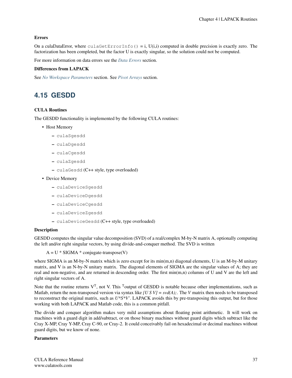# Errors

On a culaDataError, where culaGetErrorInfo() = i,  $U(i,i)$  computed in double precision is exactly zero. The factorization has been completed, but the factor U is exactly singular, so the solution could not be computed.

For more information on data errors see the *[Data Errors](#page-155-0)* section.

# Differences from LAPACK

See *[No Workspace Parameters](#page-154-0)* section. See *[Pivot Arrays](#page-155-1)* section.

# **4.15 GESDD**

# CULA Routines

The GESDD functionality is implemented by the following CULA routines:

- Host Memory
	- culaSgesdd
	- culaDgesdd
	- culaCgesdd
	- culaZgesdd
	- culaGesdd (C++ style, type overloaded)
- Device Memory
	- culaDeviceSgesdd
	- culaDeviceDgesdd
	- culaDeviceCgesdd
	- culaDeviceZgesdd
	- culaDeviceGesdd (C++ style, type overloaded)

## Description

GESDD computes the singular value decomposition (SVD) of a real/complex M-by-N matrix A, optionally computing the left and/or right singular vectors, by using divide-and-conquer method. The SVD is written

 $A = U * SIGMA * conjugate-transpose(V)$ 

where SIGMA is an M-by-N matrix which is zero except for its min(m,n) diagonal elements, U is an M-by-M unitary matrix, and V is an N-by-N unitary matrix. The diagonal elements of SIGMA are the singular values of A; they are real and non-negative, and are returned in descending order. The first min(m,n) columns of U and V are the left and right singular vectors of A.

Note that the routine returns  $V<sup>T</sup>$ , not V. This <sup>T</sup>output of GESDD is notable because other implementations, such as Matlab, return the non-transposed version via syntax like *[U S V]* =  $svd(A)$ ; The *V* matrix then needs to be transposed to reconstruct the original matrix, such as *U\*S\*V'*. LAPACK avoids this by pre-transposing this output, but for those working with both LAPACK and Matlab code, this is a common pitfall.

The divide and conquer algorithm makes very mild assumptions about floating point arithmetic. It will work on machines with a guard digit in add/subtract, or on those binary machines without guard digits which subtract like the Cray X-MP, Cray Y-MP, Cray C-90, or Cray-2. It could conceivably fail on hexadecimal or decimal machines without guard digits, but we know of none.

# Parameters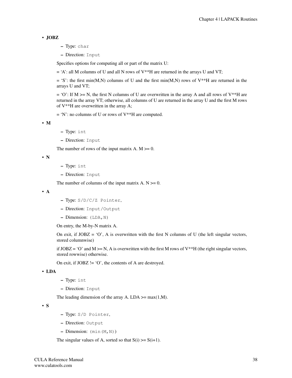# • JOBZ

– Type: char

– Direction: Input

Specifies options for computing all or part of the matrix U:

 $=$  'A': all M columns of U and all N rows of V\*\*H are returned in the arrays U and VT;

 $=$  'S': the first min(M,N) columns of U and the first min(M,N) rows of V\*\*H are returned in the arrays U and VT;

 $= 'O'$ : If M  $>= N$ , the first N columns of U are overwritten in the array A and all rows of V\*\*H are returned in the array VT; otherwise, all columns of U are returned in the array U and the first M rows of V\*\*H are overwritten in the array A;

 $= 'N'$ : no columns of U or rows of V\*\*H are computed.

• M

- Type: int
- Direction: Input

The number of rows of the input matrix  $A$ .  $M \ge 0$ .

```
• N
```
- Type: int
- Direction: Input

The number of columns of the input matrix  $A. N \ge 0$ .

• A

- Type: S/D/C/Z Pointer,
- Direction: Input/Output
- $-$  Dimension: (LDA, N)

On entry, the M-by-N matrix A.

On exit, if  $JOBZ = 'O'$ , A is overwritten with the first N columns of U (the left singular vectors, stored columnwise)

if  $JOBZ = 'O'$  and  $M \ge N$ , A is overwritten with the first M rows of  $V^*H$  (the right singular vectors, stored rowwise) otherwise.

On exit, if  $JOBZ$  != 'O', the contents of A are destroyed.

# • LDA

- Type: int
- Direction: Input

The leading dimension of the array A. LDA  $\geq$  max(1,M).

• S

- Type: S/D Pointer,
- Direction: Output
- $-$  Dimension:  $(\min(M,N))$

The singular values of A, sorted so that  $S(i) \geq S(i+1)$ .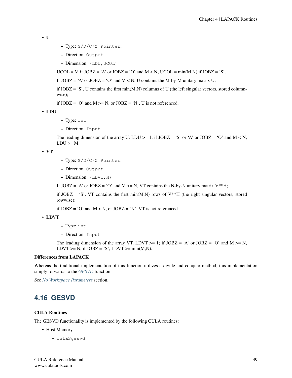• U

- Type: S/D/C/Z Pointer,
- Direction: Output
- Dimension: (LDU, UCOL)

UCOL = M if  $JOBZ = 'A'$  or  $JOBZ = 'O'$  and  $M < N$ ; UCOL = min(M,N) if  $JOBZ = 'S'$ .

If  $JOBZ = 'A'$  or  $JOBZ = 'O'$  and  $M < N$ , U contains the M-by-M unitary matrix U;

if  $JOBZ = 'S'$ , U contains the first min $(M,N)$  columns of U (the left singular vectors, stored columnwise);

if  $JOBZ = 'O'$  and  $M \ge N$ , or  $JOBZ = 'N'$ , U is not referenced.

• LDU

- Type: int
- Direction: Input

The leading dimension of the array U. LDU  $>= 1$ ; if JOBZ = 'S' or 'A' or JOBZ = 'O' and M < N,  $LDU \geq M$ .

#### • VT

- Type: S/D/C/Z Pointer,
- Direction: Output
- Dimension: (LDVT,N)

If  $JOBZ = 'A'$  or  $JOBZ = 'O'$  and  $M \ge N$ , VT contains the N-by-N unitary matrix V<sup>\*\*</sup>H;

if  $JOBZ = 'S'$ , VT contains the first min(M,N) rows of V\*\*H (the right singular vectors, stored rowwise);

if  $JOBZ = 'O'$  and  $M < N$ , or  $JOBZ = 'N'$ , VT is not referenced.

#### • LDVT

- Type: int
- Direction: Input

The leading dimension of the array VT. LDVT  $>= 1$ ; if JOBZ = 'A' or JOBZ = 'O' and M  $>= N$ , LDVT >= N; if  $JOBZ = 'S'$ , LDVT >= min(M,N).

## Differences from LAPACK

Whereas the traditional implementation of this function utilizes a divide-and-conquer method, this implementation simply forwards to the *[GESVD](#page-43-0)* function.

See *[No Workspace Parameters](#page-154-0)* section.

# <span id="page-43-0"></span>**4.16 GESVD**

# CULA Routines

The GESVD functionality is implemented by the following CULA routines:

- Host Memory
	- culaSgesvd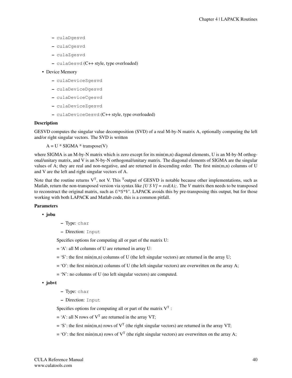- culaDgesvd
- culaCgesvd
- culaZgesvd
- culaGesvd (C++ style, type overloaded)

## • Device Memory

- culaDeviceSgesvd
- culaDeviceDgesvd
- culaDeviceCgesvd
- culaDeviceZgesvd
- culaDeviceGesvd (C++ style, type overloaded)

## Description

GESVD computes the singular value decomposition (SVD) of a real M-by-N matrix A, optionally computing the left and/or right singular vectors. The SVD is written

 $A = U * SIGMA * transpose(V)$ 

where SIGMA is an M-by-N matrix which is zero except for its min(m,n) diagonal elements, U is an M-by-M orthogonal/unitary matrix, and V is an N-by-N orthogonal/unitary matrix. The diagonal elements of SIGMA are the singular values of A; they are real and non-negative, and are returned in descending order. The first  $min(m,n)$  columns of U and V are the left and right singular vectors of A.

Note that the routine returns  $V<sup>T</sup>$ , not V. This <sup>T</sup>output of GESVD is notable because other implementations, such as Matlab, return the non-transposed version via syntax like *[U S V]* =  $svd(A)$ ; The *V* matrix then needs to be transposed to reconstruct the original matrix, such as *U\*S\*V'*. LAPACK avoids this by pre-transposing this output, but for those working with both LAPACK and Matlab code, this is a common pitfall.

# Parameters

• jobu

- Type: char
- Direction: Input

Specifies options for computing all or part of the matrix U:

- = 'A': all M columns of U are returned in array U:
- $=$  'S': the first min(m,n) columns of U (the left singular vectors) are returned in the array U;
- $= 'O'$ : the first min(m,n) columns of U (the left singular vectors) are overwritten on the array A;
- = 'N': no columns of U (no left singular vectors) are computed.

• jobvt

– Type: char

– Direction: Input

Specifies options for computing all or part of the matrix  $V<sup>T</sup>$ :

- $=$  'A': all N rows of  $V<sup>T</sup>$  are returned in the array VT;
- $=$  'S': the first min(m,n) rows of  $V<sup>T</sup>$  (the right singular vectors) are returned in the array VT;
- $= 'O'$ : the first min(m,n) rows of V<sup>T</sup> (the right singular vectors) are overwritten on the array A;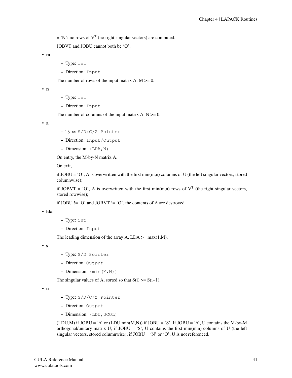$=$  'N': no rows of  $V<sup>T</sup>$  (no right singular vectors) are computed.

JOBVT and JOBU cannot both be 'O'.

• m

- Type: int
- Direction: Input

The number of rows of the input matrix  $A$ .  $M \ge 0$ .

• n

- Type: int
- Direction: Input

The number of columns of the input matrix  $A. N \ge 0$ .

• a

- Type: S/D/C/Z Pointer
- Direction: Input/Output
- Dimension: (LDA,N)

On entry, the M-by-N matrix A.

On exit,

if  $JOBU = 'O'$ , A is overwritten with the first min $(m,n)$  columns of U (the left singular vectors, stored columnwise);

if JOBVT = 'O', A is overwritten with the first min(m,n) rows of  $V<sup>T</sup>$  (the right singular vectors, stored rowwise);

if JOBU != 'O' and JOBVT != 'O', the contents of A are destroyed.

• lda

– Type: int

– Direction: Input

The leading dimension of the array A. LDA  $>=$  max(1,M).

• s

- Type: S/D Pointer
- Direction: Output
- $-$  Dimension:  $(\min(M,N))$

The singular values of A, sorted so that  $S(i) \geq S(i+1)$ .

• u

- Type: S/D/C/Z Pointer
- Direction: Output
- Dimension: (LDU,UCOL)

 $(LDU,M)$  if JOBU = 'A' or  $(LDU,min(M,N))$  if JOBU = 'S'. If JOBU = 'A', U contains the M-by-M orthogonal/unitary matrix U; if  $JOBU = 'S'$ , U contains the first min $(m,n)$  columns of U (the left singular vectors, stored columnwise); if  $JOBU = 'N'$  or 'O', U is not referenced.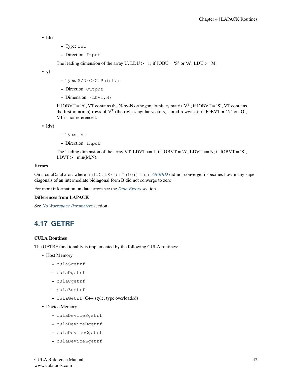```
• ldu
```
- Type: int
- Direction: Input

The leading dimension of the array U. LDU  $>= 1$ ; if JOBU = 'S' or 'A', LDU  $>= M$ .

• vt

- Type: S/D/C/Z Pointer
- Direction: Output
- $-$  Dimension: (LDVT, N)

If JOBVT = 'A', VT contains the N-by-N orthogonal/unitary matrix  $V^T$ ; if JOBVT = 'S', VT contains the first min(m,n) rows of  $V^T$  (the right singular vectors, stored rowwise); if JOBVT = 'N' or 'O', VT is not referenced.

• ldvt

– Type: int

– Direction: Input

The leading dimension of the array VT. LDVT  $>= 1$ ; if JOBVT = 'A', LDVT  $>= N$ ; if JOBVT = 'S',  $LDVT \geq min(M,N)$ .

## Errors

On a culaDataError, where culaGetErrorInfo() = i, if *[GEBRD](#page-18-0)* did not converge, i specifies how many superdiagonals of an intermediate bidiagonal form B did not converge to zero.

For more information on data errors see the *[Data Errors](#page-155-0)* section.

## Differences from LAPACK

See *[No Workspace Parameters](#page-154-0)* section.

# <span id="page-46-0"></span>**4.17 GETRF**

## CULA Routines

The GETRF functionality is implemented by the following CULA routines:

- Host Memory
	- culaSgetrf
	- culaDgetrf
	- culaCgetrf
	- culaZgetrf
	- culaGetrf (C++ style, type overloaded)

• Device Memory

- culaDeviceSgetrf
- culaDeviceDgetrf
- culaDeviceCgetrf
- culaDeviceZgetrf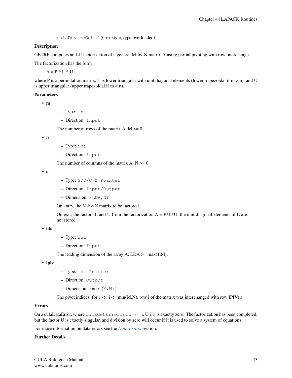– culaDeviceGetrf (C++ style, type overloaded)

## **Description**

GETRF computes an LU factorization of a general M-by-N matrix A using partial pivoting with row interchanges.

The factorization has the form

 $A = P * L * U$ 

where P is a permutation matrix, L is lower triangular with unit diagonal elements (lower trapezoidal if  $m > n$ ), and U is upper triangular (upper trapezoidal if  $m < n$ ).

## Parameters

```
• m
```
– Type: int

– Direction: Input

The number of rows of the matrix A.  $M \ge 0$ .

• n

- Type: int
- Direction: Input

The number of columns of the matrix  $A. N \ge 0$ .

• a

- Type: S/D/C/Z Pointer
- Direction: Input/Output
- $-$  Dimension: (LDA, N)

On entry, the M-by-N matrix to be factored.

On exit, the factors L and U from the factorization  $A = P^*L^*U$ ; the unit diagonal elements of L are not stored.

• lda

- Type: int
- Direction: Input

The leading dimension of the array A. LDA  $\geq$  max(1,M).

• ipiv

- Type: int Pointer
- Direction: Output
- Dimension: (min(M,N))

The pivot indices; for  $1 \le i \le \min(M,N)$ , row i of the matrix was interchanged with row IPIV(i).

## Errors

On a culaDataError, where  $\text{culaGetErrorInfo}() = i, U(i,i)$  is exactly zero. The factorization has been completed, but the factor U is exactly singular, and division by zero will occur if it is used to solve a system of equations.

For more information on data errors see the *[Data Errors](#page-155-0)* section.

#### Further Details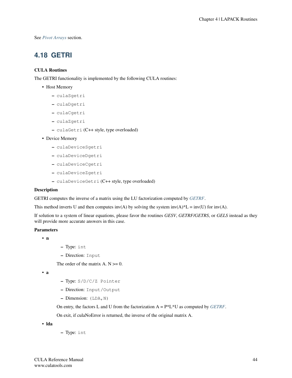See *[Pivot Arrays](#page-155-1)* section.

# **4.18 GETRI**

# CULA Routines

The GETRI functionality is implemented by the following CULA routines:

- Host Memory
	- culaSgetri
	- culaDgetri
	- culaCgetri
	- culaZgetri
	- culaGetri (C++ style, type overloaded)
- Device Memory
	- culaDeviceSgetri
	- culaDeviceDgetri
	- culaDeviceCgetri
	- culaDeviceZgetri
	- culaDeviceGetri (C++ style, type overloaded)

## Description

GETRI computes the inverse of a matrix using the LU factorization computed by *[GETRF](#page-46-0)*.

This method inverts U and then computes  $inv(A)$  by solving the system  $inv(A)^*L = inv(U)$  for  $inv(A)$ .

If solution to a system of linear equations, please favor the routines *GESV*, *GETRF/GETRS*, or *GELS* instead as they will provide more accurate answers in this case.

## **Parameters**

• n

- Type: int
- Direction: Input

The order of the matrix  $A. N \geq 0$ .

• a

- Type: S/D/C/Z Pointer
- Direction: Input/Output
- $-$  Dimension: (LDA, N)

On entry, the factors L and U from the factorization A = P\*L\*U as computed by *[GETRF](#page-46-0)*.

On exit, if culaNoError is returned, the inverse of the original matrix A.

• lda

– Type: int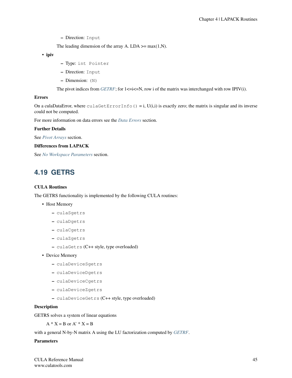The leading dimension of the array A. LDA  $\geq$  max(1,N).

• ipiv

- Type: int Pointer
- Direction: Input
- Dimension: (N)

The pivot indices from *[GETRF](#page-46-0)*; for  $1 \le i \le N$ , row i of the matrix was interchanged with row IPIV(i).

## Errors

On a culaDataError, where  $\text{culaGetErrorInfo}() = i, U(i,i)$  is exactly zero; the matrix is singular and its inverse could not be computed.

For more information on data errors see the *[Data Errors](#page-155-0)* section.

## Further Details

See *[Pivot Arrays](#page-155-1)* section.

## Differences from LAPACK

See *[No Workspace Parameters](#page-154-0)* section.

# **4.19 GETRS**

# CULA Routines

The GETRS functionality is implemented by the following CULA routines:

- Host Memory
	- culaSgetrs
	- culaDgetrs
	- culaCgetrs
	- culaZgetrs
	- culaGetrs (C++ style, type overloaded)
- Device Memory
	- culaDeviceSgetrs
	- culaDeviceDgetrs
	- culaDeviceCgetrs
	- culaDeviceZgetrs
	- culaDeviceGetrs (C++ style, type overloaded)

# **Description**

GETRS solves a system of linear equations

 $A * X = B$  or  $A' * X = B$ 

with a general N-by-N matrix A using the LU factorization computed by *[GETRF](#page-46-0)*.

# Parameters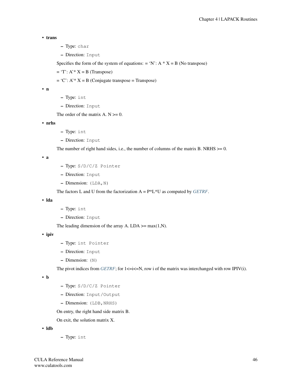```
• trans
```
- Type: char
- Direction: Input

Specifies the form of the system of equations: = 'N':  $A * X = B$  (No transpose)

 $=$  'T':  $A^* X = B$  (Transpose)

 $= 'C': A' * X = B$  (Conjugate transpose = Transpose)

• n

– Type: int

– Direction: Input

The order of the matrix  $A \cdot N \geq 0$ .

• nrhs

- Type: int
- Direction: Input

The number of right hand sides, i.e., the number of columns of the matrix B. NRHS  $>= 0$ .

• a

- Type: S/D/C/Z Pointer
- Direction: Input
- Dimension: (LDA,N)

The factors L and U from the factorization A = P\*L\*U as computed by *[GETRF](#page-46-0)*.

• lda

- Type: int
- Direction: Input

The leading dimension of the array A. LDA  $\geq$  max(1,N).

• ipiv

- Type: int Pointer
- Direction: Input
- Dimension: (N)

The pivot indices from *[GETRF](#page-46-0)*; for  $1 \le i \le N$ , row i of the matrix was interchanged with row IPIV(i).

• b

- Type: S/D/C/Z Pointer
- Direction: Input/Output
- Dimension: (LDB, NRHS)

On entry, the right hand side matrix B.

On exit, the solution matrix X.

- ldb
- Type: int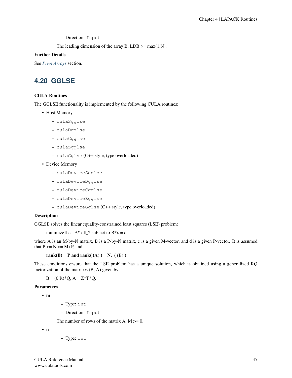The leading dimension of the array B. LDB  $\geq$  max(1,N).

## Further Details

See *[Pivot Arrays](#page-155-1)* section.

# **4.20 GGLSE**

# CULA Routines

The GGLSE functionality is implemented by the following CULA routines:

- Host Memory
	- culaSgglse
	- culaDgglse
	- culaCgglse
	- culaZgglse
	- culaGglse (C++ style, type overloaded)
- Device Memory
	- culaDeviceSgglse
	- culaDeviceDgglse
	- culaDeviceCgglse
	- culaDeviceZgglse
	- culaDeviceGglse (C++ style, type overloaded)

# **Description**

GGLSE solves the linear equality-constrained least squares (LSE) problem:

```
minimize || c - A^*x ||_2 subject to B^*x = d
```
where A is an M-by-N matrix, B is a P-by-N matrix, c is a given M-vector, and d is a given P-vector. It is assumed that  $P \le N \le M+P$ , and

rank $(B)$  = P and rank $((A))$  = N.  $((B))$ 

These conditions ensure that the LSE problem has a unique solution, which is obtained using a generalized RQ factorization of the matrices (B, A) given by

 $B = (0 R)^* Q$ ,  $A = Z^* T^* Q$ .

## Parameters

• m

– Type: int

– Direction: Input

The number of rows of the matrix A.  $M \ge 0$ .

• n

– Type: int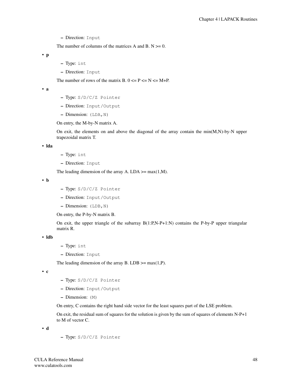The number of columns of the matrices A and B.  $N \ge 0$ .

• p

- Type: int
- Direction: Input

The number of rows of the matrix B.  $0 \le P \le N \le M+P$ .

• a

- Type: S/D/C/Z Pointer
- Direction: Input/Output
- $-$  Dimension: (LDA, N)

On entry, the M-by-N matrix A.

On exit, the elements on and above the diagonal of the array contain the  $min(M, N)$ -by-N upper trapezoidal matrix T.

• lda

- Type: int
- Direction: Input

The leading dimension of the array A. LDA  $\geq$  max(1,M).

• b

- Type: S/D/C/Z Pointer
- Direction: Input/Output
- Dimension: (LDB,N)

On entry, the P-by-N matrix B.

On exit, the upper triangle of the subarray  $B(1:P,N-P+1:N)$  contains the P-by-P upper triangular matrix R.

• ldb

- Type: int
- Direction: Input

The leading dimension of the array B. LDB  $\geq$  max(1,P).

• c

- Type: S/D/C/Z Pointer
- Direction: Input/Output
- Dimension: (M)

On entry, C contains the right hand side vector for the least squares part of the LSE problem.

On exit, the residual sum of squares for the solution is given by the sum of squares of elements N-P+1 to M of vector C.

• d

– Type: S/D/C/Z Pointer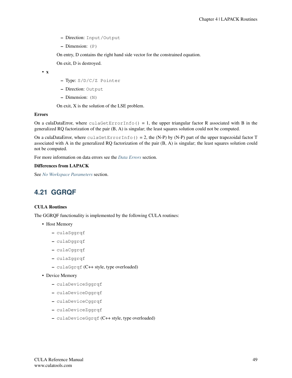- Direction: Input/Output
- Dimension: (P)

On entry, D contains the right hand side vector for the constrained equation.

On exit, D is destroyed.

• x

- Type: S/D/C/Z Pointer
- Direction: Output
- Dimension: (N)

On exit, X is the solution of the LSE problem.

## Errors

On a culaDataError, where culaGetErrorInfo() = 1, the upper triangular factor R associated with B in the generalized RQ factorization of the pair (B, A) is singular; the least squares solution could not be computed.

On a culaDataError, where culaGetErrorInfo() = 2, the (N-P) by (N-P) part of the upper trapezoidal factor T associated with A in the generalized RQ factorization of the pair (B, A) is singular; the least squares solution could not be computed.

For more information on data errors see the *[Data Errors](#page-155-0)* section.

## Differences from LAPACK

See *[No Workspace Parameters](#page-154-0)* section.

# **4.21 GGRQF**

# CULA Routines

The GGRQF functionality is implemented by the following CULA routines:

- Host Memory
	- culaSggrqf
	- culaDggrqf
	- culaCggrqf
	- culaZggrqf
	- culaGgrqf (C++ style, type overloaded)

• Device Memory

- culaDeviceSggrqf
- culaDeviceDggrqf
- culaDeviceCggrqf
- culaDeviceZggrqf
- culaDeviceGgrqf (C++ style, type overloaded)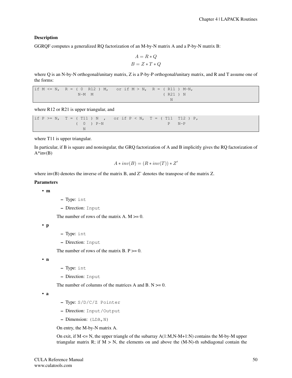# Description

GGRQF computes a generalized RQ factorization of an M-by-N matrix A and a P-by-N matrix B:

$$
A = R * Q
$$

$$
B = Z * T * Q
$$

where Q is an N-by-N orthogonal/unitary matrix, Z is a P-by-P orthogonal/unitary matrix, and R and T assume one of the forms:

if  $M \leq N$ ,  $R = (0 \text{ R12}) M$ , or if  $M > N$ ,  $R = ( R11) M-N$ , N-M M ( R21 ) N N

where R12 or R21 is upper triangular, and

if  $P \geq N$ ,  $T = (T11) N$ , or if  $P \leq N$ ,  $T = (T11 T12) P$ ,  $(0)$  ) P-N P N-P N

where T11 is upper triangular.

In particular, if B is square and nonsingular, the GRQ factorization of A and B implicitly gives the RQ factorization of  $A*inv(B)$ 

$$
A \ast inv(B) = (R \ast inv(T)) \ast Z'
$$

where inv(B) denotes the inverse of the matrix B, and Z' denotes the transpose of the matrix Z.

#### Parameters

• m

- Type: int
- Direction: Input

The number of rows of the matrix A.  $M \ge 0$ .

• p

- Type: int
- Direction: Input

The number of rows of the matrix  $B. P \ge 0$ .

• n

- Type: int
- Direction: Input

The number of columns of the matrices A and B.  $N \ge 0$ .

• a

- Type: S/D/C/Z Pointer
- Direction: Input/Output
- Dimension: (LDA,N)

On entry, the M-by-N matrix A.

On exit, if  $M \le N$ , the upper triangle of the subarray  $A(1:M,N-M+1:N)$  contains the M-by-M upper triangular matrix R; if  $M > N$ , the elements on and above the (M-N)-th subdiagonal contain the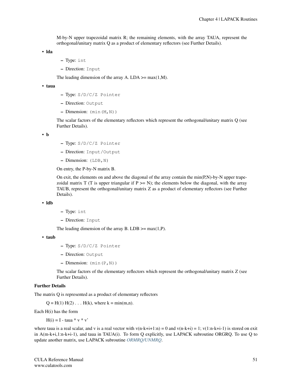M-by-N upper trapezoidal matrix R; the remaining elements, with the array TAUA, represent the orthogonal/unitary matrix Q as a product of elementary reflectors (see Further Details).

• lda

- Type: int
- Direction: Input

The leading dimension of the array A. LDA  $\geq$  max(1,M).

• taua

- Type: S/D/C/Z Pointer
- Direction: Output
- $-$  Dimension:  $(\min(M,N))$

The scalar factors of the elementary reflectors which represent the orthogonal/unitary matrix Q (see Further Details).

• b

- Type: S/D/C/Z Pointer
- Direction: Input/Output
- Dimension: (LDB,N)

On entry, the P-by-N matrix B.

On exit, the elements on and above the diagonal of the array contain the  $min(P, N)$ -by-N upper trapezoidal matrix  $T(T \text{ is upper triangular if } P \geq N)$ ; the elements below the diagonal, with the array TAUB, represent the orthogonal/unitary matrix Z as a product of elementary reflectors (see Further Details).

• ldb

- Type: int
- Direction: Input

The leading dimension of the array B. LDB  $\geq$  max(1,P).

```
• taub
```
- Type: S/D/C/Z Pointer
- Direction: Output
- $-$  Dimension:  $(\min(P, N))$

The scalar factors of the elementary reflectors which represent the orthogonal/unitary matrix Z (see Further Details).

## Further Details

The matrix Q is represented as a product of elementary reflectors

 $Q = H(1) H(2) ... H(k)$ , where  $k = min(m,n)$ .

Each H(i) has the form

 $H(i) = I - \tan^* v * v'$ 

where taua is a real scalar, and v is a real vector with  $v(n-k+i+1:n) = 0$  and  $v(n-k+i) = 1$ ;  $v(1:n-k+i-1)$  is stored on exit in A(m-k+i,1:n-k+i-1), and taua in TAUA(i). To form Q explicitly, use LAPACK subroutine ORGRQ. To use Q to update another matrix, use LAPACK subroutine *[ORMRQ/UNMRQ](#page-91-0)*.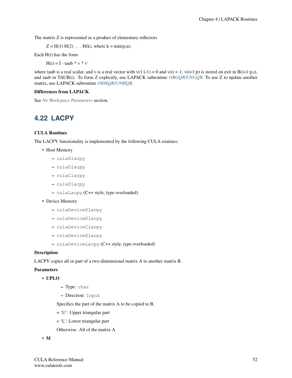The matrix Z is represented as a product of elementary reflectors

 $Z = H(1) H(2) ... H(k)$ , where  $k = min(p,n)$ .

Each H(i) has the form

 $H(i) = I - \tanh * v * v'$ 

where taub is a real scalar, and v is a real vector with  $v(1:i-1) = 0$  and  $v(i) = 1$ ;  $v(i+1:p)$  is stored on exit in B(i+1:p,i), and taub in TAUB(i). To form Z explicitly, use LAPACK subroutine *[ORGQR/UNGQR](#page-82-0)*. To use Z to update another matrix, use LAPACK subroutine *[ORMQR/UNMQR](#page-89-0)*.

## Differences from LAPACK

See *[No Workspace Parameters](#page-154-0)* section.

# **4.22 LACPY**

# CULA Routines

The LACPY functionality is implemented by the following CULA routines:

- Host Memory
	- culaSlacpy
	- culaDlacpy
	- culaClacpy
	- culaZlacpy
	- culaLacpy (C++ style, type overloaded)
- Device Memory
	- culaDeviceSlacpy
	- culaDeviceDlacpy
	- culaDeviceClacpy
	- culaDeviceZlacpy
	- culaDeviceLacpy (C++ style, type overloaded)

# **Description**

LACPY copies all or part of a two-dimensional matrix A to another matrix B.

#### Parameters

# • UPLO

- Type: char
- Direction: Input

Specifies the part of the matrix A to be copied to B.

- = 'U': Upper triangular part
- = 'L': Lower triangular part
- Otherwise: All of the matrix A

### • M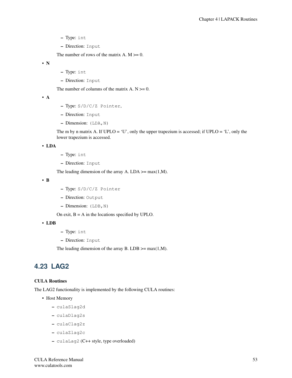- Type: int
- Direction: Input

The number of rows of the matrix A.  $M \ge 0$ .

• N

- Type: int
- Direction: Input

The number of columns of the matrix A.  $N \ge 0$ .

• A

- Type: S/D/C/Z Pointer,
- Direction: Input
- $-$  Dimension: (LDA, N)

The m by n matrix A. If  $UPLO = 'U'$ , only the upper trapezium is accessed; if  $UPLO = 'L'$ , only the lower trapezium is accessed.

#### • LDA

- Type: int
- Direction: Input

The leading dimension of the array A. LDA  $\geq$  max(1,M).

• B

- Type: S/D/C/Z Pointer
- Direction: Output
- Dimension: (LDB,N)

On exit,  $B = A$  in the locations specified by UPLO.

## • LDB

- Type: int
- Direction: Input

The leading dimension of the array B. LDB  $\geq$  max(1,M).

# **4.23 LAG2**

## CULA Routines

The LAG2 functionality is implemented by the following CULA routines:

- Host Memory
	- culaSlag2d
	- culaDlag2s
	- culaClag2z
	- culaZlag2c
	- culaLag2 (C++ style, type overloaded)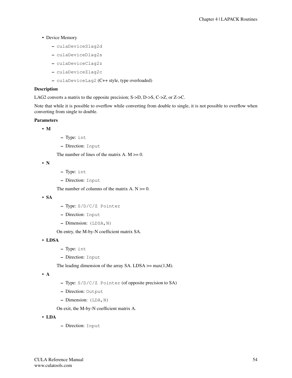- Device Memory
	- culaDeviceSlag2d
	- culaDeviceDlag2s
	- culaDeviceClag2z
	- culaDeviceZlag2c
	- culaDeviceLag2 (C++ style, type overloaded)

## Description

LAG2 converts a matrix to the opposite precision; S->D, D->S, C->Z, or Z->C.

Note that while it is possible to overflow while converting from double to single, it is not possible to overflow when converting from single to double.

# **Parameters**

```
• M
```
- Type: int
- Direction: Input

The number of lines of the matrix A.  $M \ge 0$ .

• N

- Type: int
- Direction: Input

The number of columns of the matrix A.  $N \ge 0$ .

• SA

- Type: S/D/C/Z Pointer
- Direction: Input
- Dimension: (LDSA,N)

On entry, the M-by-N coefficient matrix SA.

• LDSA

- Type: int
- Direction: Input

The leading dimension of the array SA. LDSA  $\geq$  max(1,M).

• A

- Type: S/D/C/Z Pointer (of opposite precision to SA)
- Direction: Output
- Dimension: (LDA,N)

On exit, the M-by-N coefficient matrix A.

• LDA

– Direction: Input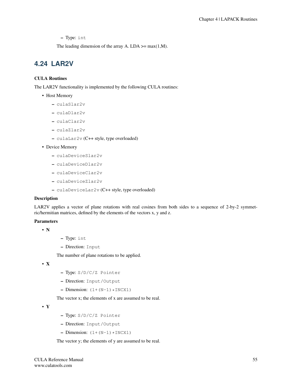– Type: int

The leading dimension of the array A. LDA  $\geq$  max(1,M).

# **4.24 LAR2V**

# CULA Routines

The LAR2V functionality is implemented by the following CULA routines:

- Host Memory
	- culaSlar2v
	- culaDlar2v
	- culaClar2v
	- culaZlar2v
	- culaLar2v (C++ style, type overloaded)
- Device Memory
	- culaDeviceSlar2v
	- culaDeviceDlar2v
	- culaDeviceClar2v
	- culaDeviceZlar2v
	- culaDeviceLar2v (C++ style, type overloaded)

## Description

LAR2V applies a vector of plane rotations with real cosines from both sides to a sequence of 2-by-2 symmetric/hermitian matrices, defined by the elements of the vectors x, y and z.

## Parameters

- N
- Type: int
- Direction: Input

The number of plane rotations to be applied.

• X

- Type: S/D/C/Z Pointer
- Direction: Input/Output
- Dimension:  $(1+(N-1)*INCX1)$

The vector x; the elements of x are assumed to be real.

• Y

- Type: S/D/C/Z Pointer
- Direction: Input/Output
- Dimension:  $(1+(N-1)*INCX1)$

The vector y; the elements of y are assumed to be real.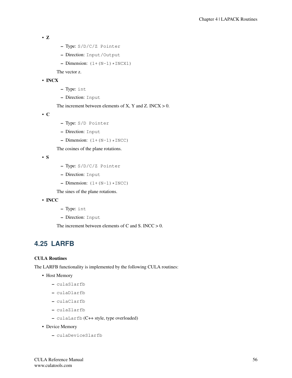```
• Z
```
- Type: S/D/C/Z Pointer
- Direction: Input/Output
- Dimension:  $(1+(N-1)*INCX1)$

The vector z.

# • INCX

- Type: int
- Direction: Input

The increment between elements of X, Y and Z. INCX  $> 0$ .

• C

- Type: S/D Pointer
- Direction: Input
- Dimension:  $(1+(N-1)*INCC)$

The cosines of the plane rotations.

• S

- Type: S/D/C/Z Pointer
- Direction: Input
- Dimension:  $(1+(N-1)*INCC)$

The sines of the plane rotations.

# • INCC

- Type: int
- Direction: Input

The increment between elements of C and S. INCC  $> 0$ .

# **4.25 LARFB**

## CULA Routines

The LARFB functionality is implemented by the following CULA routines:

- Host Memory
	- culaSlarfb
	- culaDlarfb
	- culaClarfb
	- culaZlarfb
	- culaLarfb (C++ style, type overloaded)
- Device Memory
	- culaDeviceSlarfb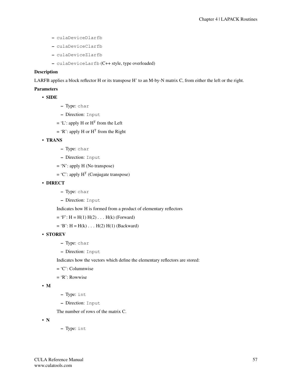- culaDeviceDlarfb
- culaDeviceClarfb
- culaDeviceZlarfb
- culaDeviceLarfb (C++ style, type overloaded)

# **Description**

LARFB applies a block reflector H or its transpose H' to an M-by-N matrix C, from either the left or the right.

## Parameters

- SIDE
- Type: char
- Direction: Input
- $=$  'L': apply H or H<sup>T</sup> from the Left
- $=$  'R': apply H or H<sup>T</sup> from the Right
- TRANS
	- Type: char
	- Direction: Input
	- = 'N': apply H (No transpose)
	- $=$  'C': apply H<sup>T</sup> (Conjugate transpose)
- DIRECT
	- Type: char
	- Direction: Input

Indicates how H is formed from a product of elementary reflectors

 $= 'F': H = H(1) H(2) ... H(k)$  (Forward)

 $= 'B': H = H(k) \dots H(2) H(1)$  (Backward)

## • STOREV

- Type: char
- Direction: Input

Indicates how the vectors which define the elementary reflectors are stored:

- = 'C': Columnwise
- = 'R': Rowwise

```
• M
```
- Type: int
- Direction: Input

The number of rows of the matrix C.

• N

– Type: int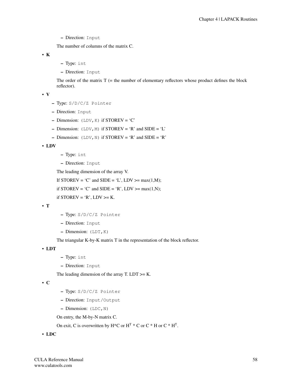The number of columns of the matrix C.

• K

- Type: int
- Direction: Input

The order of the matrix  $T =$  the number of elementary reflectors whose product defines the block reflector).

• V

- Type: S/D/C/Z Pointer
- Direction: Input
- Dimension:  $(LDV, K)$  if STOREV = 'C'
- Dimension:  $(LDV, M)$  if STOREV = 'R' and SIDE = 'L'
- Dimension:  $(LDV, N)$  if STOREV = 'R' and SIDE = 'R'

• LDV

- Type: int
- Direction: Input

The leading dimension of the array V.

If STOREV = 'C' and SIDE = 'L', LDV >= max $(1,M)$ ;

if STOREV = 'C' and SIDE = 'R', LDV >= max $(1,N)$ ;

if  $STOREV = 'R', LDV = K$ .

• T

- Type: S/D/C/Z Pointer
- Direction: Input
- Dimension: (LDT,K)

The triangular K-by-K matrix T in the representation of the block reflector.

• LDT

- Type: int
- Direction: Input

The leading dimension of the array T. LDT  $>= K$ .

• C

- Type: S/D/C/Z Pointer
- Direction: Input/Output
- Dimension: (LDC,N)

On entry, the M-by-N matrix C.

On exit, C is overwritten by  $H^*C$  or  $H^T$  \* C or  $C^*H$  or  $C^*H^T$ .

• LDC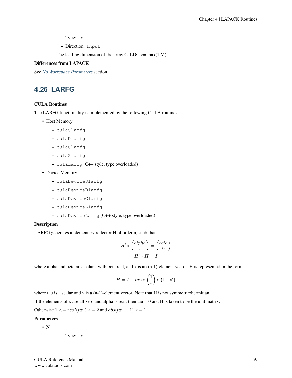- Type: int
- Direction: Input

The leading dimension of the array C. LDC  $>=$  max(1,M).

# Differences from LAPACK

See *[No Workspace Parameters](#page-154-0)* section.

# **4.26 LARFG**

## CULA Routines

The LARFG functionality is implemented by the following CULA routines:

- Host Memory
	- culaSlarfg
	- culaDlarfg
	- culaClarfg
	- culaZlarfg
	- culaLarfg (C++ style, type overloaded)

## • Device Memory

- culaDeviceSlarfg
- culaDeviceDlarfg
- culaDeviceClarfg
- culaDeviceZlarfg
- culaDeviceLarfg (C++ style, type overloaded)

# **Description**

LARFG generates a elementary reflector H of order n, such that

$$
H' * \begin{pmatrix} alpha \\ x \end{pmatrix} = \begin{pmatrix} beta \\ 0 \end{pmatrix}
$$

$$
H' * H = I
$$

where alpha and beta are scalars, with beta real, and x is an  $(n-1)$ -element vector. H is represented in the form

$$
H = I - tau * \begin{pmatrix} 1 \\ v \end{pmatrix} * \begin{pmatrix} 1 & v' \end{pmatrix}
$$

where tau is a scalar and v is a  $(n-1)$ -element vector. Note that H is not symmetric/hermitian.

If the elements of x are all zero and alpha is real, then tau  $= 0$  and H is taken to be the unit matrix.

Otherwise  $1 \le \text{real}(tau) \le 2$  and  $abs(tau - 1) \le 1$ .

# Parameters

# • N

– Type: int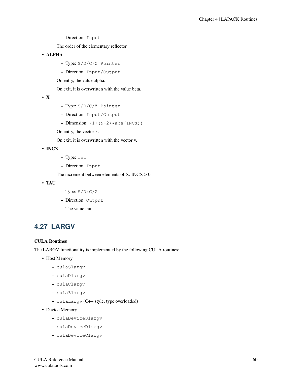The order of the elementary reflector.

- ALPHA
	- Type: S/D/C/Z Pointer
	- Direction: Input/Output
	- On entry, the value alpha.

On exit, it is overwritten with the value beta.

• X

- Type: S/D/C/Z Pointer
- Direction: Input/Output
- Dimension:  $(1+(N-2)*abs(INCX))$

On entry, the vector x.

On exit, it is overwritten with the vector v.

# • INCX

- Type: int
- Direction: Input

The increment between elements of X. INCX  $> 0$ .

- TAU
- Type: S/D/C/Z
- Direction: Output

The value tau.

# **4.27 LARGV**

## CULA Routines

The LARGV functionality is implemented by the following CULA routines:

- Host Memory
	- culaSlargv
	- culaDlargv
	- culaClargv
	- culaZlargv
	- culaLargv (C++ style, type overloaded)
- Device Memory
	- culaDeviceSlargv
	- culaDeviceDlargv
	- culaDeviceClargv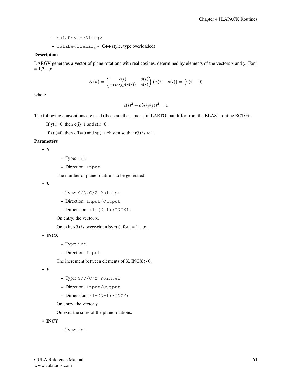- culaDeviceZlargv
- culaDeviceLargv (C++ style, type overloaded)

# **Description**

LARGV generates a vector of plane rotations with real cosines, determined by elements of the vectors x and y. For i  $= 1, 2, \ldots, n$ 

$$
K(k) = \begin{pmatrix} c(i) & s(i) \\ -\operatorname{conj}g(s(i)) & c(i) \end{pmatrix} (x(i) \quad y(i)) = (r(i) \quad 0)
$$

where

 $c(i)^2 + abs(s(i))^2 = 1$ 

The following conventions are used (these are the same as in LARTG, but differ from the BLAS1 routine ROTG):

If  $y(i)=0$ , then  $c(i)=1$  and  $s(i)=0$ .

If  $x(i)=0$ , then  $c(i)=0$  and  $s(i)$  is chosen so that  $r(i)$  is real.

#### Parameters

• N

- Type: int
- Direction: Input

The number of plane rotations to be generated.

• X

- Type: S/D/C/Z Pointer
- Direction: Input/Output
- Dimension:  $(1+(N-1)*INCX1)$

On entry, the vector x.

On exit,  $x(i)$  is overwritten by  $r(i)$ , for  $i = 1,...,n$ .

• INCX

- Type: int
- Direction: Input

The increment between elements of X. INCX  $> 0$ .

• Y

- Type: S/D/C/Z Pointer
- Direction: Input/Output
- Dimension:  $(1+(N-1)*INCY)$

On entry, the vector y.

On exit, the sines of the plane rotations.

- INCY
- Type: int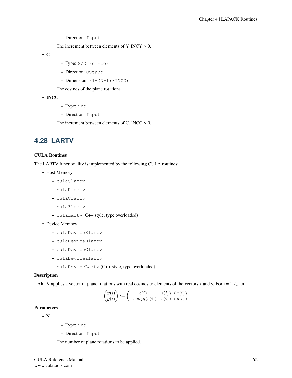The increment between elements of Y. INCY  $> 0$ .

• C

- Type: S/D Pointer
- Direction: Output
- Dimension:  $(1+(N-1)*INCC)$

The cosines of the plane rotations.

- INCC
- Type: int
- Direction: Input

The increment between elements of C. INCC  $> 0$ .

# **4.28 LARTV**

# CULA Routines

The LARTV functionality is implemented by the following CULA routines:

- Host Memory
	- culaSlartv
	- culaDlartv
	- culaClartv
	- culaZlartv
	- culaLartv (C++ style, type overloaded)
- Device Memory
	- culaDeviceSlartv
	- culaDeviceDlartv
	- culaDeviceClartv
	- culaDeviceZlartv
	- culaDeviceLartv (C++ style, type overloaded)

# Description

LARTV applies a vector of plane rotations with real cosines to elements of the vectors x and y. For  $i = 1, 2, \ldots, n$ 

$$
\begin{pmatrix} x(i) \\ y(i) \end{pmatrix} := \begin{pmatrix} c(i) & s(i) \\ -conj g(s(i)) & c(i) \end{pmatrix} \begin{pmatrix} x(i) \\ y(i) \end{pmatrix}
$$

# **Parameters**

• N

- Type: int
- Direction: Input

The number of plane rotations to be applied.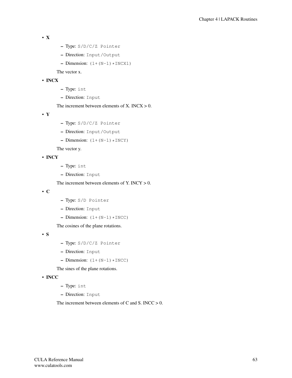```
• X
```
- Type: S/D/C/Z Pointer
- Direction: Input/Output
- Dimension:  $(1+(N-1)*INCX1)$

The vector x.

# • INCX

- Type: int
- Direction: Input

The increment between elements of  $X$ . INCX  $> 0$ .

• Y

- Type: S/D/C/Z Pointer
- Direction: Input/Output
- $-$  Dimension:  $(1+(N-1)*INCY)$

The vector y.

• INCY

- Type: int
- Direction: Input

The increment between elements of Y. INCY  $> 0$ .

• C

- Type: S/D Pointer
- Direction: Input
- $-$  Dimension:  $(1+(N-1)*INCC)$

The cosines of the plane rotations.

• S

- Type: S/D/C/Z Pointer
- Direction: Input
- $-$  Dimension:  $(1+(N-1)*INCC)$

The sines of the plane rotations.

• INCC

- Type: int
- Direction: Input

The increment between elements of C and S. INCC  $> 0$ .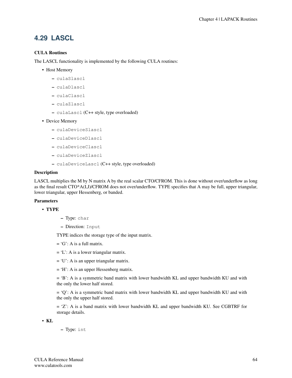# **4.29 LASCL**

# CULA Routines

The LASCL functionality is implemented by the following CULA routines:

- Host Memory
	- culaSlascl
	- culaDlascl
	- culaClascl
	- culaZlascl
	- culaLascl (C++ style, type overloaded)
- Device Memory
	- culaDeviceSlascl
	- culaDeviceDlascl
	- culaDeviceClascl
	- culaDeviceZlascl
	- culaDeviceLascl (C++ style, type overloaded)

## Description

LASCL multiplies the M by N matrix A by the real scalar CTO/CFROM. This is done without over/underflow as long as the final result CTO\*A(I,J)/CFROM does not over/underflow. TYPE specifies that A may be full, upper triangular, lower triangular, upper Hessenberg, or banded.

## Parameters

- TYPE
- Type: char
- Direction: Input

TYPE indices the storage type of the input matrix.

- $= 'G'$ : A is a full matrix.
- $= 'L'$ : A is a lower triangular matrix.
- $= 'U'$ : A is an upper triangular matrix.
- = 'H': A is an upper Hessenberg matrix.

= 'B': A is a symmetric band matrix with lower bandwidth KL and upper bandwidth KU and with the only the lower half stored.

 $= 'Q'$ : A is a symmetric band matrix with lower bandwidth KL and upper bandwidth KU and with the only the upper half stored.

= 'Z': A is a band matrix with lower bandwidth KL and upper bandwidth KU. See CGBTRF for storage details.

• KL

– Type: int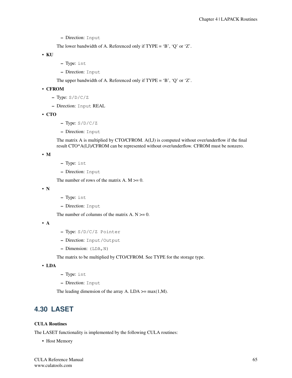The lower bandwidth of A. Referenced only if TYPE = 'B', 'Q' or 'Z'.

• KU

- Type: int
- Direction: Input

The upper bandwidth of A. Referenced only if  $TYPE = 'B', 'Q'$  or 'Z'.

• CFROM

- Type: S/D/C/Z
- Direction: Input REAL
- CTO
- $-$  Type:  $S/D/C/Z$
- Direction: Input

The matrix A is multiplied by CTO/CFROM. A(I,J) is computed without over/underflow if the final result CTO\*A(I,J)/CFROM can be represented without over/underflow. CFROM must be nonzero.

• M

- Type: int
- Direction: Input

The number of rows of the matrix  $A$ .  $M \ge 0$ .

• N

- Type: int
- Direction: Input

The number of columns of the matrix  $A. N \geq 0$ .

• A

- Type: S/D/C/Z Pointer
- Direction: Input/Output
- Dimension: (LDA,N)

The matrix to be multiplied by CTO/CFROM. See TYPE for the storage type.

• LDA

- Type: int
- Direction: Input

The leading dimension of the array A. LDA  $\geq$  max(1,M).

# **4.30 LASET**

# CULA Routines

The LASET functionality is implemented by the following CULA routines:

• Host Memory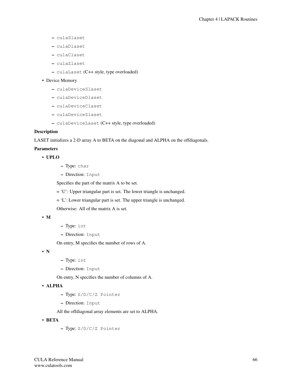- culaSlaset
- culaDlaset
- culaClaset
- culaZlaset
- culaLaset (C++ style, type overloaded)
- Device Memory
	- culaDeviceSlaset
	- culaDeviceDlaset
	- culaDeviceClaset
	- culaDeviceZlaset
	- culaDeviceLaset (C++ style, type overloaded)

# **Description**

LASET initializes a 2-D array A to BETA on the diagonal and ALPHA on the offdiagonals.

## Parameters

# • UPLO

- Type: char
- Direction: Input

Specifies the part of the matrix A to be set.

= 'U': Upper triangular part is set. The lower triangle is unchanged.

- = 'L': Lower triangular part is set. The upper triangle is unchanged.
- Otherwise: All of the matrix A is set.

## • M

- Type: int
- Direction: Input

On entry, M specifies the number of rows of A.

• N

- Type: int
- Direction: Input

On entry, N specifies the number of columns of A.

# • ALPHA

- Type: S/D/C/Z Pointer
- Direction: Input

All the offdiagonal array elements are set to ALPHA.

- BETA
- Type: S/D/C/Z Pointer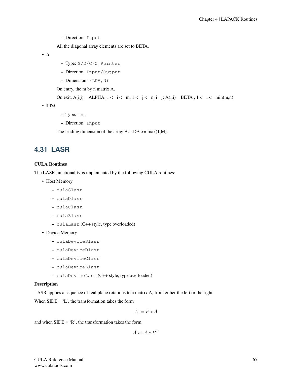All the diagonal array elements are set to BETA.

• A

- Type: S/D/C/Z Pointer
- Direction: Input/Output
- $-$  Dimension: (LDA, N)

On entry, the m by n matrix A.

```
On exit, A(i,j) = ALPHA, 1 \le i \le m, 1 \le j \le n, i!=j; A(i,i) = BETA, 1 \le i \le min(m,n)
```
• LDA

- Type: int
- Direction: Input

The leading dimension of the array A. LDA  $\geq$  max(1,M).

# **4.31 LASR**

# CULA Routines

The LASR functionality is implemented by the following CULA routines:

- Host Memory
	- culaSlasr
	- culaDlasr
	- culaClasr
	- culaZlasr
	- culaLasr (C++ style, type overloaded)
- Device Memory
	- culaDeviceSlasr
	- culaDeviceDlasr
	- culaDeviceClasr
	- culaDeviceZlasr
	- culaDeviceLasr (C++ style, type overloaded)

# Description

LASR applies a sequence of real plane rotations to a matrix A, from either the left or the right.

When  $SIDE = 'L'$ , the transformation takes the form

$$
A := P * A
$$

and when  $SIDE = 'R'$ , the transformation takes the form

$$
A := A * P^T
$$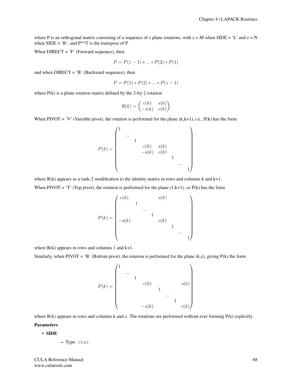where P is an orthogonal matrix consisting of a sequence of z plane rotations, with  $z = M$  when SIDE = 'L' and  $z = N$ when  $SIDE = 'R'$ , and  $P^{**}T$  is the transpose of P.

When DIRECT = 'F' (Forward sequence), then

$$
P = P(z - 1) * ... * P(2) * P(1)
$$

and when  $DIRECT = 'B'$  (Backward sequence), then

$$
P = P(1) * P(2) * ... * P(z - 1)
$$

where  $P(k)$  is a plane rotation matrix defined by the 2-by-2 rotation

$$
R(k) = \begin{pmatrix} c(k) & s(k) \\ -s(k) & c(k) \end{pmatrix}
$$

When PIVOT = 'V' (Variable pivot), the rotation is performed for the plane  $(k, k+1)$ , i.e.,  $P(k)$  has the form

P(k) = 1 ... 1 c(k) s(k) −s(k) c(k) 1 ... 1 

where  $R(k)$  appears as a rank-2 modification to the identity matrix in rows and columns k and  $k+1$ . When PIVOT = 'T' (Top pivot), the rotation is performed for the plane  $(1, k+1)$ , so P(k) has the form

$$
P(k) = \begin{pmatrix} c(k) & & & & & s(k) & & & \\ & 1 & & & & & & \\ & & \cdots & & & & & \\ -s(k) & & & 1 & & & \\ & & & & c(k) & & & \\ & & & & & 1 & & \\ & & & & & & 1 \end{pmatrix}
$$

where  $R(k)$  appears in rows and columns 1 and  $k+1$ .

Similarly, when PIVOT = 'B' (Bottom pivot), the rotation is performed for the plane (k,z), giving  $P(k)$  the form

$$
P(k) = \begin{pmatrix} 1 & & & & & & & \\ & \cdots & & & & & & \\ & & 1 & & & & & \\ & & & c(k) & & & & \\ & & & & 1 & & & \\ & & & & -s(k) & & & & c(k) \end{pmatrix}
$$

where  $R(k)$  appears in rows and columns k and z. The rotations are performed without ever forming  $P(k)$  explicitly.

#### Parameters

#### • SIDE

– Type: char

CULA Reference Manual www.culatools.com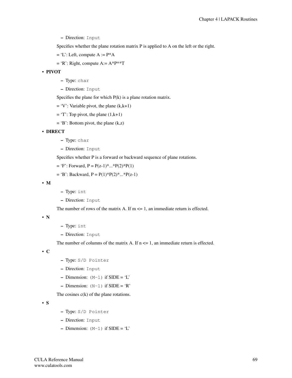– Direction: Input

Specifies whether the plane rotation matrix P is applied to A on the left or the right.

- $= 'L'$ : Left, compute A :=  $P^*A$
- $=$  'R': Right, compute A:  $=$  A\*P\*\*T

### • PIVOT

- Type: char
- Direction: Input

Specifies the plane for which  $P(k)$  is a plane rotation matrix.

- $= 'V'$ : Variable pivot, the plane (k,k+1)
- $=$  'T': Top pivot, the plane  $(1, k+1)$
- $=$  'B': Bottom pivot, the plane  $(k, z)$

# • DIRECT

- Type: char
- Direction: Input

Specifies whether P is a forward or backward sequence of plane rotations.

 $=$  'F': Forward, P = P(z-1)<sup>\*</sup>...<sup>\*</sup>P(2)<sup>\*</sup>P(1)

```
= 'B': Backward, P = P(1)*P(2)*...*P(z-1)
```
• M

- Type: int
- Direction: Input

The number of rows of the matrix A. If  $m \leq 1$ , an immediate return is effected.

• N

- Type: int
- Direction: Input

The number of columns of the matrix A. If  $n \leq 1$ , an immediate return is effected.

• C

- Type: S/D Pointer
- Direction: Input
- Dimension:  $(M-1)$  if  $SIDE = 'L'$
- Dimension:  $(N-1)$  if SIDE = 'R'

The cosines  $c(k)$  of the plane rotations.

• S

- Type: S/D Pointer
- Direction: Input
- Dimension:  $(M-1)$  if SIDE = 'L'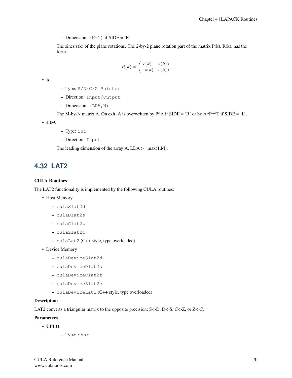$-$  Dimension:  $(N-1)$  if SIDE = 'R'

The sines  $s(k)$  of the plane rotations. The 2-by-2 plane rotation part of the matrix  $P(k)$ ,  $R(k)$ , has the form

$$
R(k) = \begin{pmatrix} c(k) & s(k) \\ -s(k) & c(k) \end{pmatrix}
$$

• A

- Type: S/D/C/Z Pointer
- Direction: Input/Output
- $-$  Dimension: (LDA, N)

The M-by-N matrix A. On exit, A is overwritten by  $P^*A$  if  $SIDE = 'R'$  or by  $A^*P^{**}T$  if  $SIDE = 'L'.$ 

• LDA

- Type: int
- Direction: Input

The leading dimension of the array A. LDA  $\geq$  max(1,M).

# **4.32 LAT2**

### CULA Routines

The LAT2 functionality is implemented by the following CULA routines:

- Host Memory
	- culaSlat2d
	- culaDlat2s
	- culaClat2z
	- culaZlat2c
	- culaLat2 (C++ style, type overloaded)
- Device Memory
	- culaDeviceSlat2d
	- culaDeviceDlat2s
	- culaDeviceClat2z
	- culaDeviceZlat2c
	- culaDeviceLat2 (C++ style, type overloaded)

#### Description

LAT2 converts a triangular matrix to the opposite precision; S->D, D->S, C->Z, or Z->C.

# Parameters

- UPLO
	- Type: char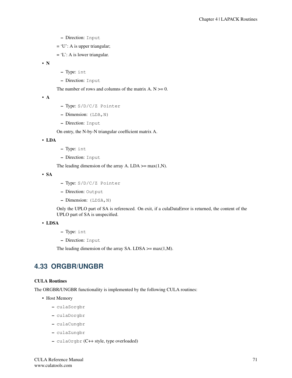- Direction: Input
- $= 'U'$ : A is upper triangular;
- $= 'L'$ : A is lower triangular.

• N

- Type: int
- Direction: Input

The number of rows and columns of the matrix  $A. N \geq 0$ .

• A

- Type: S/D/C/Z Pointer
- $-$  Dimension: (LDA, N)
- Direction: Input

On entry, the N-by-N triangular coefficient matrix A.

• LDA

- Type: int
- Direction: Input

The leading dimension of the array A. LDA  $\geq$  max(1,N).

• SA

- Type: S/D/C/Z Pointer
- Direction: Output
- Dimension: (LDSA,N)

Only the UPLO part of SA is referenced. On exit, if a culaDataError is returned, the content of the UPLO part of SA is unspecified.

### • LDSA

- Type: int
- Direction: Input

The leading dimension of the array SA. LDSA  $\geq$  max(1,M).

# **4.33 ORGBR/UNGBR**

### CULA Routines

The ORGBR/UNGBR functionality is implemented by the following CULA routines:

- Host Memory
	- culaSorgbr
	- culaDorgbr
	- culaCungbr
	- culaZungbr
	- culaOrgbr (C++ style, type overloaded)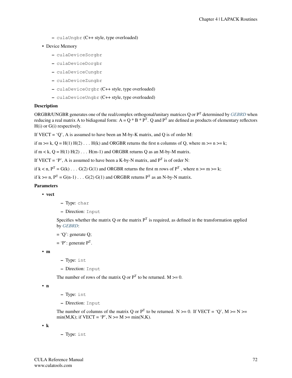– culaUngbr (C++ style, type overloaded)

# • Device Memory

- culaDeviceSorgbr
- culaDeviceDorgbr
- culaDeviceCungbr
- culaDeviceZungbr
- culaDeviceOrgbr (C++ style, type overloaded)
- culaDeviceUngbr (C++ style, type overloaded)

# Description

ORGBR/UNGBR generates one of the real/complex orthogonal/unitary matrices Q or P<sup>T</sup> determined by *[GEBRD](#page-18-0)* when reducing a real matrix A to bidiagonal form:  $A = Q * B * P^T$ . Q and  $P^T$  are defined as products of elementary reflectors H(i) or G(i) respectively.

If VECT =  $'O'$ , A is assumed to have been an M-by-K matrix, and Q is of order M:

if m  $>=$  k, Q = H(1) H(2) . . . H(k) and ORGBR returns the first n columns of Q, where m  $>=$  n  $>=$  k;

if  $m < k$ ,  $Q = H(1) H(2) \dots H(m-1)$  and ORGBR returns Q as an M-by-M matrix.

If VECT = 'P', A is assumed to have been a K-by-N matrix, and  $P<sup>T</sup>$  is of order N:

if  $k < n$ ,  $P^T = G(k)$ ...  $G(2) G(1)$  and ORGBR returns the first m rows of  $P^T$ , where  $n >= m >= k$ ;

if k >= n,  $P<sup>T</sup>$  = G(n-1) . . . G(2) G(1) and ORGBR returns  $P<sup>T</sup>$  as an N-by-N matrix.

# Parameters

- vect
- Type: char
- Direction: Input

Specifies whether the matrix Q or the matrix  $P<sup>T</sup>$  is required, as defined in the transformation applied by *[GEBRD](#page-18-0)*:

 $= 'Q$ : generate Q;

 $=$  'P': generate  $P<sup>T</sup>$ .

• m

– Type: int

– Direction: Input

The number of rows of the matrix Q or  $P<sup>T</sup>$  to be returned.  $M \ge 0$ .

• n

- Type: int
- Direction: Input

The number of columns of the matrix Q or  $P^T$  to be returned. N >= 0. If VECT = 'Q', M >= N >= min(M,K); if VECT = 'P',  $N \ge M \ge \min(N,K)$ .

• k

– Type: int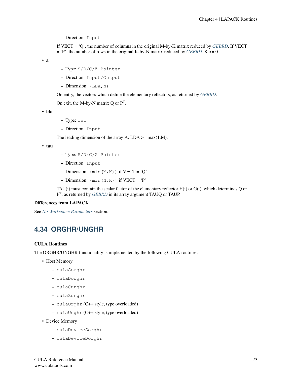– Direction: Input

If VECT = 'Q', the number of columns in the original M-by-K matrix reduced by *[GEBRD](#page-18-0)*. If VECT  $=$  'P', the number of rows in the original K-by-N matrix reduced by *[GEBRD](#page-18-0)*. K  $>= 0$ .

• a

- Type: S/D/C/Z Pointer
- Direction: Input/Output
- Dimension: (LDA,N)

On entry, the vectors which define the elementary reflectors, as returned by *[GEBRD](#page-18-0)*.

On exit, the M-by-N matrix  $Q$  or  $P<sup>T</sup>$ .

• lda

- Type: int
- Direction: Input

The leading dimension of the array A. LDA  $\geq$  max(1,M).

• tau

- Type: S/D/C/Z Pointer
- Direction: Input
- Dimension:  $(min(M,K))$  if  $VECT = 'Q'$
- $-$  Dimension:  $(\min{(N,K)})$  if VECT  $=$   $\hat{}$  P'

TAU(i) must contain the scalar factor of the elementary reflector H(i) or G(i), which determines Q or P T , as returned by *[GEBRD](#page-18-0)* in its array argument TAUQ or TAUP.

#### Differences from LAPACK

See *[No Workspace Parameters](#page-154-0)* section.

# **4.34 ORGHR/UNGHR**

### CULA Routines

The ORGHR/UNGHR functionality is implemented by the following CULA routines:

- Host Memory
	- culaSorghr
	- culaDorghr
	- culaCunghr
	- culaZunghr
	- culaOrghr (C++ style, type overloaded)
	- culaUnghr (C++ style, type overloaded)
- Device Memory
	- culaDeviceSorghr
	- culaDeviceDorghr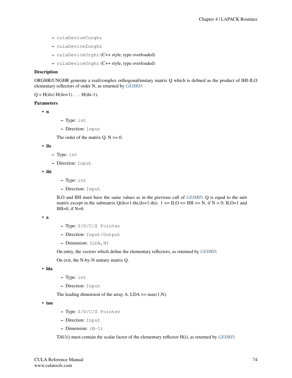- culaDeviceCunghr
- culaDeviceZunghr
- culaDeviceOrghr (C++ style, type overloaded)
- culaDeviceUnghr (C++ style, type overloaded)

#### **Description**

ORGHR/UNGHR generate a real/complex orthogonal/unitary matrix Q which is defined as the product of IHI-ILO elementary reflectors of order N, as returned by *[GEHRD](#page-23-0)*:

 $Q = H(ilo) H(ilo+1) \ldots H(ihi-1).$ 

#### Parameters

• n

- Type: int
- Direction: Input

The order of the matrix  $Q$ .  $N \ge 0$ .

```
• ilo
```
- Type: int
- Direction: Input

• ihi

- Type: int
- Direction: Input

ILO and IHI must have the same values as in the previous call of *[GEHRD](#page-23-0)*. Q is equal to the unit matrix except in the submatrix  $Q(i|o+1:ihi,i|o+1:ihi)$ .  $1 \leq ILO \leq IHI \leq N$ , if  $N > 0$ ; ILO=1 and  $IHI=0$ , if  $N=0$ .

```
• a
```
- Type: S/D/C/Z Pointer
- Direction: Input/Output
- Dimension: (LDA,N)

On entry, the vectors which define the elementary reflectors, as returned by *[GEHRD](#page-23-0)*.

On exit, the N-by-N unitary matrix Q.

• lda

- Type: int
- Direction: Input

The leading dimension of the array A. LDA  $\geq$  max(1,N).

• tau

- Type: S/D/C/Z Pointer
- Direction: Input
- $-$  Dimension:  $(N-1)$

TAU(i) must contain the scalar factor of the elementary reflector H(i), as returned by *[GEHRD](#page-23-0)*.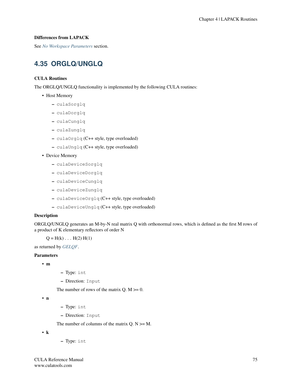# Differences from LAPACK

See *[No Workspace Parameters](#page-154-0)* section.

# **4.35 ORGLQ/UNGLQ**

# CULA Routines

The ORGLQ/UNGLQ functionality is implemented by the following CULA routines:

- Host Memory
	- culaSorglq
	- culaDorglq
	- culaCunglq
	- culaZunglq
	- culaOrglq (C++ style, type overloaded)
	- culaUnglq (C++ style, type overloaded)

# • Device Memory

- culaDeviceSorglq
- culaDeviceDorglq
- culaDeviceCunglq
- culaDeviceZunglq
- culaDeviceOrglq (C++ style, type overloaded)
- culaDeviceUnglq (C++ style, type overloaded)

# Description

ORGLQ/UNGLQ generates an M-by-N real matrix Q with orthonormal rows, which is defined as the first M rows of a product of K elementary reflectors of order N

 $Q = H(k) \dots H(2) H(1)$ 

as returned by *[GELQF](#page-25-0)*.

#### Parameters

- m
- Type: int
- Direction: Input

The number of rows of the matrix  $Q$ .  $M \ge 0$ .

• n

- Type: int
- Direction: Input

The number of columns of the matrix  $Q. N \geq M$ .

• k

– Type: int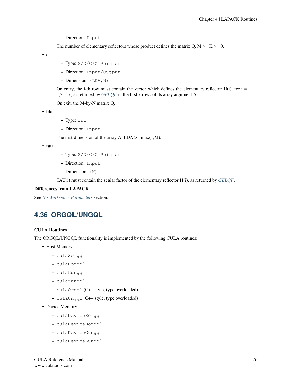– Direction: Input

The number of elementary reflectors whose product defines the matrix Q.  $M \ge K \ge 0$ .

• a

- Type: S/D/C/Z Pointer
- Direction: Input/Output
- $-$  Dimension: (LDA, N)

On entry, the i-th row must contain the vector which defines the elementary reflector  $H(i)$ , for  $i =$ 1,2,...,k, as returned by *[GELQF](#page-25-0)* in the first k rows of its array argument A.

On exit, the M-by-N matrix Q.

• lda

- Type: int
- Direction: Input

The first dimension of the array A. LDA  $>=$  max(1,M).

• tau

- Type: S/D/C/Z Pointer
- Direction: Input
- Dimension: (K)

TAU(i) must contain the scalar factor of the elementary reflector H(i), as returned by *[GELQF](#page-25-0)*.

# Differences from LAPACK

See *[No Workspace Parameters](#page-154-0)* section.

# **4.36 ORGQL/UNGQL**

#### CULA Routines

The ORGQL/UNGQL functionality is implemented by the following CULA routines:

- Host Memory
	- culaSorgql
	- culaDorgql
	- culaCungql
	- culaZungql
	- culaOrgql (C++ style, type overloaded)
	- culaUngql (C++ style, type overloaded)
- Device Memory
	- culaDeviceSorgql
	- culaDeviceDorgql
	- culaDeviceCungql
	- culaDeviceZungql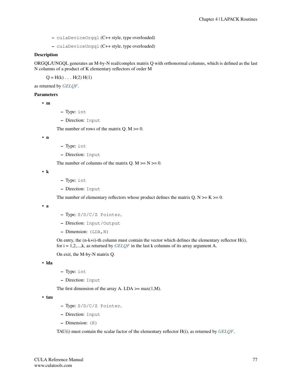- culaDeviceOrgql (C++ style, type overloaded)
- culaDeviceUngql (C++ style, type overloaded)

### **Description**

ORGQL/UNGQL generates an M-by-N real/complex matrix Q with orthonormal columns, which is defined as the last N columns of a product of K elementary reflectors of order M

 $Q = H(k) \dots H(2) H(1)$ 

as returned by *[GELQF](#page-25-0)*.

# Parameters

• m

- Type: int
- Direction: Input

The number of rows of the matrix  $Q. M \ge 0$ .

• n

- Type: int
- Direction: Input

The number of columns of the matrix Q.  $M \ge N \ge 0$ .

• k

- Type: int
- Direction: Input

The number of elementary reflectors whose product defines the matrix Q.  $N \ge K \ge 0$ .

• a

- Type: S/D/C/Z Pointer,
- Direction: Input/Output
- Dimension: (LDA,N)

On entry, the (n-k+i)-th column must contain the vector which defines the elementary reflector H(i), for i = 1,2,...,k, as returned by *[GELQF](#page-25-0)* in the last k columns of its array argument A.

On exit, the M-by-N matrix Q.

• lda

- Type: int
- Direction: Input

The first dimension of the array A. LDA  $>=$  max(1,M).

• tau

- Type: S/D/C/Z Pointer,
- Direction: Input
- Dimension: (K)

TAU(i) must contain the scalar factor of the elementary reflector H(i), as returned by *[GELQF](#page-25-0)*.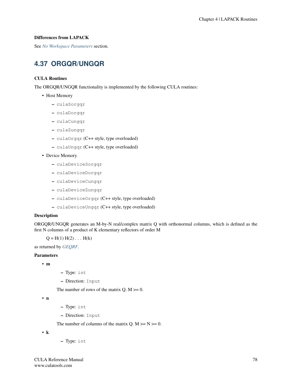# Differences from LAPACK

See *[No Workspace Parameters](#page-154-0)* section.

# **4.37 ORGQR/UNGQR**

# CULA Routines

The ORGQR/UNGQR functionality is implemented by the following CULA routines:

- Host Memory
	- culaSorgqr
	- culaDorgqr
	- culaCungqr
	- culaZungqr
	- culaOrgqr (C++ style, type overloaded)
	- culaUngqr (C++ style, type overloaded)

# • Device Memory

- culaDeviceSorgqr
- culaDeviceDorgqr
- culaDeviceCungqr
- culaDeviceZungqr
- culaDeviceOrgqr (C++ style, type overloaded)
- culaDeviceUngqr (C++ style, type overloaded)

# Description

ORGQR/UNGQR generates an M-by-N real/complex matrix Q with orthonormal columns, which is defined as the first N columns of a product of K elementary reflectors of order M

 $Q = H(1) H(2) ... H(k)$ 

as returned by *[GEQRF](#page-30-0)*.

#### Parameters

- m
- Type: int
- Direction: Input

The number of rows of the matrix  $Q$ .  $M \ge 0$ .

• n

- Type: int
- Direction: Input

The number of columns of the matrix  $Q. M \ge N \ge 0$ .

• k

– Type: int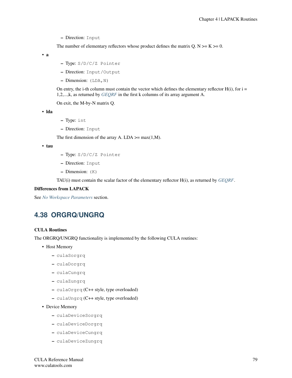– Direction: Input

The number of elementary reflectors whose product defines the matrix Q.  $N \ge K \ge 0$ .

• a

- Type: S/D/C/Z Pointer
- Direction: Input/Output
- $-$  Dimension: (LDA, N)

On entry, the i-th column must contain the vector which defines the elementary reflector  $H(i)$ , for  $i =$ 1,2,...,k, as returned by *[GEQRF](#page-30-0)* in the first k columns of its array argument A.

On exit, the M-by-N matrix Q.

• lda

- Type: int
- Direction: Input

The first dimension of the array A. LDA  $\geq$  max(1,M).

• tau

- Type: S/D/C/Z Pointer
- Direction: Input
- Dimension: (K)

TAU(i) must contain the scalar factor of the elementary reflector H(i), as returned by *[GEQRF](#page-30-0)*.

# Differences from LAPACK

See *[No Workspace Parameters](#page-154-0)* section.

# **4.38 ORGRQ/UNGRQ**

#### CULA Routines

The ORGRQ/UNGRQ functionality is implemented by the following CULA routines:

- Host Memory
	- culaSorgrq
	- culaDorgrq
	- culaCungrq
	- culaZungrq
	- culaOrgrq (C++ style, type overloaded)
	- culaUngrq (C++ style, type overloaded)
- Device Memory
	- culaDeviceSorgrq
	- culaDeviceDorgrq
	- culaDeviceCungrq
	- culaDeviceZungrq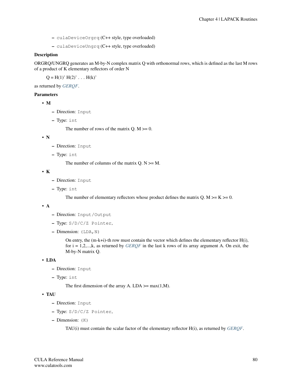- culaDeviceOrgrq (C++ style, type overloaded)
- culaDeviceUngrq (C++ style, type overloaded)

### **Description**

ORGRQ/UNGRQ generates an M-by-N complex matrix Q with orthonormal rows, which is defined as the last M rows of a product of K elementary reflectors of order N

 $Q = H(1)' H(2)' \dots H(k)'$ 

as returned by *[GERQF](#page-35-0)*.

# Parameters

• M

- Direction: Input
- Type: int

The number of rows of the matrix  $Q. M \ge 0$ .

• N

- Direction: Input
- Type: int

The number of columns of the matrix  $Q. N \geq M$ .

• K

- Direction: Input
- Type: int

The number of elementary reflectors whose product defines the matrix Q. M  $>= K = 0$ .

• A

- Direction: Input/Output
- Type: S/D/C/Z Pointer,
- $-$  Dimension: (LDA, N)

On entry, the (m-k+i)-th row must contain the vector which defines the elementary reflector H(i), for i = 1,2,...,k, as returned by *[GERQF](#page-35-0)* in the last k rows of its array argument A. On exit, the M-by-N matrix Q.

• LDA

- Direction: Input
- Type: int

The first dimension of the array A. LDA  $\geq$  max(1,M).

• TAU

- Direction: Input
- Type: S/D/C/Z Pointer,
- Dimension: (K)

TAU(i) must contain the scalar factor of the elementary reflector H(i), as returned by *[GERQF](#page-35-0)*.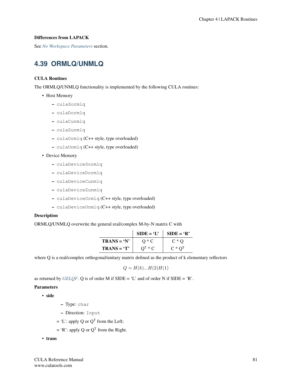# Differences from LAPACK

See *[No Workspace Parameters](#page-154-0)* section.

# **4.39 ORMLQ/UNMLQ**

# CULA Routines

The ORMLQ/UNMLQ functionality is implemented by the following CULA routines:

- Host Memory
	- culaSormlq
	- culaDormlq
	- culaCunmlq
	- culaZunmlq
	- culaOrmlq (C++ style, type overloaded)
	- culaUnmlq (C++ style, type overloaded)

# • Device Memory

- culaDeviceSormlq
- culaDeviceDormlq
- culaDeviceCunmlq
- culaDeviceZunmlq
- culaDeviceOrmlq (C++ style, type overloaded)
- culaDeviceUnmlq (C++ style, type overloaded)

# Description

ORMLQ/UNMLQ overwrite the general real/complex M-by-N matrix C with

|               | $SIDE = 'L'$ | $SIDE = 'R'$   |
|---------------|--------------|----------------|
| $TRANS = 'N'$ | $O \ast C$   | $C*O$          |
| $TRANS = 'T'$ | $OL * C$     | $C \ast O^{T}$ |

where Q is a real/complex orthogonal/unitary matrix defined as the product of k elementary reflectors

$$
Q = H(k)...H(2)H(1)
$$

as returned by *[GELQF](#page-25-0)*. Q is of order M if  $SIDE = 'L'$  and of order N if  $SIDE = 'R'.$ 

# **Parameters**

• side

- Type: char
- Direction: Input
- $=$  'L': apply Q or Q<sup>T</sup> from the Left;
- $=$  'R': apply Q or Q<sup>T</sup> from the Right.
- trans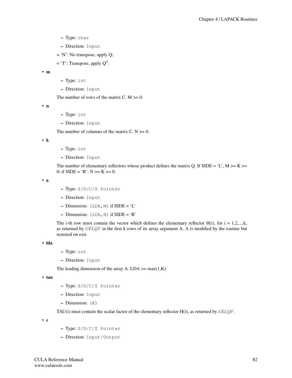- Type: char
- Direction: Input
- = 'N': No transpose, apply Q;
- $=$  'T': Transpose, apply  $Q<sup>T</sup>$ .

```
• m
```
- Type: int
- Direction: Input

The number of rows of the matrix  $C. M \ge 0$ .

• n

- Type: int
- Direction: Input

The number of columns of the matrix  $C. N \ge 0$ .

• k

- Type: int
- Direction: Input

The number of elementary reflectors whose product defines the matrix Q. If SIDE = 'L',  $M \ge K \ge$ 0; if  $SIDE = 'R', N \ge K \ge 0$ .

• a

- Type: S/D/C/Z Pointer
- Direction: Input
- $-$  Dimension: (LDA, M) if SIDE = 'L'
- Dimension:  $(LDA, N)$  if  $SIDE = 'R'$

The i-th row must contain the vector which defines the elementary reflector  $H(i)$ , for  $i = 1,2,...,k$ , as returned by *[GELQF](#page-25-0)* in the first k rows of its array argument A. A is modified by the routine but restored on exit.

• lda

- Type: int
- Direction: Input

The leading dimension of the array A. LDA  $\geq$  max(1,K).

```
• tau
```
- Type: S/D/C/Z Pointer
- Direction: Input
- Dimension: (K)

TAU(i) must contain the scalar factor of the elementary reflector H(i), as returned by *[GELQF](#page-25-0)*.

• c

- Type: S/D/C/Z Pointer
- Direction: Input/Output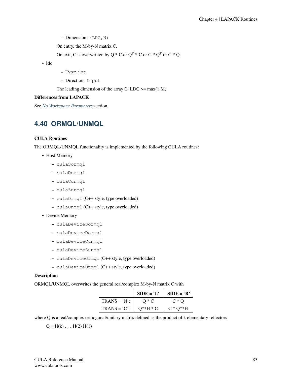$-$  Dimension: (LDC, N)

On entry, the M-by-N matrix C.

On exit, C is overwritten by Q  $^*$  C or Q<sup>T</sup>  $^*$  C or C  $^*$  Q<sup>T</sup> or C  $^*$  Q.

• ldc

– Type: int

– Direction: Input

The leading dimension of the array C. LDC  $>=$  max(1,M).

### Differences from LAPACK

See *[No Workspace Parameters](#page-154-0)* section.

# **4.40 ORMQL/UNMQL**

### CULA Routines

The ORMQL/UNMQL functionality is implemented by the following CULA routines:

- Host Memory
	- culaSormql
	- culaDormql
	- culaCunmql
	- culaZunmql
	- culaOrmql (C++ style, type overloaded)
	- culaUnmql (C++ style, type overloaded)

# • Device Memory

- culaDeviceSormql
- culaDeviceDormql
- culaDeviceCunmql
- culaDeviceZunmql
- culaDeviceOrmql (C++ style, type overloaded)
- culaDeviceUnmql (C++ style, type overloaded)

# Description

ORMQL/UNMQL overwrites the general real/complex M-by-N matrix C with

|                 | $SIDE = 'L'$ | $SIDE = 'R'$  |
|-----------------|--------------|---------------|
| $TRANS = 'N'$ : | $O \ast C$   | $C*O$         |
| $TRANS = 'C'.$  | $O^*H * C$   | $C * O^{**}H$ |

where Q is a real/complex orthogonal/unitary matrix defined as the product of k elementary reflectors

 $Q = H(k) \dots H(2) H(1)$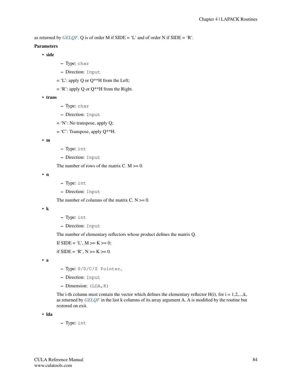as returned by *[GELQF](#page-25-0)*. Q is of order M if  $SIDE = 'L'$  and of order N if  $SIDE = 'R'.$ 

#### Parameters

• side

- Type: char
- Direction: Input
- $=$  'L': apply Q or Q\*\*H from the Left;
- $=$  'R': apply Q or Q\*\*H from the Right.

• trans

- Type: char
- Direction: Input
- = 'N': No transpose, apply Q;
- $= 'C'$ : Transpose, apply  $Q^{**}H$ .

• m

- Type: int
- Direction: Input

The number of rows of the matrix  $C. M \ge 0$ .

• n

- Type: int
- Direction: Input

The number of columns of the matrix  $C. N \ge 0$ .

• k

- Type: int
- Direction: Input

The number of elementary reflectors whose product defines the matrix Q.

If  $SIDE = 'L', M \ge K \ge 0;$ 

if  $SIDE = 'R', N \geq K \geq 0.$ 

• a

- Type: S/D/C/Z Pointer,
- Direction: Input
- Dimension: (LDA,K)

The i-th column must contain the vector which defines the elementary reflector  $H(i)$ , for  $i = 1,2,...,k$ , as returned by *[GELQF](#page-25-0)* in the last k columns of its array argument A. A is modified by the routine but restored on exit.

• lda

– Type: int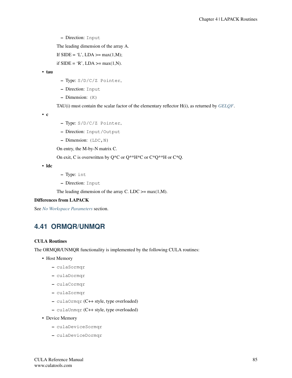– Direction: Input

The leading dimension of the array A.

If  $SIDE = 'L', LDA \geq max(1,M);$ 

if  $SIDE = 'R', LDA \geq max(1,N)$ .

• tau

- Type: S/D/C/Z Pointer,
- Direction: Input
- Dimension: (K)

TAU(i) must contain the scalar factor of the elementary reflector H(i), as returned by *[GELQF](#page-25-0)*.

• c

- Type: S/D/C/Z Pointer,
- Direction: Input/Output
- $-$  Dimension: (LDC, N)

On entry, the M-by-N matrix C.

On exit, C is overwritten by  $Q^*C$  or  $Q^{**}H^*C$  or  $C^*Q^{**}H$  or  $C^*Q$ .

• ldc

- Type: int
- Direction: Input

The leading dimension of the array C. LDC  $>=$  max(1,M).

# Differences from LAPACK

See *[No Workspace Parameters](#page-154-0)* section.

# **4.41 ORMQR/UNMQR**

#### CULA Routines

The ORMQR/UNMQR functionality is implemented by the following CULA routines:

- Host Memory
	- culaSormqr
	- culaDormqr
	- culaCormqr
	- culaZormqr
	- culaOrmqr (C++ style, type overloaded)
	- culaUnmqr (C++ style, type overloaded)
- Device Memory
	- culaDeviceSormqr
	- culaDeviceDormqr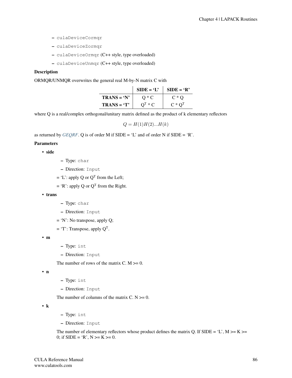- culaDeviceCormqr
- culaDeviceZormqr
- culaDeviceOrmqr (C++ style, type overloaded)
- culaDeviceUnmqr (C++ style, type overloaded)

#### **Description**

ORMQR/UNMQR overwrites the general real M-by-N matrix C with

|               | $SIDE = 'L'$ | $SIDE = 'R'$   |
|---------------|--------------|----------------|
| $TRANS = 'N'$ | $O*C$        | $C*O$          |
| $TRANS = 'T'$ | $OT * C$     | $C \ast Q^{T}$ |

where Q is a real/complex orthogonal/unitary matrix defined as the product of k elementary reflectors

 $Q = H(1)H(2)...H(k)$ 

as returned by *[GEQRF](#page-30-0)*. Q is of order M if  $SIDE = 'L'$  and of order N if  $SIDE = 'R'.$ 

#### Parameters

• side

- Type: char
- Direction: Input
- $=$  'L': apply Q or Q<sup>T</sup> from the Left;
- $=$  'R': apply Q or Q<sup>T</sup> from the Right.
- trans
- Type: char
- Direction: Input
- = 'N': No transpose, apply Q;
- $=$  'T': Transpose, apply  $Q<sup>T</sup>$ .

• m

- Type: int
- Direction: Input

The number of rows of the matrix C.  $M \ge 0$ .

• n

- Type: int
- Direction: Input

The number of columns of the matrix  $C. N \ge 0$ .

• k

- Type: int
- Direction: Input

The number of elementary reflectors whose product defines the matrix Q. If SIDE = 'L',  $M \ge K \ge$ 0; if SIDE = 'R',  $N \ge K \ge 0$ .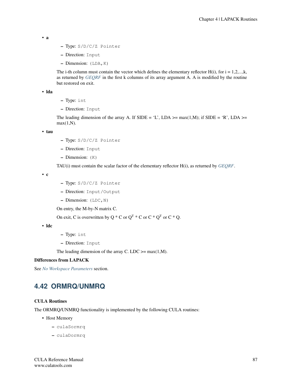```
• a
```
- Type: S/D/C/Z Pointer
- Direction: Input
- Dimension: (LDA,K)

The i-th column must contain the vector which defines the elementary reflector  $H(i)$ , for  $i = 1,2,...,k$ , as returned by *[GEQRF](#page-30-0)* in the first k columns of its array argument A. A is modified by the routine but restored on exit.

• lda

- Type: int
- Direction: Input

The leading dimension of the array A. If SIDE = 'L', LDA >= max(1,M); if SIDE = 'R', LDA >=  $max(1,N)$ .

• tau

- Type: S/D/C/Z Pointer
- Direction: Input
- Dimension: (K)

TAU(i) must contain the scalar factor of the elementary reflector H(i), as returned by *[GEQRF](#page-30-0)*.

• c

- Type: S/D/C/Z Pointer
- Direction: Input/Output
- $-$  Dimension: (LDC, N)

On entry, the M-by-N matrix C.

On exit, C is overwritten by Q  $^*$  C or Q<sup>T</sup>  $^*$  C or C  $^*$  Q<sup>T</sup> or C  $^*$  Q.

• ldc

- Type: int
- Direction: Input

The leading dimension of the array C. LDC  $>=$  max(1,M).

# Differences from LAPACK

See *[No Workspace Parameters](#page-154-0)* section.

# **4.42 ORMRQ/UNMRQ**

#### CULA Routines

The ORMRQ/UNMRQ functionality is implemented by the following CULA routines:

- Host Memory
	- culaSormrq
	- culaDormrq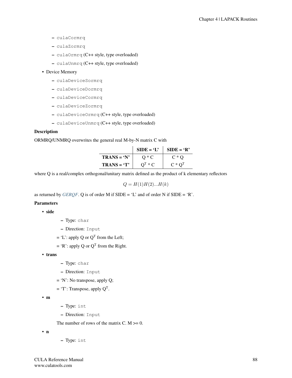- culaCormrq
- culaZormrq
- culaOrmrq (C++ style, type overloaded)
- culaUnmrq (C++ style, type overloaded)

# • Device Memory

- culaDeviceSormrq
- culaDeviceDormrq
- culaDeviceCormrq
- culaDeviceZormrq
- culaDeviceOrmrq (C++ style, type overloaded)
- culaDeviceUnmrq (C++ style, type overloaded)

# Description

ORMRQ/UNMRQ overwrites the general real M-by-N matrix C with

|               | $SIDE = 'L'$ | $SIDE = 'R'$   |
|---------------|--------------|----------------|
| $TRANS = 'N'$ | $O \ast C$   | $C*O$          |
| $TRANS = 'T'$ | $OT * C$     | $C \ast Q^{T}$ |

where Q is a real/complex orthogonal/unitary matrix defined as the product of k elementary reflectors

 $Q = H(1)H(2)...H(k)$ 

as returned by *[GERQF](#page-35-0)*. Q is of order M if  $SIDE = 'L'$  and of order N if  $SIDE = 'R'$ .

#### **Parameters**

• side

- Type: char
- Direction: Input
- $=$  'L': apply Q or Q<sup>T</sup> from the Left;
- $=$  'R': apply Q or Q<sup>T</sup> from the Right.

• trans

- Type: char
- Direction: Input
- = 'N': No transpose, apply Q;
- $=$  'T': Transpose, apply  $Q<sup>T</sup>$ .

• m

- Type: int
- Direction: Input

The number of rows of the matrix C.  $M \ge 0$ .

• n

– Type: int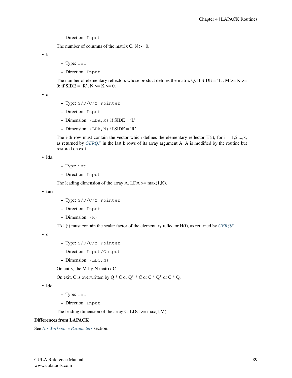– Direction: Input

The number of columns of the matrix  $C. N \ge 0$ .

• k

- Type: int
- Direction: Input

The number of elementary reflectors whose product defines the matrix Q. If SIDE = 'L',  $M \ge K \ge$ 0; if  $SIDE = 'R', N \geq K \geq 0$ .

• a

- Type: S/D/C/Z Pointer
- Direction: Input
- $-$  Dimension: (LDA, M) if SIDE = 'L'
- Dimension:  $(LDA, N)$  if SIDE = 'R'

The i-th row must contain the vector which defines the elementary reflector  $H(i)$ , for  $i = 1,2,...,k$ , as returned by *[GERQF](#page-35-0)* in the last k rows of its array argument A. A is modified by the routine but restored on exit.

• lda

- Type: int
- Direction: Input

The leading dimension of the array A. LDA  $\geq$  max(1,K).

• tau

- Type: S/D/C/Z Pointer
- Direction: Input
- Dimension: (K)

TAU(i) must contain the scalar factor of the elementary reflector H(i), as returned by *[GERQF](#page-35-0)*.

• c

- Type: S/D/C/Z Pointer
- Direction: Input/Output
- Dimension: (LDC,N)

On entry, the M-by-N matrix C.

On exit, C is overwritten by Q  $^*$  C or Q<sup>T</sup>  $^*$  C or C  $^*$  Q<sup>T</sup> or C  $^*$  Q.

• ldc

- Type: int
- Direction: Input

The leading dimension of the array C. LDC  $>=$  max(1,M).

#### Differences from LAPACK

See *[No Workspace Parameters](#page-154-0)* section.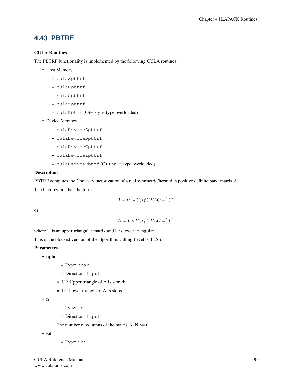# **4.43 PBTRF**

# CULA Routines

The PBTRF functionality is implemented by the following CULA routines:

- Host Memory
	- culaSpbtrf
	- culaDpbtrf
	- culaCpbtrf
	- culaZpbtrf
	- culaPbtrf (C++ style, type overloaded)
- Device Memory
	- culaDeviceSpbtrf
	- culaDeviceDpbtrf
	- culaDeviceCpbtrf
	- culaDeviceZpbtrf
	- culaDevicePbtrf (C++ style, type overloaded)

#### Description

PBTRF computes the Cholesky factorization of a real symmetric/hermitian positive definite band matrix A.

The factorization has the form

$$
A = U' * U, if UPLO =' U',
$$

or

$$
A = L * L', if UPLO = 'L',
$$

where U is an upper triangular matrix and L is lower triangular.

This is the blocked version of the algorithm, calling Level 3 BLAS.

# **Parameters**

- uplo
- Type: char
- Direction: Input
- = 'U': Upper triangle of A is stored;
- = 'L': Lower triangle of A is stored.

• n

- Type: int
- Direction: Input

The number of columns of the matrix  $A. N \ge 0$ .

• kd

– Type: int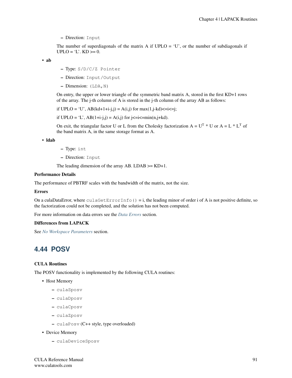– Direction: Input

The number of superdiagonals of the matrix A if  $UPLO = 'U'$ , or the number of subdiagonals if  $UPLO = 'L'. KD >= 0.$ 

```
• ab
```
- Type: S/D/C/Z Pointer
- Direction: Input/Output
- $-$  Dimension: (LDA, N)

On entry, the upper or lower triangle of the symmetric band matrix A, stored in the first KD+1 rows of the array. The j-th column of A is stored in the j-th column of the array AB as follows:

if  $UPLO = 'U'$ ,  $AB(kd+1+i-j,j) = A(i,j)$  for  $max(1,j-kd) \le i \le j$ ;

if  $UPLO = 'L', AB(1+i-j,j) = A(i,j)$  for  $j \le i \le min(n,j+kd)$ .

On exit, the triangular factor U or L from the Cholesky factorization  $A = U^T * U$  or  $A = L * L^T$  of the band matrix A, in the same storage format as A.

#### • ldab

– Type: int

– Direction: Input

The leading dimension of the array AB. LDAB  $>=$  KD+1.

### Performance Details

The performance of PBTRF scales with the bandwidth of the matrix, not the size.

### Errors

On a culaDataError, where  $\text{culaGetErrorInfo}() = i$ , the leading minor of order i of A is not positive definite, so the factorization could not be completed, and the solution has not been computed.

For more information on data errors see the *[Data Errors](#page-155-0)* section.

#### Differences from LAPACK

See *[No Workspace Parameters](#page-154-0)* section.

# **4.44 POSV**

#### CULA Routines

The POSV functionality is implemented by the following CULA routines:

- Host Memory
	- culaSposv
	- culaDposv
	- culaCposv
	- culaZposv
	- culaPosv (C++ style, type overloaded)
- Device Memory
	- culaDeviceSposv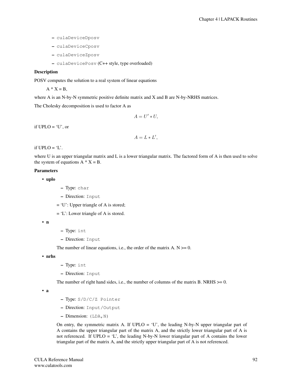- culaDeviceDposv
- culaDeviceCposv
- culaDeviceZposv
- culaDevicePosv (C++ style, type overloaded)

### **Description**

POSV computes the solution to a real system of linear equations

 $A * X = B$ ,

where A is an N-by-N symmetric positive definite matrix and X and B are N-by-NRHS matrices.

The Cholesky decomposition is used to factor A as

$$
A = U' * U,
$$

if  $UPLO = 'U'$ , or

$$
A=L*L',
$$

if  $UPLO = 'L'.$ 

where U is an upper triangular matrix and L is a lower triangular matrix. The factored form of A is then used to solve the system of equations  $A * X = B$ .

## Parameters

• uplo

- Type: char
- Direction: Input
- = 'U': Upper triangle of A is stored;
- = 'L': Lower triangle of A is stored.

• n

- Type: int
- Direction: Input

The number of linear equations, i.e., the order of the matrix  $A \cdot N \ge 0$ .

• nrhs

- Type: int
- Direction: Input

The number of right hand sides, i.e., the number of columns of the matrix B. NRHS  $>= 0$ .

• a

- Type: S/D/C/Z Pointer
- Direction: Input/Output
- $-$  Dimension: (LDA, N)

On entry, the symmetric matrix A. If  $UPLO = 'U'$ , the leading N-by-N upper triangular part of A contains the upper triangular part of the matrix A, and the strictly lower triangular part of A is not referenced. If UPLO = 'L', the leading N-by-N lower triangular part of A contains the lower triangular part of the matrix A, and the strictly upper triangular part of A is not referenced.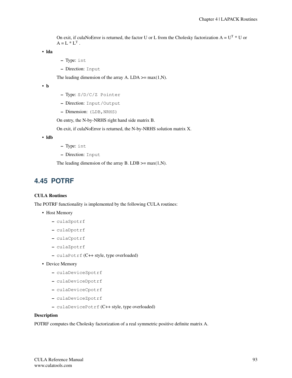On exit, if culaNoError is returned, the factor U or L from the Cholesky factorization  $A = U^T * U$  or  $A = L * L<sup>T</sup>$ .

• lda

- Type: int
- Direction: Input

The leading dimension of the array A. LDA  $\geq$  max(1,N).

• b

- Type: S/D/C/Z Pointer
- Direction: Input/Output
- Dimension: (LDB, NRHS)

On entry, the N-by-NRHS right hand side matrix B.

On exit, if culaNoError is returned, the N-by-NRHS solution matrix X.

• ldb

- Type: int
- Direction: Input

The leading dimension of the array B. LDB  $\geq$  max(1,N).

# <span id="page-97-0"></span>**4.45 POTRF**

# CULA Routines

The POTRF functionality is implemented by the following CULA routines:

- Host Memory
	- culaSpotrf
	- culaDpotrf
	- culaCpotrf
	- culaZpotrf
	- culaPotrf (C++ style, type overloaded)
- Device Memory
	- culaDeviceSpotrf
	- culaDeviceDpotrf
	- culaDeviceCpotrf
	- culaDeviceZpotrf
	- culaDevicePotrf (C++ style, type overloaded)

# Description

POTRF computes the Cholesky factorization of a real symmetric positive definite matrix A.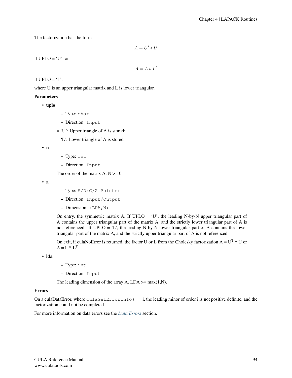The factorization has the form

 $A = U' * U$ 

if  $UPLO = 'U'$ , or

 $A = L * L'$ 

if  $UPLO = 'L'.$ 

where U is an upper triangular matrix and L is lower triangular.

### Parameters

- uplo
- Type: char
- Direction: Input
- = 'U': Upper triangle of A is stored;
- = 'L': Lower triangle of A is stored.

• n

- Type: int
- Direction: Input

The order of the matrix  $A. N \geq 0$ .

• a

- Type: S/D/C/Z Pointer
- Direction: Input/Output
- $-$  Dimension: (LDA, N)

On entry, the symmetric matrix A. If  $UPLO = 'U'$ , the leading N-by-N upper triangular part of A contains the upper triangular part of the matrix A, and the strictly lower triangular part of A is not referenced. If  $UPLO = 'L'$ , the leading N-by-N lower triangular part of A contains the lower triangular part of the matrix A, and the strictly upper triangular part of A is not referenced.

On exit, if culaNoError is returned, the factor U or L from the Cholesky factorization  $A = U^T * U$  or  $A = L * L^{T}.$ 

• lda

- Type: int
- Direction: Input

The leading dimension of the array A. LDA  $\geq$  max(1,N).

#### Errors

On a culaDataError, where  $\text{culaGetErrorInfo}() = i$ , the leading minor of order i is not positive definite, and the factorization could not be completed.

For more information on data errors see the *[Data Errors](#page-155-0)* section.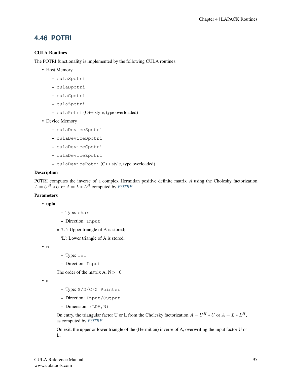# **4.46 POTRI**

# CULA Routines

The POTRI functionality is implemented by the following CULA routines:

- Host Memory
	- culaSpotri
	- culaDpotri
	- culaCpotri
	- culaZpotri
	- culaPotri (C++ style, type overloaded)
- Device Memory
	- culaDeviceSpotri
	- culaDeviceDpotri
	- culaDeviceCpotri
	- culaDeviceZpotri
	- culaDevicePotri (C++ style, type overloaded)

#### Description

POTRI computes the inverse of a complex Hermitian positive definite matrix A using the Cholesky factorization  $A = U^H * U$  or  $A = L * L^H$  computed by *[POTRF](#page-97-0)*.

# Parameters

#### • uplo

- Type: char
- Direction: Input
- = 'U': Upper triangle of A is stored;
- = 'L': Lower triangle of A is stored.

• n

- Type: int
- Direction: Input

The order of the matrix  $A \cdot N \geq 0$ .

```
• a
```
- Type: S/D/C/Z Pointer
- Direction: Input/Output
- Dimension: (LDA,N)

On entry, the triangular factor U or L from the Cholesky factorization  $A = U^H * U$  or  $A = L * L^H$ , as computed by *[POTRF](#page-97-0)*.

On exit, the upper or lower triangle of the (Hermitian) inverse of A, overwriting the input factor U or L.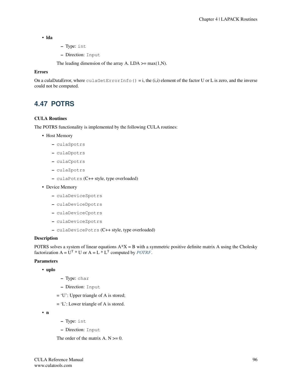### • lda

- Type: int
- Direction: Input

The leading dimension of the array A. LDA  $\geq$  max(1,N).

### Errors

On a culaDataError, where  $\text{culaGetErrorInfo}() = i$ , the  $(i,i)$  element of the factor U or L is zero, and the inverse could not be computed.

# **4.47 POTRS**

### CULA Routines

The POTRS functionality is implemented by the following CULA routines:

- Host Memory
	- culaSpotrs
	- culaDpotrs
	- culaCpotrs
	- culaZpotrs
	- culaPotrs (C++ style, type overloaded)
- Device Memory
	- culaDeviceSpotrs
	- culaDeviceDpotrs
	- culaDeviceCpotrs
	- culaDeviceZpotrs
	- culaDevicePotrs (C++ style, type overloaded)

#### **Description**

POTRS solves a system of linear equations  $A^*X = B$  with a symmetric positive definite matrix A using the Cholesky factorization  $A = U^T * U$  or  $A = L * L^T$  computed by *[POTRF](#page-97-0)*.

# Parameters

- uplo
- Type: char
- Direction: Input
- = 'U': Upper triangle of A is stored;
- = 'L': Lower triangle of A is stored.

• n

- Type: int
- Direction: Input

The order of the matrix  $A. N \geq 0$ .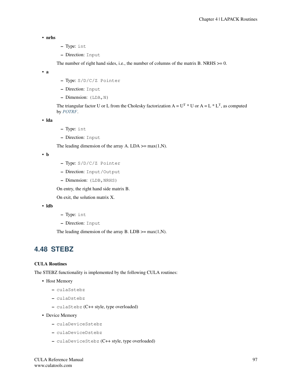• nrhs

- Type: int
- Direction: Input

The number of right hand sides, i.e., the number of columns of the matrix B. NRHS  $>= 0$ .

• a

- Type: S/D/C/Z Pointer
- Direction: Input
- $-$  Dimension: (LDA, N)

The triangular factor U or L from the Cholesky factorization  $A = U^T * U$  or  $A = L * L^T$ , as computed by *[POTRF](#page-97-0)*.

• lda

- Type: int
- Direction: Input

The leading dimension of the array A. LDA  $\geq$  max(1,N).

• b

- Type: S/D/C/Z Pointer
- Direction: Input/Output
- Dimension: (LDB, NRHS)

On entry, the right hand side matrix B.

On exit, the solution matrix X.

• ldb

- Type: int
- Direction: Input

The leading dimension of the array B. LDB  $\geq$  max(1,N).

# **4.48 STEBZ**

### CULA Routines

The STEBZ functionality is implemented by the following CULA routines:

- Host Memory
	- culaSstebz
	- culaDstebz
	- culaStebz (C++ style, type overloaded)
- Device Memory
	- culaDeviceSstebz
	- culaDeviceDstebz
	- culaDeviceStebz (C++ style, type overloaded)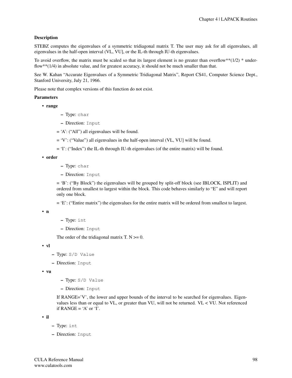# Description

STEBZ computes the eigenvalues of a symmetric tridiagonal matrix T. The user may ask for all eigenvalues, all eigenvalues in the half-open interval (VL, VU], or the IL-th through IU-th eigenvalues.

To avoid overflow, the matrix must be scaled so that its largest element is no greater than overflow\*\* $(1/2)$  \* underflow\*\*(1/4) in absolute value, and for greatest accuracy, it should not be much smaller than that.

See W. Kahan "Accurate Eigenvalues of a Symmetric Tridiagonal Matrix", Report CS41, Computer Science Dept., Stanford University, July 21, 1966.

Please note that complex versions of this function do not exist.

#### Parameters

• range

- Type: char
- Direction: Input
- = 'A': ("All") all eigenvalues will be found.
- = 'V': ("Value") all eigenvalues in the half-open interval (VL, VU] will be found.
- = 'I': ("Index") the IL-th through IU-th eigenvalues (of the entire matrix) will be found.

• order

- Type: char
- Direction: Input

= 'B': ("By Block") the eigenvalues will be grouped by split-off block (see IBLOCK, ISPLIT) and ordered from smallest to largest within the block. This code behaves similarly to "E" and will report only one block.

= 'E': ("Entire matrix") the eigenvalues for the entire matrix will be ordered from smallest to largest.

• n

```
– Type: int
```
– Direction: Input

The order of the tridiagonal matrix T.  $N \ge 0$ .

• vl

- Type: S/D Value
- Direction: Input

• vu

- Type: S/D Value
- Direction: Input

If RANGE='V', the lower and upper bounds of the interval to be searched for eigenvalues. Eigenvalues less than or equal to VL, or greater than VU, will not be returned. VL < VU. Not referenced if  $RANGE = 'A'$  or  $T'$ .

• il

- Type: int
- Direction: Input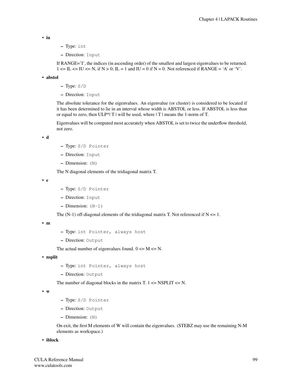• iu

- Type: int
- Direction: Input

If RANGE='I', the indices (in ascending order) of the smallest and largest eigenvalues to be returned.  $1 \leq I \leq I$   $\leq$   $=$   $\text{IU} \leq$   $\text{N}$ , if  $\text{N} > 0$ ;  $\text{IL} = 1$  and  $\text{IU} = 0$  if  $\text{N} = 0$ . Not referenced if RANGE = 'A' or 'V'.

• abstol

– Type: S/D

– Direction: Input

The absolute tolerance for the eigenvalues. An eigenvalue (or cluster) is considered to be located if it has been determined to lie in an interval whose width is ABSTOL or less. If ABSTOL is less than or equal to zero, then ULP\*| T | will be used, where  $|T|$  means the 1-norm of T.

Eigenvalues will be computed most accurately when ABSTOL is set to twice the underflow threshold, not zero.

• d

- Type: S/D Pointer
- Direction: Input
- Dimension: (N)

The N diagonal elements of the tridiagonal matrix T.

• e

- Type: S/D Pointer
- Direction: Input
- $-$  Dimension:  $(N-1)$

The  $(N-1)$  off-diagonal elements of the tridiagonal matrix T. Not referenced if  $N \le 1$ .

• m

- Type: int Pointer, always host
- Direction: Output

The actual number of eigenvalues found.  $0 \le M \le N$ .

• nsplit

- Type: int Pointer, always host
- Direction: Output

The number of diagonal blocks in the matrix T.  $1 \leq N$ SPLIT  $\leq N$ .

• w

- Type: S/D Pointer
- Direction: Output
- Dimension: (N)

On exit, the first M elements of W will contain the eigenvalues. (STEBZ may use the remaining N-M elements as workspace.)

• iblock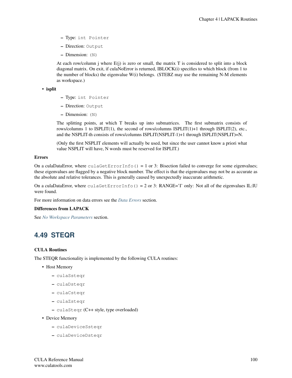- Type: int Pointer
- Direction: Output
- Dimension: (N)

At each row/column j where  $E(j)$  is zero or small, the matrix T is considered to split into a block diagonal matrix. On exit, if culaNoError is returned, IBLOCK(i) specifies to which block (from 1 to the number of blocks) the eigenvalue W(i) belongs. (STEBZ may use the remaining N-M elements as workspace.)

• isplit

- Type: int Pointer
- Direction: Output
- Dimension: (N)

The splitting points, at which T breaks up into submatrices. The first submatrix consists of rows/columns 1 to ISPLIT(1), the second of rows/columns ISPLIT(1)+1 through ISPLIT(2), etc., and the NSPLIT-th consists of rows/columns ISPLIT(NSPLIT-1)+1 through ISPLIT(NSPLIT)=N.

(Only the first NSPLIT elements will actually be used, but since the user cannot know a priori what value NSPLIT will have, N words must be reserved for ISPLIT.)

#### Errors

On a culaDataError, where culaGetErrorInfo() = 1 or 3: Bisection failed to converge for some eigenvalues; these eigenvalues are flagged by a negative block number. The effect is that the eigenvalues may not be as accurate as the absolute and relative tolerances. This is generally caused by unexpectedly inaccurate arithmetic.

On a culaDataError, where culaGetErrorInfo() = 2 or 3: RANGE='I' only: Not all of the eigenvalues IL:IU were found.

For more information on data errors see the *[Data Errors](#page-155-0)* section.

#### Differences from LAPACK

See *[No Workspace Parameters](#page-154-0)* section.

# **4.49 STEQR**

# CULA Routines

The STEQR functionality is implemented by the following CULA routines:

- Host Memory
	- culaSsteqr
	- culaDsteqr
	- culaCsteqr
	- culaZsteqr
	- culaSteqr (C++ style, type overloaded)
- Device Memory
	- culaDeviceSsteqr
	- culaDeviceDsteqr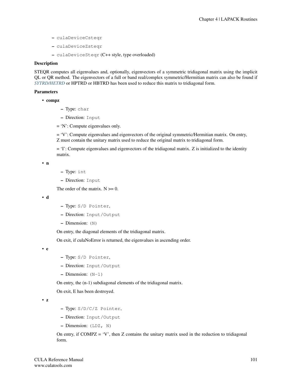- culaDeviceCsteqr
- culaDeviceZsteqr
- culaDeviceSteqr (C++ style, type overloaded)

# Description

STEQR computes all eigenvalues and, optionally, eigenvectors of a symmetric tridiagonal matrix using the implicit QL or QR method. The eigenvectors of a full or band real/complex symmetric/Hermitian matrix can also be found if *[SYTRD/HETRD](#page-116-0)* or HPTRD or HBTRD has been used to reduce this matrix to tridiagonal form.

#### Parameters

• compz

- Type: char
- Direction: Input
- = 'N': Compute eigenvalues only.

= 'V': Compute eigenvalues and eigenvectors of the original symmetric/Hermitian matrix. On entry, Z must contain the unitary matrix used to reduce the original matrix to tridiagonal form.

 $=$  'I': Compute eigenvalues and eigenvectors of the tridiagonal matrix. Z is initialized to the identity matrix.

• n

- Type: int
- Direction: Input

The order of the matrix.  $N \geq 0$ .

• d

- Type: S/D Pointer,
- Direction: Input/Output
- Dimension: (N)

On entry, the diagonal elements of the tridiagonal matrix.

On exit, if culaNoError is returned, the eigenvalues in ascending order.

• e

- Type: S/D Pointer,
- Direction: Input/Output
- $-$  Dimension:  $(N-1)$

On entry, the (n-1) subdiagonal elements of the tridiagonal matrix.

On exit, E has been destroyed.

• z

- Type: S/D/C/Z Pointer,
- Direction: Input/Output
- Dimension: (LDZ, N)

On entry, if  $COMPZ = 'V'$ , then  $Z$  contains the unitary matrix used in the reduction to tridiagonal form.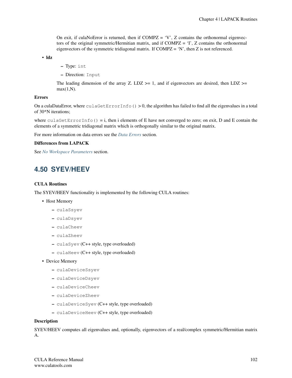On exit, if culaNoError is returned, then if  $COMPZ = 'V'$ , Z contains the orthonormal eigenvectors of the original symmetric/Hermitian matrix, and if COMPZ = 'I', Z contains the orthonormal eigenvectors of the symmetric tridiagonal matrix. If  $COMPZ = 'N'$ , then Z is not referenced.

• ldz

- Type: int
- Direction: Input

The leading dimension of the array Z. LDZ  $>= 1$ , and if eigenvectors are desired, then LDZ  $>=$  $max(1,N)$ .

# Errors

On a culaDataError, where  $\text{culaGetErrorInfo}() > 0$ , the algorithm has failed to find all the eigenvalues in a total of 30\*N iterations;

where culaGetErrorInfo() = i, then i elements of E have not converged to zero; on exit, D and E contain the elements of a symmetric tridiagonal matrix which is orthogonally similar to the original matrix.

For more information on data errors see the *[Data Errors](#page-155-0)* section.

#### Differences from LAPACK

See *[No Workspace Parameters](#page-154-0)* section.

# **4.50 SYEV/HEEV**

### CULA Routines

The SYEV/HEEV functionality is implemented by the following CULA routines:

- Host Memory
	- culaSsyev
	- culaDsyev
	- culaCheev
	- culaZheev
	- culaSyev (C++ style, type overloaded)
	- culaHeev (C++ style, type overloaded)
- Device Memory
	- culaDeviceSsyev
	- culaDeviceDsyev
	- culaDeviceCheev
	- culaDeviceZheev
	- culaDeviceSyev (C++ style, type overloaded)
	- culaDeviceHeev (C++ style, type overloaded)

#### **Description**

SYEV/HEEV computes all eigenvalues and, optionally, eigenvectors of a real/complex symmetric/Hermitian matrix A.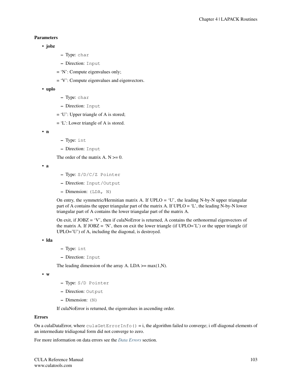# Parameters

### • jobz

- Type: char
- Direction: Input
- = 'N': Compute eigenvalues only;
- = 'V': Compute eigenvalues and eigenvectors.

#### • uplo

- Type: char
- Direction: Input
- = 'U': Upper triangle of A is stored;
- = 'L': Lower triangle of A is stored.

```
• n
```
- Type: int
- Direction: Input

The order of the matrix A.  $N \ge 0$ .

• a

- Type: S/D/C/Z Pointer
- Direction: Input/Output
- Dimension: (LDA, N)

On entry, the symmetric/Hermitian matrix A. If  $UPLO = 'U'$ , the leading N-by-N upper triangular part of A contains the upper triangular part of the matrix A. If UPLO = 'L', the leading N-by-N lower triangular part of A contains the lower triangular part of the matrix A.

On exit, if  $JOBZ = 'V'$ , then if culaNoError is returned, A contains the orthonormal eigenvectors of the matrix A. If  $JOBZ = 'N'$ , then on exit the lower triangle (if  $UPLO='L'$ ) or the upper triangle (if UPLO='U') of A, including the diagonal, is destroyed.

```
• lda
```
- Type: int
- Direction: Input

The leading dimension of the array A. LDA  $\geq$  max(1,N).

• w

- Type: S/D Pointer
- Direction: Output
- Dimension: (N)

If culaNoError is returned, the eigenvalues in ascending order.

#### Errors

On a culaDataError, where  $\text{cc}$ LaGetErrorInfo() = i, the algorithm failed to converge; i off-diagonal elements of an intermediate tridiagonal form did not converge to zero.

For more information on data errors see the *[Data Errors](#page-155-0)* section.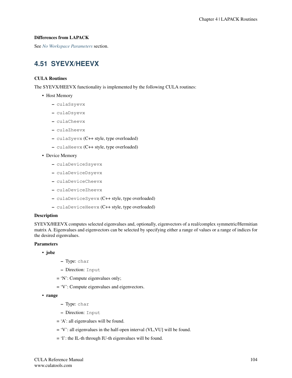## Differences from LAPACK

See *[No Workspace Parameters](#page-154-0)* section.

# **4.51 SYEVX/HEEVX**

## CULA Routines

The SYEVX/HEEVX functionality is implemented by the following CULA routines:

- Host Memory
	- culaSsyevx
	- culaDsyevx
	- culaCheevx
	- culaZheevx
	- culaSyevx (C++ style, type overloaded)
	- culaHeevx (C++ style, type overloaded)
- Device Memory
	- culaDeviceSsyevx
	- culaDeviceDsyevx
	- culaDeviceCheevx
	- culaDeviceZheevx
	- culaDeviceSyevx (C++ style, type overloaded)
	- culaDeviceHeevx (C++ style, type overloaded)

## Description

SYEVX/HEEVX computes selected eigenvalues and, optionally, eigenvectors of a real/complex symmetric/Hermitian matrix A. Eigenvalues and eigenvectors can be selected by specifying either a range of values or a range of indices for the desired eigenvalues.

## **Parameters**

- jobz
- Type: char
- Direction: Input
- = 'N': Compute eigenvalues only;
- = 'V': Compute eigenvalues and eigenvectors.
- range
- Type: char
- Direction: Input
- $=$  'A': all eigenvalues will be found.
- = 'V': all eigenvalues in the half-open interval (VL,VU] will be found.
- = 'I': the IL-th through IU-th eigenvalues will be found.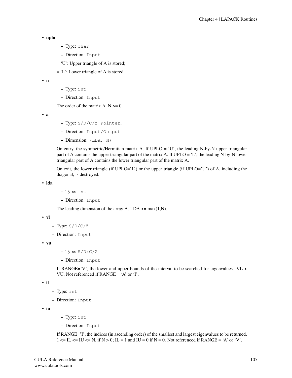```
• uplo
```
- Type: char
- Direction: Input
- = 'U': Upper triangle of A is stored;
- = 'L': Lower triangle of A is stored.

• n

- Type: int
- Direction: Input

The order of the matrix  $A. N \geq 0$ .

• a

- Type: S/D/C/Z Pointer,
- Direction: Input/Output
- Dimension: (LDA, N)

On entry, the symmetric/Hermitian matrix A. If  $UPLO = 'U'$ , the leading N-by-N upper triangular part of A contains the upper triangular part of the matrix A. If UPLO = 'L', the leading N-by-N lower triangular part of A contains the lower triangular part of the matrix A.

On exit, the lower triangle (if  $UPLO=^L$ ) or the upper triangle (if  $UPLO=^L$ U') of A, including the diagonal, is destroyed.

• lda

- Type: int
- Direction: Input

The leading dimension of the array A. LDA  $\geq$  max(1,N).

• vl

- $-$  Type:  $S/D/C/Z$
- Direction: Input

• vu

- $-$  Type:  $S/D/C/Z$
- Direction: Input

If RANGE='V', the lower and upper bounds of the interval to be searched for eigenvalues. VL  $\lt$ VU. Not referenced if RANGE = 'A' or 'I'.

• il

```
– Type: int
```

```
– Direction: Input
```
• iu

- Type: int
- Direction: Input

If RANGE='I', the indices (in ascending order) of the smallest and largest eigenvalues to be returned.  $1 \leq \text{IL} \leq \text{IU} \leq \text{N}$ , if  $N > 0$ ;  $\text{IL} = 1$  and  $\text{IU} = 0$  if  $N = 0$ . Not referenced if RANGE = 'A' or 'V'.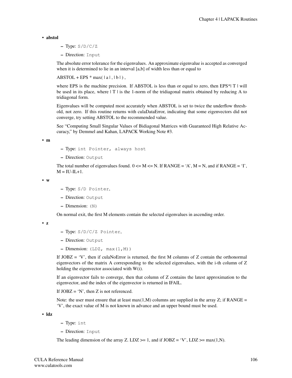• abstol

- $-$  Type:  $S/D/C/Z$
- Direction: Input

The absolute error tolerance for the eigenvalues. An approximate eigenvalue is accepted as converged when it is determined to lie in an interval [a,b] of width less than or equal to

 $ABSTOL + EPS * max( |a|, |b| )$ ,

where EPS is the machine precision. If ABSTOL is less than or equal to zero, then EPS $*$ | T | will be used in its place, where  $|T|$  is the 1-norm of the tridiagonal matrix obtained by reducing A to tridiagonal form.

Eigenvalues will be computed most accurately when ABSTOL is set to twice the underflow threshold, not zero. If this routine returns with culaDataError, indicating that some eigenvectors did not converge, try setting ABSTOL to the recommended value.

See "Computing Small Singular Values of Bidiagonal Matrices with Guaranteed High Relative Accuracy," by Demmel and Kahan, LAPACK Working Note #3.

• m

- Type: int Pointer, always host
- Direction: Output

The total number of eigenvalues found.  $0 \le M \le N$ . If RANGE = 'A', M = N, and if RANGE = 'I',  $M = IU-L+1.$ 

• w

- Type: S/D Pointer,
- Direction: Output
- Dimension: (N)

On normal exit, the first M elements contain the selected eigenvalues in ascending order.

• z

- Type: S/D/C/Z Pointer,
- Direction: Output
- $-$  Dimension:  $(LDZ, max(1,M))$

If  $JOBZ = 'V'$ , then if culaNoError is returned, the first M columns of Z contain the orthonormal eigenvectors of the matrix A corresponding to the selected eigenvalues, with the i-th column of Z holding the eigenvector associated with W(i).

If an eigenvector fails to converge, then that column of Z contains the latest approximation to the eigenvector, and the index of the eigenvector is returned in IFAIL.

If  $JOBZ = 'N'$ , then Z is not referenced.

Note: the user must ensure that at least max $(1,M)$  columns are supplied in the array Z; if RANGE = 'V', the exact value of M is not known in advance and an upper bound must be used.

• ldz

- Type: int
- Direction: Input

The leading dimension of the array Z. LDZ  $>= 1$ , and if JOBZ = 'V', LDZ  $>= max(1,N)$ .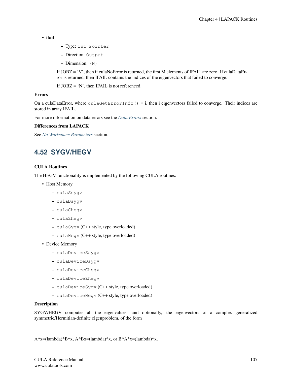```
• ifail
```
- Type: int Pointer
- Direction: Output
- Dimension: (N)

If JOBZ = 'V', then if culaNoError is returned, the first M elements of IFAIL are zero. If culaDataError is returned, then IFAIL contains the indices of the eigenvectors that failed to converge.

If JOBZ = 'N', then IFAIL is not referenced.

## Errors

On a culaDataError, where  $\text{culaGetErrorInfo}() = i$ , then i eigenvectors failed to converge. Their indices are stored in array IFAIL.

For more information on data errors see the *[Data Errors](#page-155-0)* section.

## Differences from LAPACK

See *[No Workspace Parameters](#page-154-0)* section.

# **4.52 SYGV/HEGV**

### CULA Routines

The HEGV functionality is implemented by the following CULA routines:

- Host Memory
	- culaSsygv
	- culaDsygv
	- culaChegv
	- culaZhegv
	- culaSygv (C++ style, type overloaded)
	- culaHegv (C++ style, type overloaded)
- Device Memory
	- culaDeviceSsygv
	- culaDeviceDsygv
	- culaDeviceChegv
	- culaDeviceZhegv
	- culaDeviceSygv (C++ style, type overloaded)
	- culaDeviceHegv (C++ style, type overloaded)

#### Description

SYGV/HEGV computes all the eigenvalues, and optionally, the eigenvectors of a complex generalized symmetric/Hermitian-definite eigenproblem, of the form

 $A^*x=(lambda)^*B^*x$ ,  $A^*Bx=(lambda)^*x$ , or  $B^*A^*x=(lambda)^*x$ .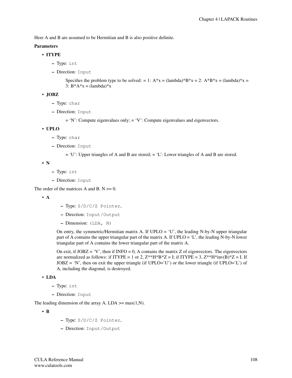Here A and B are assumed to be Hermitian and B is also positive definite.

# Parameters

# • ITYPE

- Type: int
- Direction: Input

Specifies the problem type to be solved: = 1:  $A^*x = (lambda^*B^*x = 2$ :  $A^*B^*x = (lambda^*)^*x =$ 3:  $B^*A^*x = (lambda)^*x$ 

• JOBZ

- Type: char
- Direction: Input

= 'N': Compute eigenvalues only; = 'V': Compute eigenvalues and eigenvectors.

• UPLO

- Type: char
- Direction: Input

= 'U': Upper triangles of A and B are stored; = 'L': Lower triangles of A and B are stored.

• N

- Type: int
- Direction: Input

The order of the matrices A and B.  $N \ge 0$ .

• A

- Type: S/D/C/Z Pointer,
- Direction: Input/Output
- Dimension: (LDA, N)

On entry, the symmetric/Hermitian matrix A. If  $UPLO = 'U'$ , the leading N-by-N upper triangular part of A contains the upper triangular part of the matrix A. If UPLO = 'L', the leading N-by-N lower triangular part of A contains the lower triangular part of the matrix A.

On exit, if  $JOBZ = 'V'$ , then if  $INFO = 0$ , A contains the matrix Z of eigenvectors. The eigenvectors are normalized as follows: if ITYPE = 1 or 2,  $Z^{**}H^*B^*Z = I$ ; if ITYPE = 3,  $Z^{**}H^*inv(B)^*Z = I$ . If  $JOBZ = 'N'$ , then on exit the upper triangle (if  $UPLO='U'$ ) or the lower triangle (if  $UPLO='L'$ ) of A, including the diagonal, is destroyed.

- LDA
	- Type: int
	- Direction: Input

The leading dimension of the array A. LDA  $\geq$  max(1,N).

• B

- Type: S/D/C/Z Pointer,
- Direction: Input/Output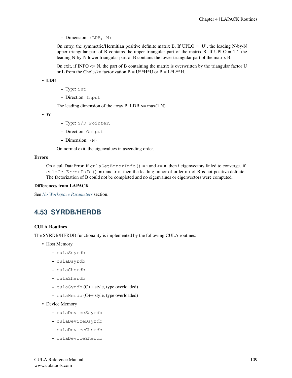– Dimension: (LDB, N)

On entry, the symmetric/Hermitian positive definite matrix B. If  $UPLO = 'U'$ , the leading N-by-N upper triangular part of B contains the upper triangular part of the matrix B. If UPLO  $=$  'L', the leading N-by-N lower triangular part of B contains the lower triangular part of the matrix B.

On exit, if INFO  $\leq$  N, the part of B containing the matrix is overwritten by the triangular factor U or L from the Cholesky factorization  $B = U^{**}H^*U$  or  $B = L^*L^{**}H$ .

• LDB

- Type: int
- Direction: Input

The leading dimension of the array B. LDB  $\geq$  max(1,N).

• W

- Type: S/D Pointer,
- Direction: Output
- Dimension: (N)

On normal exit, the eigenvalues in ascending order.

#### Errors

On a culaDataError, if culaGetErrorInfo() = i and  $\leq$  n, then i eigenvectors failed to converge. if culaGetErrorInfo() = i and > n, then the leading minor of order n-i of B is not positive definite. The factorization of B could not be completed and no eigenvalues or eigenvectors were computed.

#### Differences from LAPACK

See *[No Workspace Parameters](#page-154-0)* section.

# <span id="page-113-0"></span>**4.53 SYRDB/HERDB**

#### CULA Routines

The SYRDB/HERDB functionality is implemented by the following CULA routines:

- Host Memory
	- culaSsyrdb
	- culaDsyrdb
	- culaCherdb
	- culaZherdb
	- culaSyrdb (C++ style, type overloaded)
	- culaHerdb (C++ style, type overloaded)
- Device Memory
	- culaDeviceSsyrdb
	- culaDeviceDsyrdb
	- culaDeviceCherdb
	- culaDeviceZherdb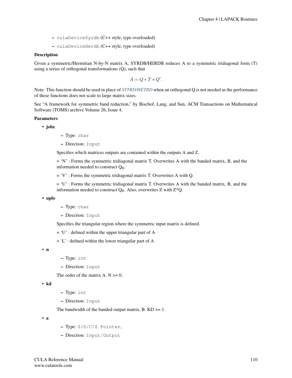- culaDeviceSyrdb (C++ style, type overloaded)
- culaDeviceHerdb (C++ style, type overloaded)

#### **Description**

Given a symmetric/Hermitian N-by-N matrix A, SYRDB/HERDB reduces A to a symmetric tridiagonal form (T) using a series of orthogonal transformations (Q), such that

$$
A = Q * T * Q'.
$$

Note: This function should be used in place of *[SYTRD/HETRD](#page-116-0)* when an orthogonal Q is not needed as the performance of these functions does not scale to large matrix sizes.

See "A framework for symmetric band reduction," by Bischof, Lang, and Sun, ACM Transactions on Mathematical Software (TOMS) archive Volume 26, Issue 4.

#### Parameters

• jobz

- Type: char
- Direction: Input

Specifies which matrices outputs are contained within the outputs A and Z.

 $=$  'N' : Forms the symmetric tridiagonal matrix T. Overwrites A with the banded matrix, B, and the information needed to construct  $Q_B$ .

= 'V' : Forms the symmetric tridiagonal matrix T. Overwrites A with Q.

= 'U' : Forms the symmetric tridiagonal matrix T. Overwrites A with the banded matrix, B, and the information needed to construct  $Q_B$ . Also, overwrites Z with Z\*Q.

• uplo

– Type: char

– Direction: Input

Specifies the triangular region where the symmetric input matrix is defined.

 $= 'U'$ : defined within the upper triangular part of A

 $=$  'L' : defined within the lower triangular part of A

• n

- Type: int
- Direction: Input

The order of the matrix  $A. N \geq 0$ .

```
• kd
```
- Type: int
- Direction: Input

The bandwidth of the banded output matrix,  $B$ .  $KD \ge 1$ .

• a

- Type: S/D/C/Z Pointer,
- Direction: Input/Output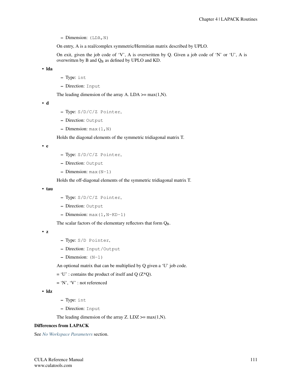$-$  Dimension: (LDA, N)

On entry, A is a real/complex symmetric/Hermitian matrix described by UPLO.

On exit, given the job code of 'V', A is overwritten by Q. Given a job code of 'N' or 'U', A is overwritten by B and  $Q_B$  as defined by UPLO and KD.

• lda

- Type: int
- Direction: Input

The leading dimension of the array A. LDA  $\geq$  max(1,N).

• d

- Type: S/D/C/Z Pointer,
- Direction: Output
- $-$  Dimension: max  $(1, N)$

Holds the diagonal elements of the symmetric tridiagonal matrix T.

• e

- Type: S/D/C/Z Pointer,
- Direction: Output
- Dimension: max(N-1)

Holds the off-diagonal elements of the symmetric tridiagonal matrix T.

• tau

- Type: S/D/C/Z Pointer,
- Direction: Output
- Dimension:  $max(1, N-KD-1)$

The scalar factors of the elementary reflectors that form  $Q_B$ .

• z

- Type: S/D Pointer,
- Direction: Input/Output
- Dimension: (N-1)

An optional matrix that can be multiplied by Q given a 'U' job code.

- $= 'U'$ : contains the product of itself and Q (Z\*Q).
- = 'N', 'V' : not referenced

• ldz

- Type: int
- Direction: Input

The leading dimension of the array Z. LDZ  $>=$  max(1,N).

# Differences from LAPACK

See *[No Workspace Parameters](#page-154-0)* section.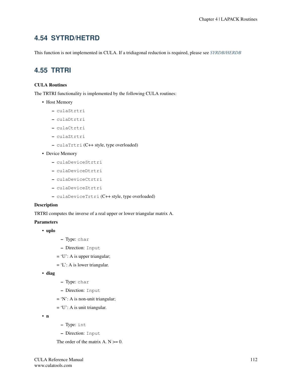# <span id="page-116-0"></span>**4.54 SYTRD/HETRD**

This function is not implemented in CULA. If a tridiagonal reduction is required, please see *[SYRDB/HERDB](#page-113-0)*

# **4.55 TRTRI**

# CULA Routines

The TRTRI functionality is implemented by the following CULA routines:

- Host Memory
	- culaStrtri
	- culaDtrtri
	- culaCtrtri
	- culaZtrtri
	- culaTrtri (C++ style, type overloaded)
- Device Memory
	- culaDeviceStrtri
	- culaDeviceDtrtri
	- culaDeviceCtrtri
	- culaDeviceZtrtri
	- culaDeviceTrtri (C++ style, type overloaded)

#### Description

TRTRI computes the inverse of a real upper or lower triangular matrix A.

- **Parameters** 
	- uplo
- Type: char
- Direction: Input
- $= 'U'$ : A is upper triangular;
- $= 'L'$ : A is lower triangular.
- diag
- Type: char
- Direction: Input
- = 'N': A is non-unit triangular;
- $= 'U'$ : A is unit triangular.

• n

- Type: int
- Direction: Input

The order of the matrix  $A$ .  $N \ge 0$ .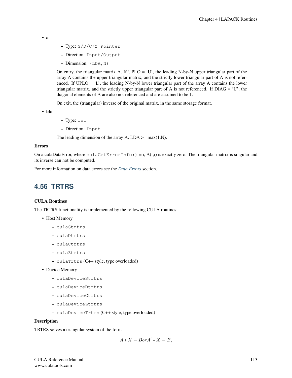• a

- Type: S/D/C/Z Pointer
- Direction: Input/Output
- Dimension: (LDA,N)

On entry, the triangular matrix A. If  $UPLO = 'U'$ , the leading N-by-N upper triangular part of the array A contains the upper triangular matrix, and the strictly lower triangular part of A is not referenced. If  $UPLO = 'L'$ , the leading N-by-N lower triangular part of the array A contains the lower triangular matrix, and the strictly upper triangular part of A is not referenced. If  $DIAG = 'U'$ , the diagonal elements of A are also not referenced and are assumed to be 1.

On exit, the (triangular) inverse of the original matrix, in the same storage format.

• lda

- Type: int
- Direction: Input

The leading dimension of the array A. LDA  $\geq$  max(1,N).

#### Errors

On a culaDataError, where  $\text{culaGetErrorInfo}() = i, A(i,i)$  is exactly zero. The triangular matrix is singular and its inverse can not be computed.

For more information on data errors see the *[Data Errors](#page-155-0)* section.

# **4.56 TRTRS**

#### CULA Routines

The TRTRS functionality is implemented by the following CULA routines:

- Host Memory
	- culaStrtrs
	- culaDtrtrs
	- culaCtrtrs
	- culaZtrtrs
	- culaTrtrs (C++ style, type overloaded)
- Device Memory
	- culaDeviceStrtrs
	- culaDeviceDtrtrs
	- culaDeviceCtrtrs
	- culaDeviceZtrtrs
	- culaDeviceTrtrs (C++ style, type overloaded)

#### Description

TRTRS solves a triangular system of the form

$$
A * X = Bor A' * X = B,
$$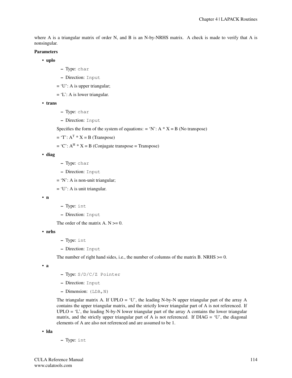where A is a triangular matrix of order N, and B is an N-by-NRHS matrix. A check is made to verify that A is nonsingular.

#### Parameters

- uplo
- Type: char
- Direction: Input
- $= 'U'$ : A is upper triangular;
- $= 'L'$ : A is lower triangular.
- trans
- Type: char
- Direction: Input

Specifies the form of the system of equations: = 'N':  $A * X = B$  (No transpose)

- $=$  'T':  $A^T * X = B$  (Transpose)
- $= 'C'$ :  $A^H * X = B$  (Conjugate transpose = Transpose)

```
• diag
```
- Type: char
- Direction: Input
- = 'N': A is non-unit triangular;

 $= 'U'$ : A is unit triangular.

```
• n
```
- Type: int
- Direction: Input

The order of the matrix  $A$ .  $N \ge 0$ .

#### • nrhs

- Type: int
- Direction: Input

The number of right hand sides, i.e., the number of columns of the matrix B. NRHS  $>= 0$ .

• a

- Type: S/D/C/Z Pointer
- Direction: Input
- Dimension: (LDA,N)

The triangular matrix A. If  $UPLO = 'U'$ , the leading N-by-N upper triangular part of the array A contains the upper triangular matrix, and the strictly lower triangular part of A is not referenced. If UPLO  $=$  'L', the leading N-by-N lower triangular part of the array A contains the lower triangular matrix, and the strictly upper triangular part of A is not referenced. If  $DIAG = 'U'$ , the diagonal elements of A are also not referenced and are assumed to be 1.

• lda

– Type: int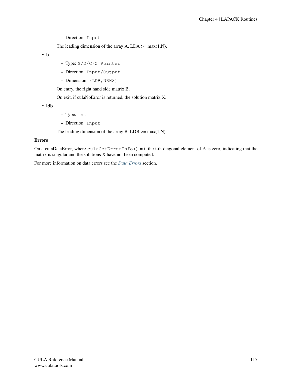The leading dimension of the array A. LDA  $\geq$  max(1,N).

• b

- Type: S/D/C/Z Pointer
- Direction: Input/Output
- Dimension: (LDB, NRHS)

On entry, the right hand side matrix B.

On exit, if culaNoError is returned, the solution matrix X.

• ldb

- Type: int
- Direction: Input

The leading dimension of the array B. LDB  $\geq$  max(1,N).

#### Errors

On a culaDataError, where  $\text{culaGetErrorInfo}() = i$ , the i-th diagonal element of A is zero, indicating that the matrix is singular and the solutions X have not been computed.

For more information on data errors see the *[Data Errors](#page-155-0)* section.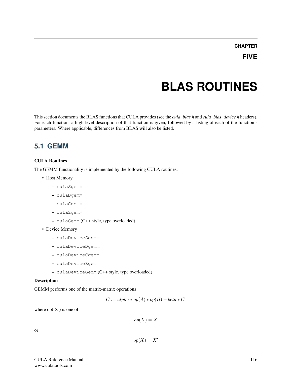# **CHAPTER**

# **BLAS ROUTINES**

This section documents the BLAS functions that CULA provides (see the *cula\_blas.h* and *cula\_blas\_device.h* headers). For each function, a high-level description of that function is given, followed by a listing of each of the function's parameters. Where applicable, differences from BLAS will also be listed.

# **5.1 GEMM**

# CULA Routines

The GEMM functionality is implemented by the following CULA routines:

- Host Memory
	- culaSgemm
	- culaDgemm
	- culaCgemm
	- culaZgemm
	- culaGemm (C++ style, type overloaded)
- Device Memory
	- culaDeviceSgemm
	- culaDeviceDgemm
	- culaDeviceCgemm
	- culaDeviceZgemm
	- culaDeviceGemm (C++ style, type overloaded)

## Description

GEMM performs one of the matrix-matrix operations

$$
C := alpha * op(A) * op(B) + beta * C,
$$

where  $op(X)$  is one of

$$
op(X) = X
$$

or

$$
op(X) = X'
$$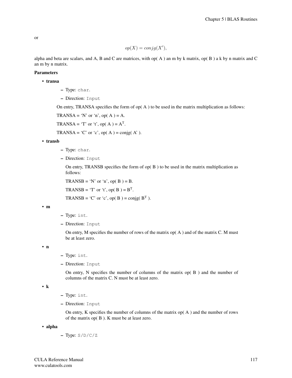or

$$
op(X) = conjg(X'),
$$

alpha and beta are scalars, and A, B and C are matrices, with op( $A$ ) an m by k matrix, op( $B$ ) a k by n matrix and C an m by n matrix.

#### Parameters

• transa

- Type: char.
- Direction: Input

On entry, TRANSA specifies the form of  $op(A)$  to be used in the matrix multiplication as follows:

TRANSA = 'N' or 'n', op $(A) = A$ .

TRANSA = 'T' or 't', op(A) =  $A<sup>T</sup>$ .

TRANSA = 'C' or 'c', op( $A$ ) = conjg( $A'$ ).

• transb

- Type: char.
- Direction: Input

On entry, TRANSB specifies the form of  $op(B)$  to be used in the matrix multiplication as follows:

TRANSB = 'N' or 'n', op( $B$ ) = B.

TRANSB = 'T' or 't', op( B) =  $B<sup>T</sup>$ .

TRANSB = 'C' or 'c', op( B) = conjg( $B<sup>T</sup>$ ).

• m

- Type: int.
- Direction: Input

On entry, M specifies the number of rows of the matrix  $op(A)$  and of the matrix C. M must be at least zero.

• n

- Type: int.
- Direction: Input

On entry, N specifies the number of columns of the matrix op( B ) and the number of columns of the matrix C. N must be at least zero.

## • k

- Type: int.
- Direction: Input

On entry, K specifies the number of columns of the matrix op( A ) and the number of rows of the matrix op( B ). K must be at least zero.

• alpha

– Type: S/D/C/Z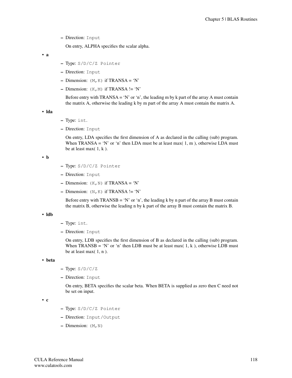On entry, ALPHA specifies the scalar alpha.

• a

- Type: S/D/C/Z Pointer
- Direction: Input
- Dimension:  $(M, K)$  if TRANSA = 'N'
- Dimension:  $(K, M)$  if TRANSA != 'N'

Before entry with TRANSA = 'N' or 'n', the leading m by k part of the array A must contain the matrix A, otherwise the leading k by m part of the array A must contain the matrix A.

• lda

- Type: int.
- Direction: Input

On entry, LDA specifies the first dimension of A as declared in the calling (sub) program. When TRANSA = 'N' or 'n' then LDA must be at least max $(1, m)$ , otherwise LDA must be at least max $(1, k)$ .

• b

- Type: S/D/C/Z Pointer
- Direction: Input
- Dimension:  $(K, N)$  if TRANSA = 'N'
- Dimension:  $(N, K)$  if TRANSA != 'N'

Before entry with  $TRANSB = 'N'$  or 'n', the leading k by n part of the array B must contain the matrix B, otherwise the leading n by k part of the array B must contain the matrix B.

#### • ldb

- Type: int.
- Direction: Input

On entry, LDB specifies the first dimension of B as declared in the calling (sub) program. When TRANSB = 'N' or 'n' then LDB must be at least max( 1, k), otherwise LDB must be at least max $(1, n)$ .

• beta

- $-$  Type:  $S/D/C/Z$
- Direction: Input

On entry, BETA specifies the scalar beta. When BETA is supplied as zero then C need not be set on input.

• c

- Type: S/D/C/Z Pointer
- Direction: Input/Output
- $-$  Dimension:  $(M, N)$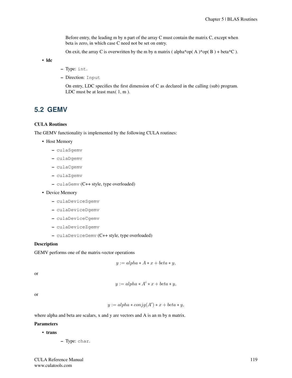Before entry, the leading m by n part of the array C must contain the matrix C, except when beta is zero, in which case C need not be set on entry.

On exit, the array C is overwritten by the m by n matrix (alpha\*op(A)\*op(B) + beta\*C).

• ldc

- Type: int.
- Direction: Input

On entry, LDC specifies the first dimension of C as declared in the calling (sub) program. LDC must be at least max(1, m).

# **5.2 GEMV**

## CULA Routines

The GEMV functionality is implemented by the following CULA routines:

• Host Memory

- culaSgemv
- culaDgemv
- culaCgemv
- culaZgemv
- culaGemv (C++ style, type overloaded)
- Device Memory
	- culaDeviceSgemv
	- culaDeviceDgemv
	- culaDeviceCgemv
	- culaDeviceZgemv
	- culaDeviceGemv (C++ style, type overloaded)

## Description

### GEMV performs one of the matrix-vector operations

$$
y := alpha * A * x + beta * y,
$$

or

$$
y := alpha * A' * x + beta * y,
$$

or

 $y := alpha * conjg(A') * x + beta * y,$ 

where alpha and beta are scalars, x and y are vectors and A is an m by n matrix.

#### **Parameters**

• trans

– Type: char.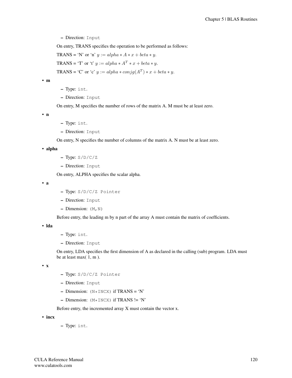On entry, TRANS specifies the operation to be performed as follows:

TRANS = 'N' or 'n'  $y := alpha * A * x + beta * y$ . TRANS = 'T' or 't'  $y := alpha * A^T * x + beta * y$ .

TRANS = 'C' or 'c'  $y := alpha * conjg(A<sup>T</sup>) * x + beta * y$ .

• m

- Type: int.
- Direction: Input

On entry, M specifies the number of rows of the matrix A. M must be at least zero.

• n

- Type: int.
- Direction: Input

On entry, N specifies the number of columns of the matrix A. N must be at least zero.

• alpha

- Type: S/D/C/Z
- Direction: Input

On entry, ALPHA specifies the scalar alpha.

• a

- Type: S/D/C/Z Pointer
- Direction: Input
- $-$  Dimension:  $(M, N)$

Before entry, the leading m by n part of the array A must contain the matrix of coefficients.

• lda

- Type: int.
- Direction: Input

On entry, LDA specifies the first dimension of A as declared in the calling (sub) program. LDA must be at least max( 1, m ).

• x

- Type: S/D/C/Z Pointer
- Direction: Input
- Dimension:  $(N * INCX)$  if TRANS = 'N'
- Dimension:  $(M * INCX)$  if TRANS != 'N'

Before entry, the incremented array X must contain the vector x.

• incx

– Type: int.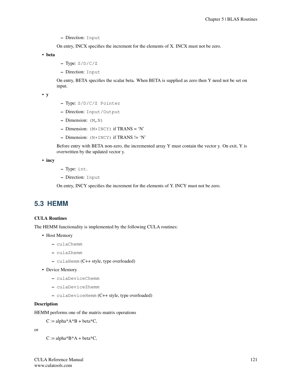On entry, INCX specifies the increment for the elements of X. INCX must not be zero.

• beta

- $-$  Type:  $S/D/C/Z$
- Direction: Input

On entry, BETA specifies the scalar beta. When BETA is supplied as zero then Y need not be set on input.

• y

- Type: S/D/C/Z Pointer
- Direction: Input/Output
- Dimension:  $(M, N)$
- Dimension:  $(M * INCY)$  if TRANS = 'N'
- $-$  Dimension: (N\*INCY) if TRANS != 'N'

Before entry with BETA non-zero, the incremented array Y must contain the vector y. On exit, Y is overwritten by the updated vector y.

• incy

- Type: int.
- Direction: Input

On entry, INCY specifies the increment for the elements of Y. INCY must not be zero.

# **5.3 HEMM**

# CULA Routines

The HEMM functionality is implemented by the following CULA routines:

- Host Memory
	- culaChemm
	- culaZhemm
	- culaHemm (C++ style, type overloaded)
- Device Memory
	- culaDeviceChemm
	- culaDeviceZhemm
	- culaDeviceHemm (C++ style, type overloaded)

## Description

HEMM performs one of the matrix-matrix operations

 $C := \text{alpha}^*A^*B + \text{beta}^*C$ ,

or

 $C := \text{alpha*B*A} + \text{beta*C},$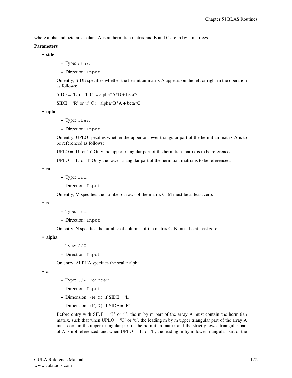where alpha and beta are scalars, A is an hermitian matrix and B and C are m by n matrices.

#### Parameters

• side

- Type: char.
- Direction: Input

On entry, SIDE specifies whether the hermitian matrix A appears on the left or right in the operation as follows:

 $SIDE = 'L'$  or 'l' C := alpha\*A\*B + beta\*C,

 $SIDE = 'R'$  or 'r' C := alpha\*B\*A + beta\*C,

• uplo

- Type: char.
- Direction: Input

On entry, UPLO specifies whether the upper or lower triangular part of the hermitian matrix A is to be referenced as follows:

 $UPLO = 'U'$  or 'u' Only the upper triangular part of the hermitian matrix is to be referenced.

 $UPLO = 'L'$  or 'l' Only the lower triangular part of the hermitian matrix is to be referenced.

• m

- Type: int.
- Direction: Input

On entry, M specifies the number of rows of the matrix C. M must be at least zero.

• n

- Type: int.
- Direction: Input

On entry, N specifies the number of columns of the matrix C. N must be at least zero.

• alpha

- $-$  Type:  $C/Z$
- Direction: Input

On entry, ALPHA specifies the scalar alpha.

• a

- Type: C/Z Pointer
- Direction: Input
- Dimension:  $(M, M)$  if SIDE = 'L'
- Dimension:  $(N, N)$  if SIDE = 'R'

Before entry with SIDE = 'L' or 'l', the m by m part of the array A must contain the hermitian matrix, such that when UPLO = 'U' or 'u', the leading m by m upper triangular part of the array A must contain the upper triangular part of the hermitian matrix and the strictly lower triangular part of A is not referenced, and when  $UPLO = 'L'$  or 'l', the leading m by m lower triangular part of the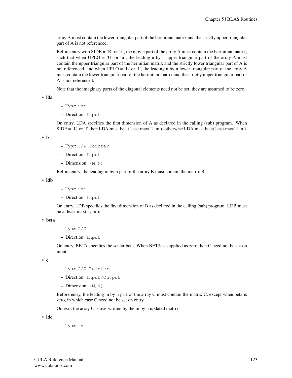array A must contain the lower triangular part of the hermitian matrix and the strictly upper triangular part of A is not referenced.

Before entry with  $SIDE = 'R'$  or 'r', the n by n part of the array A must contain the hermitian matrix, such that when  $UPLO = 'U'$  or 'u', the leading n by n upper triangular part of the array A must contain the upper triangular part of the hermitian matrix and the strictly lower triangular part of A is not referenced, and when UPLO = 'L' or 'l', the leading n by n lower triangular part of the array A must contain the lower triangular part of the hermitian matrix and the strictly upper triangular part of A is not referenced.

Note that the imaginary parts of the diagonal elements need not be set, they are assumed to be zero.

• lda

- Type: int.
- Direction: Input

On entry, LDA specifies the first dimension of A as declared in the calling (sub) program. When SIDE = 'L' or 'l' then LDA must be at least max( 1, m), otherwise LDA must be at least max( 1, n).

• b

- Type: C/Z Pointer
- Direction: Input
- Dimension:  $(M, N)$

Before entry, the leading m by n part of the array B must contain the matrix B.

• ldb

- Type: int.
- Direction: Input

On entry, LDB specifies the first dimension of B as declared in the calling (sub) program. LDB must be at least max $(1, m)$ .

• beta

- $-$  Type:  $C/Z$
- Direction: Input

On entry, BETA specifies the scalar beta. When BETA is supplied as zero then C need not be set on input.

• c

- Type: C/Z Pointer
- Direction: Input/Output
- $-$  Dimension:  $(M, N)$

Before entry, the leading m by n part of the array C must contain the matrix C, except when beta is zero, in which case C need not be set on entry.

On exit, the array C is overwritten by the m by n updated matrix.

• ldc

– Type: int.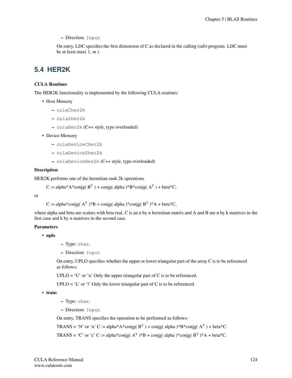On entry, LDC specifies the first dimension of C as declared in the calling (sub) program. LDC must be at least max $(1, m)$ .

# **5.4 HER2K**

# CULA Routines

The HER2K functionality is implemented by the following CULA routines:

- Host Memory
	- culaCher2k
	- culaZher2k
	- culaHer2k (C++ style, type overloaded)
- Device Memory
	- culaDeviceCher2k
	- culaDeviceZher2k
	- culaDeviceHer2k (C++ style, type overloaded)

#### **Description**

HER2K performs one of the hermitian rank 2k operations

C := alpha\*A\*conjg( $B<sup>T</sup>$ ) + conjg(alpha)\*B\*conjg( $A<sup>T</sup>$ ) + beta\*C,

or

C := alpha\*conjg( $A<sup>T</sup>$ )\*B + conjg(alpha)\*conjg( $B<sup>T</sup>$ )\*A + beta\*C,

where alpha and beta are scalars with beta real, C is an n by n hermitian matrix and A and B are n by k matrices in the first case and k by n matrices in the second case.

## **Parameters**

• uplo

- Type: char.
- Direction: Input

On entry, UPLO specifies whether the upper or lower triangular part of the array C is to be referenced as follows:

 $UPLO = 'U'$  or 'u' Only the upper triangular part of C is to be referenced.

 $UPLO = 'L'$  or 'l' Only the lower triangular part of C is to be referenced.

• trans

- Type: char.
- Direction: Input

On entry, TRANS specifies the operation to be performed as follows:

TRANS = 'N' or 'n' C := alpha\*A\*conjg( $B<sup>T</sup>$ ) + conjg(alpha)\*B\*conjg( $A<sup>T</sup>$ ) + beta\*C.

TRANS = 'C' or 'c' C := alpha\*conjg( $A<sup>T</sup>$ )\*B + conjg( alpha )\*conjg( $B<sup>T</sup>$ )\*A + beta\*C.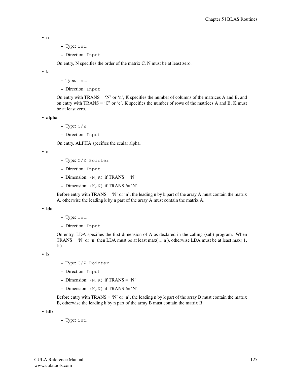• n

- Type: int.
- Direction: Input

On entry, N specifies the order of the matrix C. N must be at least zero.

• k

- Type: int.
- Direction: Input

On entry with TRANS = 'N' or 'n', K specifies the number of columns of the matrices A and B, and on entry with TRANS = 'C' or 'c', K specifies the number of rows of the matrices A and B. K must be at least zero.

• alpha

- $-$  Type:  $C/Z$
- Direction: Input

On entry, ALPHA specifies the scalar alpha.

• a

- Type: C/Z Pointer
- Direction: Input
- Dimension:  $(N, K)$  if TRANS = 'N'
- Dimension:  $(K, N)$  if TRANS != 'N'

Before entry with  $TRANS = 'N'$  or 'n', the leading n by k part of the array A must contain the matrix A, otherwise the leading k by n part of the array A must contain the matrix A.

#### • lda

- Type: int.
- Direction: Input

On entry, LDA specifies the first dimension of A as declared in the calling (sub) program. When TRANS = 'N' or 'n' then LDA must be at least max $(1, n)$ , otherwise LDA must be at least max $(1, n)$  $k$ ).

• b

- Type: C/Z Pointer
- Direction: Input
- Dimension:  $(N, K)$  if TRANS = 'N'
- Dimension:  $(K, N)$  if TRANS != 'N'

Before entry with  $TRANS = 'N'$  or 'n', the leading n by k part of the array B must contain the matrix B, otherwise the leading k by n part of the array B must contain the matrix B.

• ldb

– Type: int.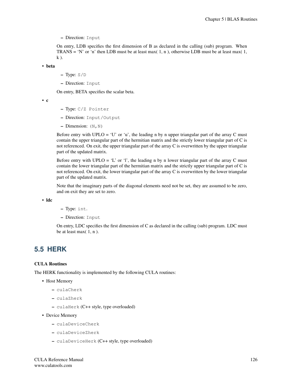On entry, LDB specifies the first dimension of B as declared in the calling (sub) program. When TRANS = 'N' or 'n' then LDB must be at least max $(1, n)$ , otherwise LDB must be at least max $(1, n)$ k ).

• beta

- Type: S/D
- Direction: Input

On entry, BETA specifies the scalar beta.

• c

- Type: C/Z Pointer
- Direction: Input/Output
- $-$  Dimension:  $(N, N)$

Before entry with  $UPLO = 'U'$  or 'u', the leading n by n upper triangular part of the array C must contain the upper triangular part of the hermitian matrix and the strictly lower triangular part of C is not referenced. On exit, the upper triangular part of the array C is overwritten by the upper triangular part of the updated matrix.

Before entry with UPLO = 'L' or 'l', the leading n by n lower triangular part of the array C must contain the lower triangular part of the hermitian matrix and the strictly upper triangular part of C is not referenced. On exit, the lower triangular part of the array C is overwritten by the lower triangular part of the updated matrix.

Note that the imaginary parts of the diagonal elements need not be set, they are assumed to be zero, and on exit they are set to zero.

• ldc

- Type: int.
- Direction: Input

On entry, LDC specifies the first dimension of C as declared in the calling (sub) program. LDC must be at least max $(1, n)$ .

# **5.5 HERK**

# CULA Routines

The HERK functionality is implemented by the following CULA routines:

- Host Memory
	- culaCherk
	- culaZherk
	- culaHerk (C++ style, type overloaded)
- Device Memory
	- culaDeviceCherk
	- culaDeviceZherk
	- culaDeviceHerk (C++ style, type overloaded)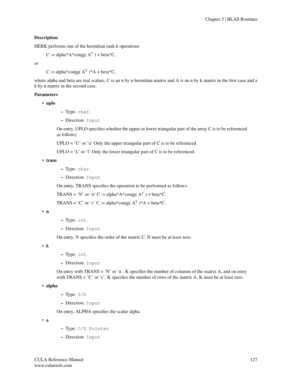## Description

HERK performs one of the hermitian rank k operations

```
C := alpha*A*conjg(A<sup>T</sup>) + beta*C,
```
or

C := alpha\*conjg( $A^T$ )\* $A$  + beta\*C,

where alpha and beta are real scalars, C is an n by n hermitian matrix and A is an n by k matrix in the first case and a k by n matrix in the second case.

# Parameters

• uplo

- Type: char.
- Direction: Input

On entry, UPLO specifies whether the upper or lower triangular part of the array C is to be referenced as follows:

 $UPLO = 'U'$  or 'u' Only the upper triangular part of C is to be referenced.

 $UPLO = 'L'$  or 'l' Only the lower triangular part of C is to be referenced.

• trans

- Type: char.
- Direction: Input

On entry, TRANS specifies the operation to be performed as follows:

TRANS = 'N' or 'n' C := alpha\*A\*conjg( $A<sup>T</sup>$ ) + beta\*C.

TRANS = 'C' or 'c' C := alpha\*conjg( $A<sup>T</sup>$ )\*A + beta\*C.

• n

– Type: int.

– Direction: Input

On entry, N specifies the order of the matrix C. N must be at least zero.

• k

- Type: int.
- Direction: Input

On entry with TRANS = 'N' or 'n', K specifies the number of columns of the matrix A, and on entry with  $TRANS = 'C'$  or 'c', K specifies the number of rows of the matrix A. K must be at least zero.

```
• alpha
```
- Type: S/D
- Direction: Input

On entry, ALPHA specifies the scalar alpha.

• a

- Type: C/Z Pointer
- Direction: Input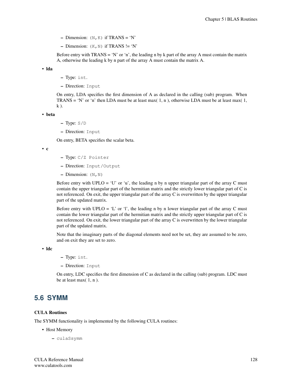- Dimension:  $(N, K)$  if TRANS = 'N'
- Dimension:  $(K, N)$  if TRANS != 'N'

Before entry with  $TRANS = 'N'$  or 'n', the leading n by k part of the array A must contain the matrix A, otherwise the leading k by n part of the array A must contain the matrix A.

• lda

- Type: int.
- Direction: Input

On entry, LDA specifies the first dimension of A as declared in the calling (sub) program. When TRANS = 'N' or 'n' then LDA must be at least max $(1, n)$ , otherwise LDA must be at least max $(1, n)$  $k$ ).

• beta

- Type: S/D
- Direction: Input

On entry, BETA specifies the scalar beta.

• c

- Type: C/Z Pointer
- Direction: Input/Output
- Dimension:  $(N, N)$

Before entry with UPLO = 'U' or 'u', the leading n by n upper triangular part of the array C must contain the upper triangular part of the hermitian matrix and the strictly lower triangular part of C is not referenced. On exit, the upper triangular part of the array C is overwritten by the upper triangular part of the updated matrix.

Before entry with UPLO = 'L' or 'l', the leading n by n lower triangular part of the array C must contain the lower triangular part of the hermitian matrix and the strictly upper triangular part of C is not referenced. On exit, the lower triangular part of the array C is overwritten by the lower triangular part of the updated matrix.

Note that the imaginary parts of the diagonal elements need not be set, they are assumed to be zero, and on exit they are set to zero.

• ldc

- Type: int.
- Direction: Input

On entry, LDC specifies the first dimension of C as declared in the calling (sub) program. LDC must be at least max $(1, n)$ .

# **5.6 SYMM**

#### CULA Routines

The SYMM functionality is implemented by the following CULA routines:

- Host Memory
	- culaSsymm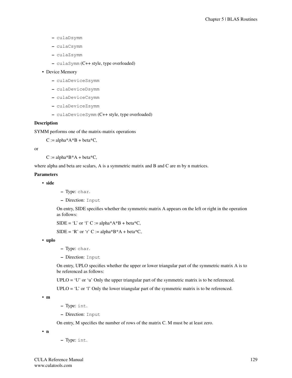- culaDsymm
- culaCsymm
- culaZsymm
- culaSymm (C++ style, type overloaded)

#### • Device Memory

- culaDeviceSsymm
- culaDeviceDsymm
- culaDeviceCsymm
- culaDeviceZsymm
- culaDeviceSymm (C++ style, type overloaded)

### **Description**

SYMM performs one of the matrix-matrix operations

 $C := \text{alpha*A*B} + \text{beta*C},$ 

or

 $C := \text{alpha*B*A} + \text{beta*C},$ 

where alpha and beta are scalars, A is a symmetric matrix and B and C are m by n matrices.

## Parameters

- side
- Type: char.
- Direction: Input

On entry, SIDE specifies whether the symmetric matrix A appears on the left or right in the operation as follows:

```
SIDE = 'L' or 'l' C := alpha*A*B + beta*C,
```
 $SIDE = 'R'$  or 'r' C := alpha\*B\*A + beta\*C,

• uplo

- Type: char.
- Direction: Input

On entry, UPLO specifies whether the upper or lower triangular part of the symmetric matrix A is to be referenced as follows:

 $UPLO = 'U'$  or 'u' Only the upper triangular part of the symmetric matrix is to be referenced.

UPLO = 'L' or 'l' Only the lower triangular part of the symmetric matrix is to be referenced.

• m

- Type: int.
- Direction: Input

On entry, M specifies the number of rows of the matrix C. M must be at least zero.

• n

– Type: int.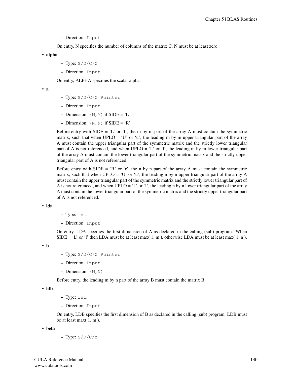On entry, N specifies the number of columns of the matrix C. N must be at least zero.

• alpha

- $-$  Type:  $S/D/C/Z$
- Direction: Input

On entry, ALPHA specifies the scalar alpha.

• a

- Type: S/D/C/Z Pointer
- Direction: Input
- Dimension:  $(M, M)$  if SIDE = 'L'
- Dimension:  $(N, N)$  if SIDE = 'R'

Before entry with SIDE = 'L' or 'l', the m by m part of the array A must contain the symmetric matrix, such that when UPLO = 'U' or 'u', the leading m by m upper triangular part of the array A must contain the upper triangular part of the symmetric matrix and the strictly lower triangular part of A is not referenced, and when UPLO = 'L' or 'l', the leading m by m lower triangular part of the array A must contain the lower triangular part of the symmetric matrix and the strictly upper triangular part of A is not referenced.

Before entry with SIDE = 'R' or 'r', the n by n part of the array A must contain the symmetric matrix, such that when UPLO = 'U' or 'u', the leading n by n upper triangular part of the array A must contain the upper triangular part of the symmetric matrix and the strictly lower triangular part of A is not referenced, and when  $UPLO = 'L'$  or 'l', the leading n by n lower triangular part of the array A must contain the lower triangular part of the symmetric matrix and the strictly upper triangular part of A is not referenced.

• lda

– Type: int.

– Direction: Input

On entry, LDA specifies the first dimension of A as declared in the calling (sub) program. When SIDE = 'L' or 'l' then LDA must be at least max( 1, m), otherwise LDA must be at least max( 1, n).

• b

- Type: S/D/C/Z Pointer
- Direction: Input
- Dimension:  $(M, N)$

Before entry, the leading m by n part of the array B must contain the matrix B.

• ldb

- Type: int.
- Direction: Input

On entry, LDB specifies the first dimension of B as declared in the calling (sub) program. LDB must be at least max( 1, m ).

• beta

– Type: S/D/C/Z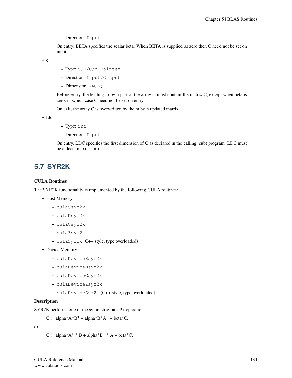On entry, BETA specifies the scalar beta. When BETA is supplied as zero then C need not be set on input.

• c

- Type: S/D/C/Z Pointer
- Direction: Input/Output
- Dimension:  $(M, N)$

Before entry, the leading m by n part of the array C must contain the matrix C, except when beta is zero, in which case C need not be set on entry.

On exit, the array C is overwritten by the m by n updated matrix.

• ldc

- Type: int.
- Direction: Input

On entry, LDC specifies the first dimension of C as declared in the calling (sub) program. LDC must be at least max $(1, m)$ .

# **5.7 SYR2K**

#### CULA Routines

The SYR2K functionality is implemented by the following CULA routines:

- Host Memory
	- culaSsyr2k
	- culaDsyr2k
	- culaCsyr2k
	- culaZsyr2k
	- culaSyr2k (C++ style, type overloaded)
- Device Memory
	- culaDeviceSsyr2k
	- culaDeviceDsyr2k
	- culaDeviceCsyr2k
	- culaDeviceZsyr2k
	- culaDeviceSyr2k (C++ style, type overloaded)

#### Description

SYR2K performs one of the symmetric rank 2k operations

```
C := \text{alpha}^*A^*B^T + \text{alpha}^*B^*A^T + \text{beta}^*C
```
or

```
C := \text{alpha}^*A^T * B + \text{alpha}^*B^T * A + \text{beta}^*C,
```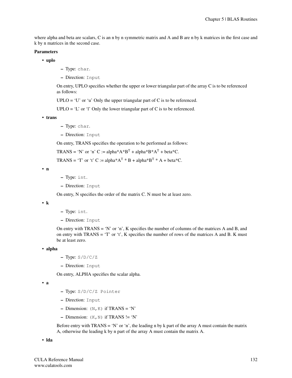where alpha and beta are scalars, C is an n by n symmetric matrix and A and B are n by k matrices in the first case and k by n matrices in the second case.

#### Parameters

- uplo
- Type: char.
- Direction: Input

On entry, UPLO specifies whether the upper or lower triangular part of the array C is to be referenced as follows:

 $UPLO = 'U'$  or 'u' Only the upper triangular part of C is to be referenced.

 $UPLO = 'L'$  or 'l' Only the lower triangular part of C is to be referenced.

• trans

- Type: char.
- Direction: Input

On entry, TRANS specifies the operation to be performed as follows:

TRANS = 'N' or 'n' C := alpha\*A\*B<sup>T</sup> + alpha\*B\*A<sup>T</sup> + beta\*C.

TRANS = 'T' or 't' C := alpha\*A<sup>T</sup> \* B + alpha\*B<sup>T</sup> \* A + beta\*C.

• n

- Type: int.
- Direction: Input

On entry, N specifies the order of the matrix C. N must be at least zero.

• k

- Type: int.
- Direction: Input

On entry with TRANS = 'N' or 'n', K specifies the number of columns of the matrices A and B, and on entry with TRANS =  $T$  or  $t$ , K specifies the number of rows of the matrices A and B. K must be at least zero.

• alpha

- $-$  Type:  $S/D/C/Z$
- Direction: Input

On entry, ALPHA specifies the scalar alpha.

• a

- Type: S/D/C/Z Pointer
- Direction: Input
- Dimension:  $(N, K)$  if TRANS = 'N'
- Dimension:  $(K, N)$  if TRANS != 'N'

Before entry with  $TRANS = 'N'$  or 'n', the leading n by k part of the array A must contain the matrix A, otherwise the leading k by n part of the array A must contain the matrix A.

• lda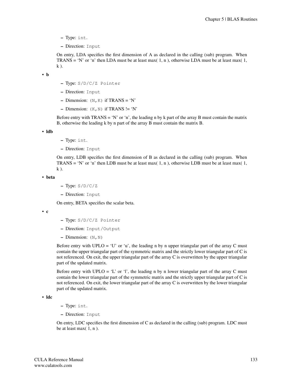- Type: int.
- Direction: Input

On entry, LDA specifies the first dimension of A as declared in the calling (sub) program. When TRANS = 'N' or 'n' then LDA must be at least max $(1, n)$ , otherwise LDA must be at least max $(1, n)$  $k$ ).

• b

- Type: S/D/C/Z Pointer
- Direction: Input
- Dimension:  $(N, K)$  if TRANS = 'N'
- Dimension:  $(K, N)$  if TRANS  $!= 'N'$

Before entry with  $TRANS = 'N'$  or 'n', the leading n by k part of the array B must contain the matrix B, otherwise the leading k by n part of the array B must contain the matrix B.

• ldb

- Type: int.
- Direction: Input

On entry, LDB specifies the first dimension of B as declared in the calling (sub) program. When TRANS = 'N' or 'n' then LDB must be at least max $(1, n)$ , otherwise LDB must be at least max $(1, n)$  $k$ ).

• beta

- Type: S/D/C/Z
- Direction: Input

On entry, BETA specifies the scalar beta.

• c

- Type: S/D/C/Z Pointer
- Direction: Input/Output
- Dimension:  $(N, N)$

Before entry with UPLO = 'U' or 'u', the leading n by n upper triangular part of the array C must contain the upper triangular part of the symmetric matrix and the strictly lower triangular part of C is not referenced. On exit, the upper triangular part of the array C is overwritten by the upper triangular part of the updated matrix.

Before entry with UPLO = 'L' or 'l', the leading n by n lower triangular part of the array C must contain the lower triangular part of the symmetric matrix and the strictly upper triangular part of C is not referenced. On exit, the lower triangular part of the array C is overwritten by the lower triangular part of the updated matrix.

• ldc

- Type: int.
- Direction: Input

On entry, LDC specifies the first dimension of C as declared in the calling (sub) program. LDC must be at least max $(1, n)$ .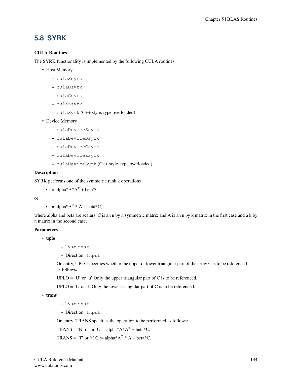# **5.8 SYRK**

# CULA Routines

The SYRK functionality is implemented by the following CULA routines:

- Host Memory
	- culaSsyrk
	- culaDsyrk
	- culaCsyrk
	- culaZsyrk
	- culaSyrk (C++ style, type overloaded)
- Device Memory
	- culaDeviceSsyrk
	- culaDeviceDsyrk
	- culaDeviceCsyrk
	- culaDeviceZsyrk
	- culaDeviceSyrk (C++ style, type overloaded)

#### **Description**

SYRK performs one of the symmetric rank k operations

 $C := \text{alpha}^*A^*A^T + \text{beta}^*C$ ,

or

 $C := \text{alpha}^*A^T * A + \text{beta}^*C$ ,

where alpha and beta are scalars, C is an n by n symmetric matrix and A is an n by k matrix in the first case and a k by n matrix in the second case.

### **Parameters**

• uplo

- Type: char.
- Direction: Input

On entry, UPLO specifies whether the upper or lower triangular part of the array C is to be referenced as follows:

 $UPLO = 'U'$  or 'u' Only the upper triangular part of C is to be referenced.

 $UPLO = 'L'$  or 'l' Only the lower triangular part of C is to be referenced.

• trans

- Type: char.
- Direction: Input

On entry, TRANS specifies the operation to be performed as follows:

TRANS = 'N' or 'n' C := alpha\* $A^*A^T$  + beta\*C.

TRANS = 'T' or 't' C := alpha\* $A^T$  \* A + beta\*C.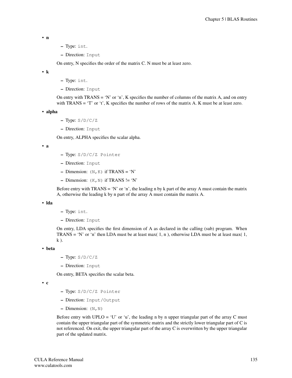$$
\bullet \ \ n
$$

- Type: int.
- Direction: Input

On entry, N specifies the order of the matrix C. N must be at least zero.

• k

- Type: int.
- Direction: Input

On entry with TRANS = 'N' or 'n', K specifies the number of columns of the matrix A, and on entry with TRANS = 'T' or 't', K specifies the number of rows of the matrix A. K must be at least zero.

```
• alpha
```
- $-$  Type:  $S/D/C/Z$
- Direction: Input

On entry, ALPHA specifies the scalar alpha.

• a

- Type: S/D/C/Z Pointer
- Direction: Input
- Dimension:  $(N, K)$  if TRANS = 'N'
- Dimension:  $(K, N)$  if TRANS != 'N'

Before entry with  $TRANS = 'N'$  or 'n', the leading n by k part of the array A must contain the matrix A, otherwise the leading k by n part of the array A must contain the matrix A.

#### • lda

- Type: int.
- Direction: Input

On entry, LDA specifies the first dimension of A as declared in the calling (sub) program. When TRANS = 'N' or 'n' then LDA must be at least max $(1, n)$ , otherwise LDA must be at least max $(1, n)$ k ).

• beta

- Type: S/D/C/Z
- Direction: Input

On entry, BETA specifies the scalar beta.

• c

- Type: S/D/C/Z Pointer
- Direction: Input/Output
- $-$  Dimension:  $(N, N)$

Before entry with UPLO = 'U' or 'u', the leading n by n upper triangular part of the array C must contain the upper triangular part of the symmetric matrix and the strictly lower triangular part of C is not referenced. On exit, the upper triangular part of the array C is overwritten by the upper triangular part of the updated matrix.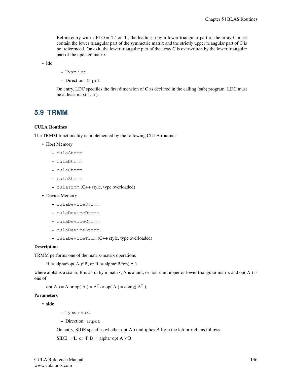Before entry with UPLO = 'L' or 'l', the leading n by n lower triangular part of the array C must contain the lower triangular part of the symmetric matrix and the strictly upper triangular part of C is not referenced. On exit, the lower triangular part of the array C is overwritten by the lower triangular part of the updated matrix.

• ldc

– Type: int.

– Direction: Input

On entry, LDC specifies the first dimension of C as declared in the calling (sub) program. LDC must be at least max $(1, n)$ .

# **5.9 TRMM**

#### CULA Routines

The TRMM functionality is implemented by the following CULA routines:

- Host Memory
	- culaStrmm
	- culaDtrmm
	- culaCtrmm
	- culaZtrmm
	- culaTrmm (C++ style, type overloaded)
- Device Memory
	- culaDeviceStrmm
	- culaDeviceDtrmm
	- culaDeviceCtrmm
	- culaDeviceZtrmm
	- culaDeviceTrmm (C++ style, type overloaded)

#### **Description**

TRMM performs one of the matrix-matrix operations

 $B := \text{alpha*op}(A)*B$ , or  $B := \text{alpha*B*op}(A)$ 

where alpha is a scalar, B is an m by n matrix, A is a unit, or non-unit, upper or lower triangular matrix and op( $A$ ) is one of

op(A) = A or op(A) =  $A<sup>T</sup>$  or op(A) = conjg( $A<sup>T</sup>$ ).

#### Parameters

• side

- Type: char.
- Direction: Input

On entry, SIDE specifies whether op( A ) multiplies B from the left or right as follows:

 $SIDE = 'L'$  or 'l'  $B := \text{alpha*} \text{op}(A) * B$ .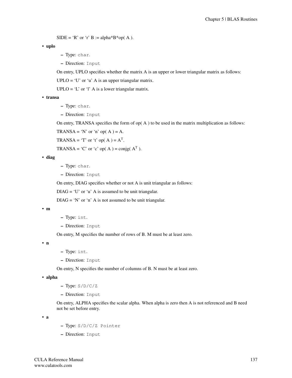$SIDE = 'R'$  or 'r'  $B := \text{alpha*}B \cdot \text{top}(A)$ .

• uplo

- Type: char.
- Direction: Input

On entry, UPLO specifies whether the matrix A is an upper or lower triangular matrix as follows:

 $UPLO = 'U'$  or 'u' A is an upper triangular matrix.

 $UPLO = 'L'$  or 'l' A is a lower triangular matrix.

• transa

- Type: char.
- Direction: Input

On entry, TRANSA specifies the form of  $op(A)$  to be used in the matrix multiplication as follows:

TRANSA = 'N' or 'n' op $(A) = A$ .

TRANSA = 'T' or 't' op( $A$ ) =  $A<sup>T</sup>$ .

TRANSA = 'C' or 'c' op( A ) = conjg(  $A<sup>T</sup>$ ).

• diag

- Type: char.
- Direction: Input

On entry, DIAG specifies whether or not A is unit triangular as follows:

 $DIAG = 'U'$  or 'u' A is assumed to be unit triangular.

 $DIAG = 'N'$  or 'n' A is not assumed to be unit triangular.

• m

– Type: int.

– Direction: Input

On entry, M specifies the number of rows of B. M must be at least zero.

• n

- Type: int.
- Direction: Input

On entry, N specifies the number of columns of B. N must be at least zero.

• alpha

- Type: S/D/C/Z
- Direction: Input

On entry, ALPHA specifies the scalar alpha. When alpha is zero then A is not referenced and B need not be set before entry.

• a

- Type: S/D/C/Z Pointer
- Direction: Input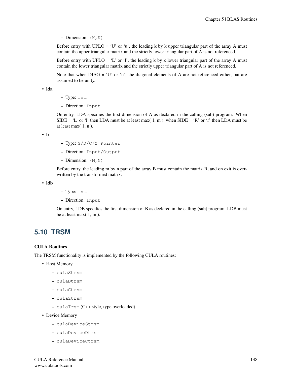– Dimension:  $(K, K)$ 

Before entry with UPLO = 'U' or 'u', the leading k by k upper triangular part of the array A must contain the upper triangular matrix and the strictly lower triangular part of A is not referenced.

Before entry with UPLO = 'L' or 'l', the leading k by k lower triangular part of the array A must contain the lower triangular matrix and the strictly upper triangular part of A is not referenced.

Note that when  $DIAG = 'U'$  or 'u', the diagonal elements of A are not referenced either, but are assumed to be unity.

• lda

- Type: int.
- Direction: Input

On entry, LDA specifies the first dimension of A as declared in the calling (sub) program. When SIDE = 'L' or 'l' then LDA must be at least max( 1, m), when SIDE = 'R' or 'r' then LDA must be at least max $(1, n)$ .

• b

- Type: S/D/C/Z Pointer
- Direction: Input/Output
- Dimension:  $(M, N)$

Before entry, the leading m by n part of the array B must contain the matrix B, and on exit is overwritten by the transformed matrix.

• ldb

- Type: int.
- Direction: Input

On entry, LDB specifies the first dimension of B as declared in the calling (sub) program. LDB must be at least max( 1, m ).

# **5.10 TRSM**

#### CULA Routines

The TRSM functionality is implemented by the following CULA routines:

- Host Memory
	- culaStrsm
	- culaDtrsm
	- culaCtrsm
	- culaZtrsm
	- culaTrsm (C++ style, type overloaded)
- Device Memory
	- culaDeviceStrsm
	- culaDeviceDtrsm
	- culaDeviceCtrsm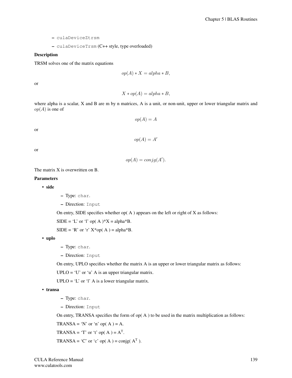- culaDeviceZtrsm
- culaDeviceTrsm (C++ style, type overloaded)

## Description

TRSM solves one of the matrix equations

$$
op(A) * X = alpha * B,
$$

or

$$
X * op(A) = alpha * B,
$$

where alpha is a scalar, X and B are m by n matrices, A is a unit, or non-unit, upper or lower triangular matrix and  $op(A)$  is one of

$$
op(A) = A
$$

or

$$
op(A)=A'
$$

or

$$
op(A) = conjg(A').
$$

The matrix X is overwritten on B.

## Parameters

• side

– Type: char.

– Direction: Input

On entry, SIDE specifies whether  $op(A)$  appears on the left or right of X as follows:

 $SIDE = 'L'$  or 'l' op( A )\* $X = alpha * B$ .

 $SIDE = 'R'$  or 'r'  $X^*op(A) = alpha^*B$ .

• uplo

- Type: char.
- Direction: Input

On entry, UPLO specifies whether the matrix A is an upper or lower triangular matrix as follows:

 $UPLO = 'U'$  or 'u' A is an upper triangular matrix.

 $UPLO = 'L'$  or 'l' A is a lower triangular matrix.

• transa

– Type: char.

– Direction: Input

On entry, TRANSA specifies the form of  $op(A)$  to be used in the matrix multiplication as follows:

TRANSA = 'N' or 'n' op $(A) = A$ .

$$
TRANSA = 'T' or 't' op(A) = AT.
$$

TRANSA = 'C' or 'c' op( A ) = conjg(  $A<sup>T</sup>$ ).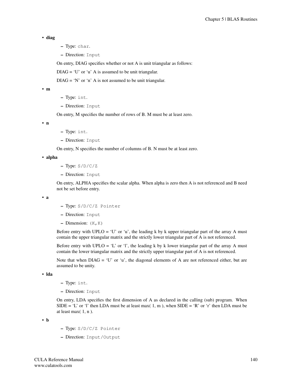#### • diag

- Type: char.
- Direction: Input

On entry, DIAG specifies whether or not A is unit triangular as follows:

 $DIAG = 'U'$  or 'u' A is assumed to be unit triangular.

 $DIAG = 'N'$  or 'n' A is not assumed to be unit triangular.

• m

- Type: int.
- Direction: Input

On entry, M specifies the number of rows of B. M must be at least zero.

• n

- Type: int.
- Direction: Input

On entry, N specifies the number of columns of B. N must be at least zero.

• alpha

- $-$  Type:  $S/D/C/Z$
- Direction: Input

On entry, ALPHA specifies the scalar alpha. When alpha is zero then A is not referenced and B need not be set before entry.

• a

- Type: S/D/C/Z Pointer
- Direction: Input
- $-$  Dimension:  $(K, K)$

Before entry with UPLO = 'U' or 'u', the leading k by k upper triangular part of the array A must contain the upper triangular matrix and the strictly lower triangular part of A is not referenced.

Before entry with UPLO = 'L' or 'l', the leading k by k lower triangular part of the array A must contain the lower triangular matrix and the strictly upper triangular part of A is not referenced.

Note that when  $DIAG = 'U'$  or 'u', the diagonal elements of A are not referenced either, but are assumed to be unity.

• lda

– Type: int.

– Direction: Input

On entry, LDA specifies the first dimension of A as declared in the calling (sub) program. When SIDE = 'L' or 'l' then LDA must be at least max( 1, m), when SIDE = 'R' or 'r' then LDA must be at least max $(1, n)$ .

• b

- Type: S/D/C/Z Pointer
- Direction: Input/Output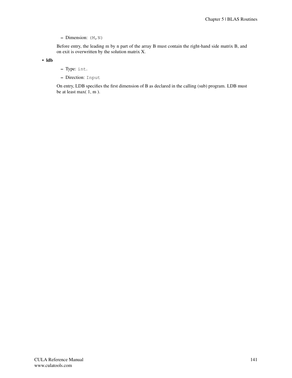– Dimension:  $(M, N)$ 

Before entry, the leading m by n part of the array B must contain the right-hand side matrix B, and on exit is overwritten by the solution matrix X.

• ldb

- Type: int.
- Direction: Input

On entry, LDB specifies the first dimension of B as declared in the calling (sub) program. LDB must be at least max( 1, m ).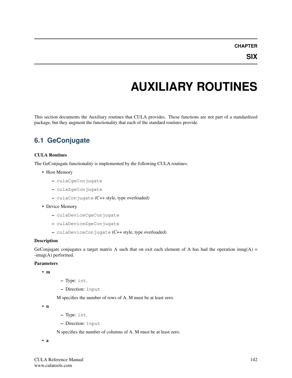# **AUXILIARY ROUTINES**

This section documents the Auxiliary routines that CULA provides. These functions are not part of a standardized package, but they augment the functionality that each of the standard routines provide.

# **6.1 GeConjugate**

#### CULA Routines

The GeConjugate functionality is implemented by the following CULA routines:

- Host Memory
	- culaCgeConjugate
	- culaZgeConjugate
	- culaConjugate (C++ style, type overloaded)
- Device Memory
	- culaDeviceCgeConjugate
	- culaDeviceZgeConjugate
	- culaDeviceConjugate (C++ style, type overloaded)

#### Description

GeConjugate conjugates a target matrix A such that on exit each element of A has had the operation imag(A) = -imag(A) performed.

#### **Parameters**

• m

- Type: int.
- Direction: Input

M specifies the number of rows of A. M must be at least zero.

• n

- Type: int.
- Direction: Input

N specifies the number of columns of A. M must be at least zero.

• a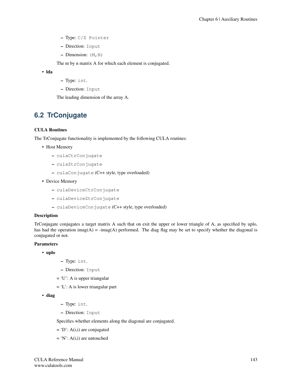- Type: C/Z Pointer
- Direction: Input
- $-$  Dimension:  $(M, N)$

The m by n matrix A for which each element is conjugated.

• lda

- Type: int.
- Direction: Input

The leading dimension of the array A.

## **6.2 TrConjugate**

#### CULA Routines

The TrConjugate functionality is implemented by the following CULA routines:

- Host Memory
	- culaCtrConjugate
	- culaZtrConjugate
	- culaConjugate (C++ style, type overloaded)
- Device Memory
	- culaDeviceCtrConjugate
	- culaDeviceZtrConjugate
	- culaDeviceConjugate (C++ style, type overloaded)

#### Description

TrConjugate conjugates a target matrix A such that on exit the upper or lower triangle of A, as specified by uplo, has had the operation imag(A) = -imag(A) performed. The diag flag may be set to specify whether the diagonal is conjugated or not.

#### Parameters

- uplo
- Type: int.
- Direction: Input
- $= 'U'$ : A is upper triangular
- $= 'L'$ : A is lower triangular part

```
• diag
```
- Type: int.
- Direction: Input

Specifies whether elements along the diagonal are conjugated.

- $= 'D'$ : A(i,i) are conjugated
- $= 'N'$ : A(i,i) are untouched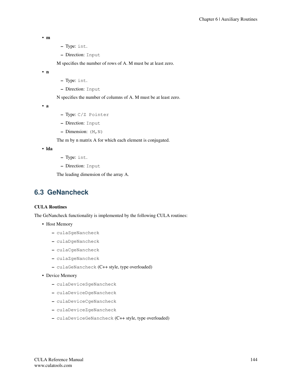```
• m
```
- Type: int.
- Direction: Input

M specifies the number of rows of A. M must be at least zero.

• n

- Type: int.
- Direction: Input

N specifies the number of columns of A. M must be at least zero.

• a

- Type: C/Z Pointer
- Direction: Input
- $-$  Dimension:  $(M, N)$

The m by n matrix A for which each element is conjugated.

• lda

- Type: int.
- Direction: Input

The leading dimension of the array A.

### **6.3 GeNancheck**

#### CULA Routines

The GeNancheck functionality is implemented by the following CULA routines:

- Host Memory
	- culaSgeNancheck
	- culaDgeNancheck
	- culaCgeNancheck
	- culaZgeNancheck
	- culaGeNancheck (C++ style, type overloaded)

• Device Memory

- culaDeviceSgeNancheck
- culaDeviceDgeNancheck
- culaDeviceCgeNancheck
- culaDeviceZgeNancheck
- culaDeviceGeNancheck (C++ style, type overloaded)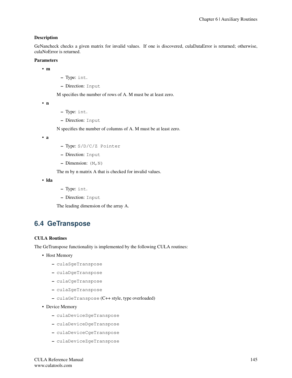#### Description

GeNancheck checks a given matrix for invalid values. If one is discovered, culaDataError is returned; otherwise, culaNoError is returned.

#### Parameters

• m

- Type: int.
- Direction: Input

M specifies the number of rows of A. M must be at least zero.

• n

- Type: int.
- Direction: Input

N specifies the number of columns of A. M must be at least zero.

• a

- Type: S/D/C/Z Pointer
- Direction: Input
- Dimension:  $(M, N)$

The m by n matrix A that is checked for invalid values.

• lda

- Type: int.
- Direction: Input

The leading dimension of the array A.

## <span id="page-149-0"></span>**6.4 GeTranspose**

#### CULA Routines

The GeTranspose functionality is implemented by the following CULA routines:

- Host Memory
	- culaSgeTranspose
	- culaDgeTranspose
	- culaCgeTranspose
	- culaZgeTranspose
	- culaGeTranspose (C++ style, type overloaded)
- Device Memory
	- culaDeviceSgeTranspose
	- culaDeviceDgeTranspose
	- culaDeviceCgeTranspose
	- culaDeviceZgeTranspose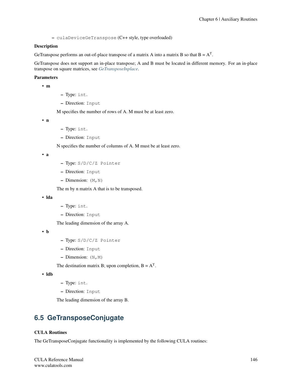– culaDeviceGeTranspose (C++ style, type overloaded)

#### Description

GeTranspose performs an out-of-place transpose of a matrix A into a matrix B so that  $B = A<sup>T</sup>$ .

GeTranspose does not support an in-place transpose; A and B must be located in different memory. For an in-place transpose on square matrices, see *[GeTransposeInplace](#page-152-0)*.

#### Parameters

• m

– Type: int.

– Direction: Input

M specifies the number of rows of A. M must be at least zero.

• n

- Type: int.
- Direction: Input

N specifies the number of columns of A. M must be at least zero.

• a

- Type: S/D/C/Z Pointer
- Direction: Input
- Dimension:  $(M, N)$

The m by n matrix A that is to be transposed.

• lda

- Type: int.
- Direction: Input

The leading dimension of the array A.

• b

- Type: S/D/C/Z Pointer
- Direction: Input
- $-$  Dimension:  $(N, M)$

The destination matrix B; upon completion,  $B = A<sup>T</sup>$ .

• ldb

```
– Type: int.
```
– Direction: Input

The leading dimension of the array B.

## **6.5 GeTransposeConjugate**

#### CULA Routines

The GeTransposeConjugate functionality is implemented by the following CULA routines: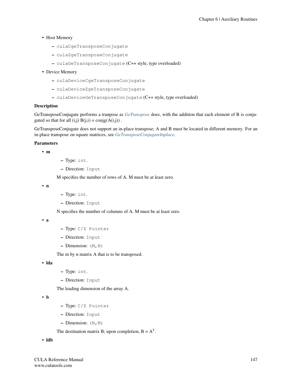- Host Memory
	- culaCgeTransposeConjugate
	- culaZgeTransposeConjugate
	- culaGeTransposeConjugate (C++ style, type overloaded)
- Device Memory
	- culaDeviceCgeTransposeConjugate
	- culaDeviceZgeTransposeConjugate
	- culaDeviceGeTransposeConjugate (C++ style, type overloaded)

#### **Description**

GeTransposeConjugate performs a tranpose as *[GeTranspose](#page-149-0)* does, with the addition that each element of B is conjugated so that for all  $(i,j) B(j,i) = \text{conig}(A(i,j))$ .

GeTransposeConjugate does not support an in-place transpose; A and B must be located in different memory. For an in-place transpose on square matrices, see *[GeTransposeConjugateInplace](#page-153-0)*.

#### Parameters

• m

- Type: int.
- Direction: Input

M specifies the number of rows of A. M must be at least zero.

• n

- Type: int.
- Direction: Input

N specifies the number of columns of A. M must be at least zero.

• a

- Type: C/Z Pointer
- Direction: Input
- $-$  Dimension:  $(M, N)$

The m by n matrix A that is to be transposed.

• lda

- Type: int.
- Direction: Input

The leading dimension of the array A.

• b

- Type: C/Z Pointer
- Direction: Input
- $-$  Dimension:  $(N, M)$

The destination matrix B; upon completion,  $B = A<sup>T</sup>$ .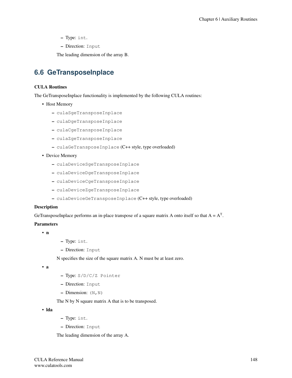- Type: int.
- Direction: Input

The leading dimension of the array B.

## <span id="page-152-0"></span>**6.6 GeTransposeInplace**

#### CULA Routines

The GeTransposeInplace functionality is implemented by the following CULA routines:

- Host Memory
	- culaSgeTransposeInplace
	- culaDgeTransposeInplace
	- culaCgeTransposeInplace
	- culaZgeTransposeInplace
	- culaGeTransposeInplace (C++ style, type overloaded)
- Device Memory
	- culaDeviceSgeTransposeInplace
	- culaDeviceDgeTransposeInplace
	- culaDeviceCgeTransposeInplace
	- culaDeviceZgeTransposeInplace
	- culaDeviceGeTransposeInplace (C++ style, type overloaded)

#### Description

GeTransposeInplace performs an in-place transpose of a square matrix A onto itself so that  $A = A<sup>T</sup>$ .

#### **Parameters**

- n
- Type: int.
- Direction: Input

N specifies the size of the square matrix A. N must be at least zero.

• a

- Type: S/D/C/Z Pointer
- Direction: Input
- Dimension:  $(N, N)$

The N by N square matrix A that is to be transposed.

• lda

- Type: int.
- Direction: Input

The leading dimension of the array A.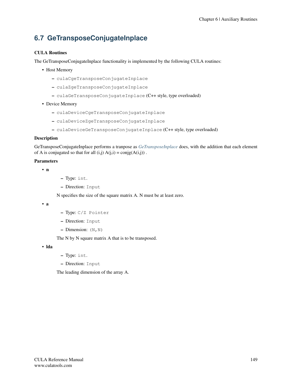# <span id="page-153-0"></span>**6.7 GeTransposeConjugateInplace**

#### CULA Routines

The GeTransposeConjugateInplace functionality is implemented by the following CULA routines:

- Host Memory
	- culaCgeTransposeConjugateInplace
	- culaZgeTransposeConjugateInplace
	- culaGeTransposeConjugateInplace (C++ style, type overloaded)
- Device Memory
	- culaDeviceCgeTransposeConjugateInplace
	- culaDeviceZgeTransposeConjugateInplace
	- culaDeviceGeTransposeConjugateInplace (C++ style, type overloaded)

#### Description

GeTransposeConjugateInplace performs a tranpose as *[GeTransposeInplace](#page-152-0)* does, with the addition that each element of A is conjugated so that for all  $(i,j) A(j,i) = \text{conig}(A(i,j))$ .

#### **Parameters**

- n
- Type: int.
- Direction: Input

N specifies the size of the square matrix A. N must be at least zero.

• a

- Type: C/Z Pointer
- Direction: Input
- $-$  Dimension:  $(N, N)$

The N by N square matrix A that is to be transposed.

• lda

- Type: int.
- Direction: Input

The leading dimension of the array A.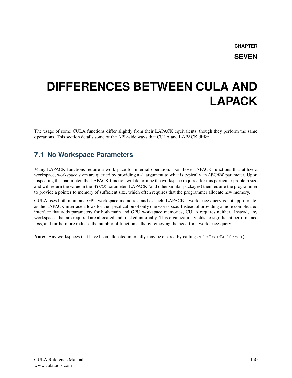# **DIFFERENCES BETWEEN CULA AND LAPACK**

The usage of some CULA functions differ slightly from their LAPACK equivalents, though they perform the same operations. This section details some of the API-wide ways that CULA and LAPACK differ.

## **7.1 No Workspace Parameters**

Many LAPACK functions require a workspace for internal operation. For those LAPACK functions that utilize a workspace, workspace sizes are queried by providing a -1 argument to what is typically an *LWORK* parameter. Upon inspecting this parameter, the LAPACK function will determine the workspace required for this particular problem size and will return the value in the *WORK* parameter. LAPACK (and other similar packages) then require the programmer to provide a pointer to memory of sufficient size, which often requires that the programmer allocate new memory.

CULA uses both main and GPU workspace memories, and as such, LAPACK's workspace query is not appropriate, as the LAPACK interface allows for the specification of only one workspace. Instead of providing a more complicated interface that adds parameters for both main and GPU workspace memories, CULA requires neither. Instead, any workspaces that are required are allocated and tracked internally. This organization yields no significant performance loss, and furthermore reduces the number of function calls by removing the need for a workspace query.

Note: Any workspaces that have been allocated internally may be cleared by calling culaFreeBuffers().